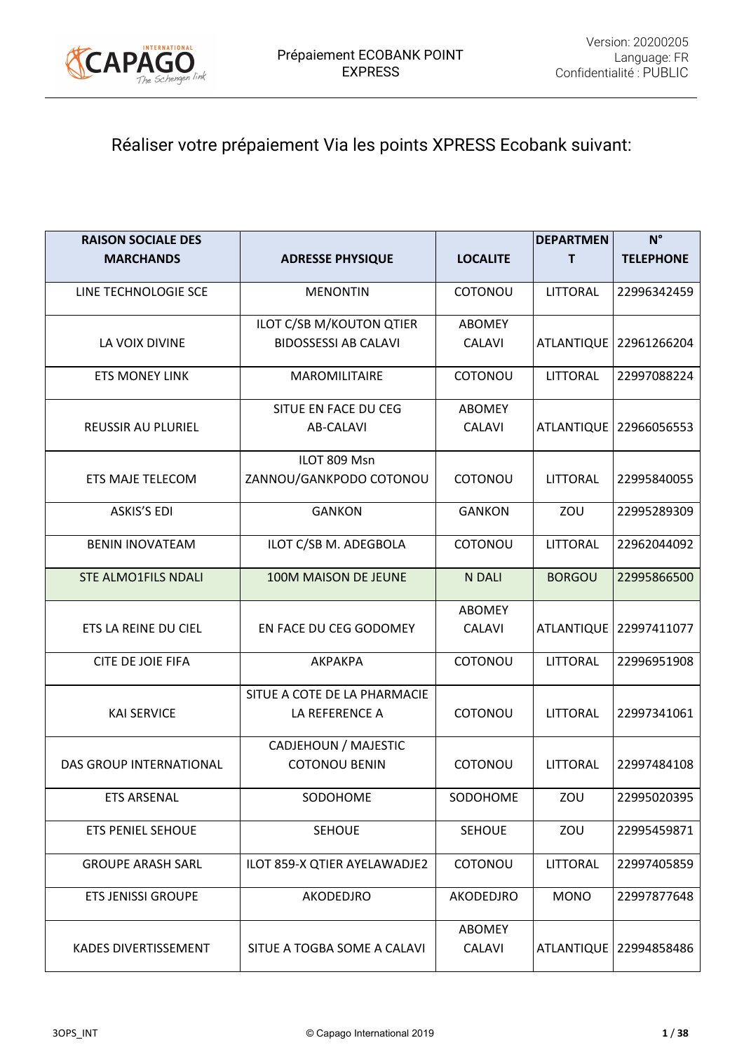

# Réaliser votre prépaiement Via les points XPRESS Ecobank suivant:

| <b>RAISON SOCIALE DES</b>      |                              |                         | <b>DEPARTMEN</b>  | $N^{\circ}$              |
|--------------------------------|------------------------------|-------------------------|-------------------|--------------------------|
| <b>MARCHANDS</b>               | <b>ADRESSE PHYSIQUE</b>      | <b>LOCALITE</b>         | T.                | <b>TELEPHONE</b>         |
| LINE TECHNOLOGIE SCE           | <b>MENONTIN</b>              | COTONOU                 | <b>LITTORAL</b>   | 22996342459              |
|                                | ILOT C/SB M/KOUTON QTIER     | ABOMEY                  |                   |                          |
| LA VOIX DIVINE                 | <b>BIDOSSESSI AB CALAVI</b>  | <b>CALAVI</b>           | <b>ATLANTIQUE</b> | 22961266204              |
| <b>ETS MONEY LINK</b>          | MAROMILITAIRE                | COTONOU                 | <b>LITTORAL</b>   | 22997088224              |
|                                | SITUE EN FACE DU CEG         | <b>ABOMEY</b>           |                   |                          |
| <b>REUSSIR AU PLURIEL</b>      | <b>AB-CALAVI</b>             | <b>CALAVI</b>           | <b>ATLANTIQUE</b> | 22966056553              |
|                                | ILOT 809 Msn                 |                         |                   |                          |
| ETS MAJE TELECOM               | ZANNOU/GANKPODO COTONOU      | COTONOU                 | LITTORAL          | 22995840055              |
| <b>ASKIS'S EDI</b>             | <b>GANKON</b>                | <b>GANKON</b>           | ZOU               | 22995289309              |
| <b>BENIN INOVATEAM</b>         | ILOT C/SB M. ADEGBOLA        | COTONOU                 | <b>LITTORAL</b>   | 22962044092              |
| <b>STE ALMO1FILS NDALI</b>     | 100M MAISON DE JEUNE         | N DALI                  | <b>BORGOU</b>     | 22995866500              |
|                                |                              | <b>ABOMEY</b>           |                   |                          |
| ETS LA REINE DU CIEL           | EN FACE DU CEG GODOMEY       | <b>CALAVI</b>           | <b>ATLANTIQUE</b> | 22997411077              |
| CITE DE JOIE FIFA              | AKPAKPA                      | COTONOU                 | LITTORAL          | 22996951908              |
|                                | SITUE A COTE DE LA PHARMACIE |                         |                   |                          |
| <b>KAI SERVICE</b>             | LA REFERENCE A               | COTONOU                 | <b>LITTORAL</b>   | 22997341061              |
|                                | <b>CADJEHOUN / MAJESTIC</b>  |                         |                   |                          |
| <b>DAS GROUP INTERNATIONAL</b> | <b>COTONOU BENIN</b>         | COTONOU                 | <b>LITTORAL</b>   | 22997484108              |
| <b>ETS ARSENAL</b>             | SODOHOME                     | SODOHOME                | ZOU               | 22995020395              |
| <b>ETS PENIEL SEHOUE</b>       | <b>SEHOUE</b>                | <b>SEHOUE</b>           | ZOU               | 22995459871              |
| <b>GROUPE ARASH SARL</b>       | ILOT 859-X QTIER AYELAWADJE2 | COTONOU                 | <b>LITTORAL</b>   | 22997405859              |
| <b>ETS JENISSI GROUPE</b>      | AKODEDJRO                    | <b>AKODEDJRO</b>        | <b>MONO</b>       | 22997877648              |
| KADES DIVERTISSEMENT           | SITUE A TOGBA SOME A CALAVI  | <b>ABOMEY</b><br>CALAVI |                   | ATLANTIQUE   22994858486 |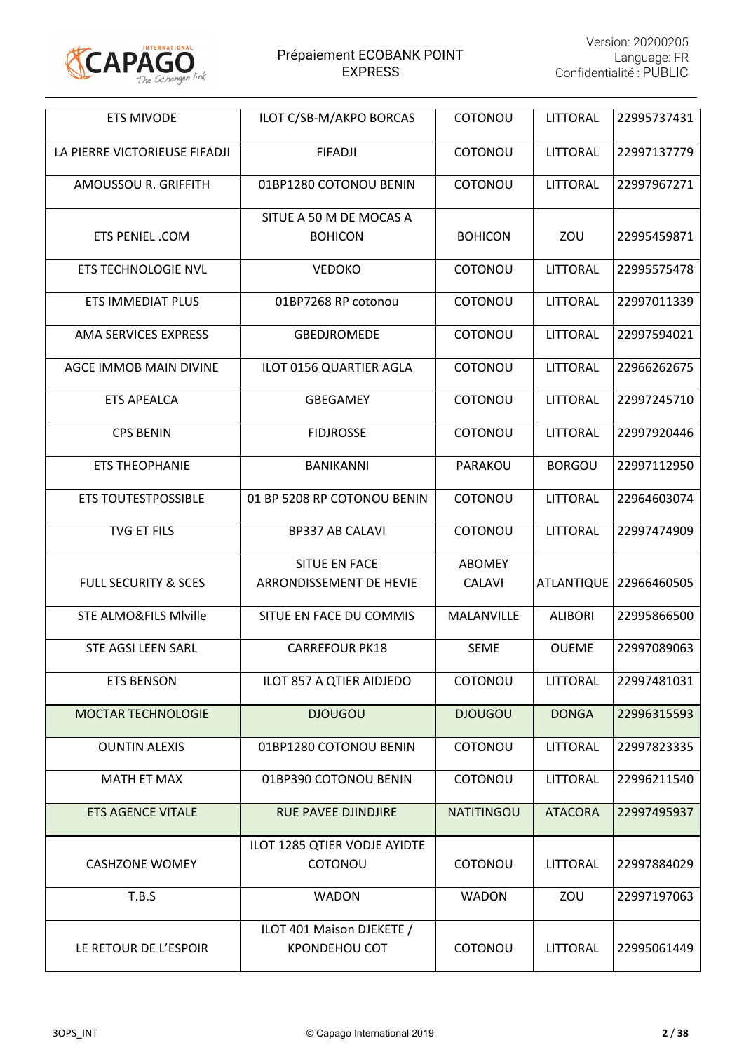

| <b>ETS MIVODE</b>                | ILOT C/SB-M/AKPO BORCAS                           | COTONOU                        | LITTORAL          | 22995737431 |
|----------------------------------|---------------------------------------------------|--------------------------------|-------------------|-------------|
| LA PIERRE VICTORIEUSE FIFADJI    | <b>FIFADJI</b>                                    | COTONOU                        | LITTORAL          | 22997137779 |
| AMOUSSOU R. GRIFFITH             | 01BP1280 COTONOU BENIN                            | COTONOU                        | LITTORAL          | 22997967271 |
| <b>ETS PENIEL .COM</b>           | SITUE A 50 M DE MOCAS A<br><b>BOHICON</b>         | <b>BOHICON</b>                 | ZOU               | 22995459871 |
| ETS TECHNOLOGIE NVL              | <b>VEDOKO</b>                                     | COTONOU                        | <b>LITTORAL</b>   | 22995575478 |
| <b>ETS IMMEDIAT PLUS</b>         | 01BP7268 RP cotonou                               | COTONOU                        | <b>LITTORAL</b>   | 22997011339 |
| AMA SERVICES EXPRESS             | <b>GBEDJROMEDE</b>                                | COTONOU                        | LITTORAL          | 22997594021 |
| AGCE IMMOB MAIN DIVINE           | ILOT 0156 QUARTIER AGLA                           | COTONOU                        | <b>LITTORAL</b>   | 22966262675 |
| <b>ETS APEALCA</b>               | <b>GBEGAMEY</b>                                   | COTONOU                        | LITTORAL          | 22997245710 |
| <b>CPS BENIN</b>                 | <b>FIDJROSSE</b>                                  | COTONOU                        | LITTORAL          | 22997920446 |
| <b>ETS THEOPHANIE</b>            | <b>BANIKANNI</b>                                  | PARAKOU                        | <b>BORGOU</b>     | 22997112950 |
| <b>ETS TOUTESTPOSSIBLE</b>       | 01 BP 5208 RP COTONOU BENIN                       | COTONOU                        | LITTORAL          | 22964603074 |
| <b>TVG ET FILS</b>               | <b>BP337 AB CALAVI</b>                            | COTONOU                        | <b>LITTORAL</b>   | 22997474909 |
| <b>FULL SECURITY &amp; SCES</b>  | SITUE EN FACE<br>ARRONDISSEMENT DE HEVIE          | <b>ABOMEY</b><br><b>CALAVI</b> | <b>ATLANTIQUE</b> | 22966460505 |
| <b>STE ALMO&amp;FILS Miville</b> | SITUE EN FACE DU COMMIS                           | MALANVILLE                     | <b>ALIBORI</b>    | 22995866500 |
| <b>STE AGSI LEEN SARL</b>        | <b>CARREFOUR PK18</b>                             | <b>SEME</b>                    | <b>OUEME</b>      | 22997089063 |
| <b>ETS BENSON</b>                | ILOT 857 A QTIER AIDJEDO                          | COTONOU                        | <b>LITTORAL</b>   | 22997481031 |
| <b>MOCTAR TECHNOLOGIE</b>        | <b>DJOUGOU</b>                                    | <b>DJOUGOU</b>                 | <b>DONGA</b>      | 22996315593 |
| <b>OUNTIN ALEXIS</b>             | 01BP1280 COTONOU BENIN                            | COTONOU                        | <b>LITTORAL</b>   | 22997823335 |
| <b>MATH ET MAX</b>               | 01BP390 COTONOU BENIN                             | COTONOU                        | <b>LITTORAL</b>   | 22996211540 |
| <b>ETS AGENCE VITALE</b>         | <b>RUE PAVEE DJINDJIRE</b>                        | <b>NATITINGOU</b>              | <b>ATACORA</b>    | 22997495937 |
| <b>CASHZONE WOMEY</b>            | ILOT 1285 QTIER VODJE AYIDTE<br><b>COTONOU</b>    | COTONOU                        | <b>LITTORAL</b>   | 22997884029 |
| T.B.S                            | <b>WADON</b>                                      | <b>WADON</b>                   | ZOU               | 22997197063 |
| LE RETOUR DE L'ESPOIR            | ILOT 401 Maison DJEKETE /<br><b>KPONDEHOU COT</b> | COTONOU                        | <b>LITTORAL</b>   | 22995061449 |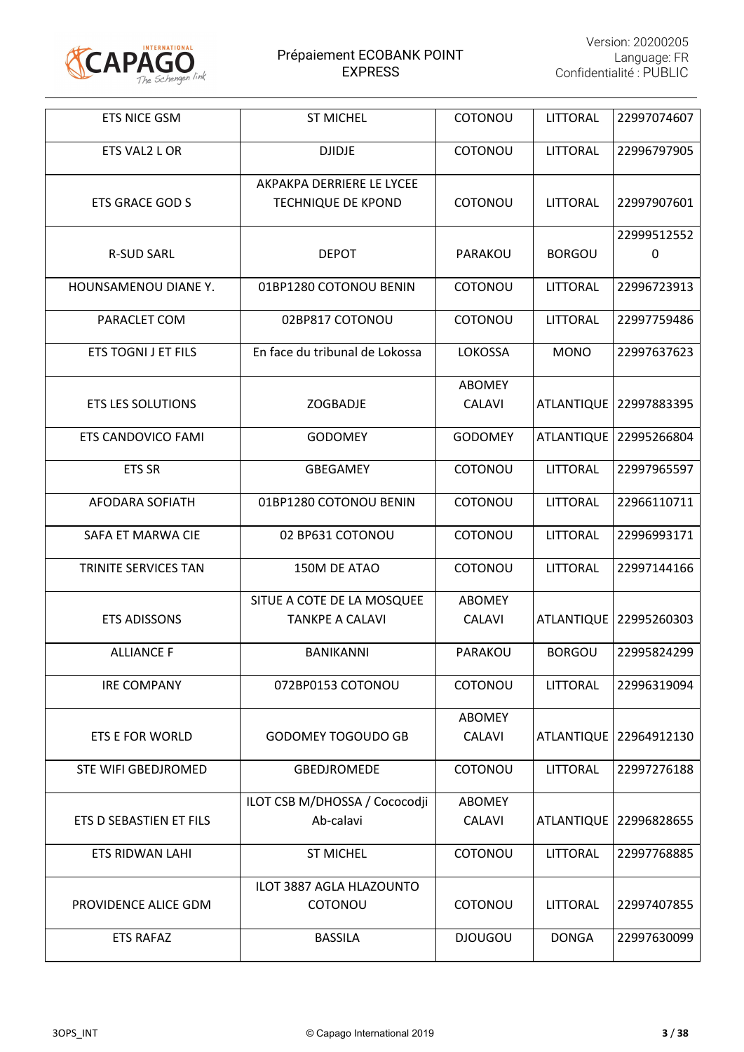

| <b>ETS NICE GSM</b>        | <b>ST MICHEL</b>                                       | COTONOU                        | <b>LITTORAL</b>   | 22997074607                |
|----------------------------|--------------------------------------------------------|--------------------------------|-------------------|----------------------------|
| ETS VAL2 L OR              | <b>DJIDJE</b>                                          | COTONOU                        | <b>LITTORAL</b>   | 22996797905                |
| <b>ETS GRACE GOD S</b>     | AKPAKPA DERRIERE LE LYCEE<br><b>TECHNIQUE DE KPOND</b> | COTONOU                        | <b>LITTORAL</b>   | 22997907601                |
| <b>R-SUD SARL</b>          | <b>DEPOT</b>                                           | PARAKOU                        | <b>BORGOU</b>     | 22999512552<br>$\mathbf 0$ |
| HOUNSAMENOU DIANE Y.       | 01BP1280 COTONOU BENIN                                 | COTONOU                        | <b>LITTORAL</b>   | 22996723913                |
| PARACLET COM               | 02BP817 COTONOU                                        | COTONOU                        | <b>LITTORAL</b>   | 22997759486                |
| <b>ETS TOGNI J ET FILS</b> | En face du tribunal de Lokossa                         | <b>LOKOSSA</b>                 | <b>MONO</b>       | 22997637623                |
| <b>ETS LES SOLUTIONS</b>   | <b>ZOGBADJE</b>                                        | <b>ABOMEY</b><br><b>CALAVI</b> | <b>ATLANTIQUE</b> | 22997883395                |
| ETS CANDOVICO FAMI         | <b>GODOMEY</b>                                         | <b>GODOMEY</b>                 | <b>ATLANTIQUE</b> | 22995266804                |
| <b>ETS SR</b>              | <b>GBEGAMEY</b>                                        | COTONOU                        | <b>LITTORAL</b>   | 22997965597                |
| AFODARA SOFIATH            | 01BP1280 COTONOU BENIN                                 | COTONOU                        | LITTORAL          | 22966110711                |
| SAFA ET MARWA CIE          | 02 BP631 COTONOU                                       | COTONOU                        | <b>LITTORAL</b>   | 22996993171                |
| TRINITE SERVICES TAN       | 150M DE ATAO                                           | COTONOU                        | <b>LITTORAL</b>   | 22997144166                |
| <b>ETS ADISSONS</b>        | SITUE A COTE DE LA MOSQUEE<br><b>TANKPE A CALAVI</b>   | <b>ABOMEY</b><br><b>CALAVI</b> | <b>ATLANTIQUE</b> | 22995260303                |
| <b>ALLIANCE F</b>          | <b>BANIKANNI</b>                                       | PARAKOU                        | <b>BORGOU</b>     | 22995824299                |
| <b>IRE COMPANY</b>         | 072BP0153 COTONOU                                      | COTONOU                        | <b>LITTORAL</b>   | 22996319094                |
| ETS E FOR WORLD            | <b>GODOMEY TOGOUDO GB</b>                              | <b>ABOMEY</b><br><b>CALAVI</b> |                   | ATLANTIQUE   22964912130   |
| <b>STE WIFI GBEDJROMED</b> | <b>GBEDJROMEDE</b>                                     | COTONOU                        | LITTORAL          | 22997276188                |
| ETS D SEBASTIEN ET FILS    | ILOT CSB M/DHOSSA / Cococodji<br>Ab-calavi             | <b>ABOMEY</b><br><b>CALAVI</b> |                   | ATLANTIQUE   22996828655   |
| ETS RIDWAN LAHI            | <b>ST MICHEL</b>                                       | COTONOU                        | LITTORAL          | 22997768885                |
| PROVIDENCE ALICE GDM       | ILOT 3887 AGLA HLAZOUNTO<br>COTONOU                    | COTONOU                        | LITTORAL          | 22997407855                |
| <b>ETS RAFAZ</b>           | <b>BASSILA</b>                                         | <b>DJOUGOU</b>                 | <b>DONGA</b>      | 22997630099                |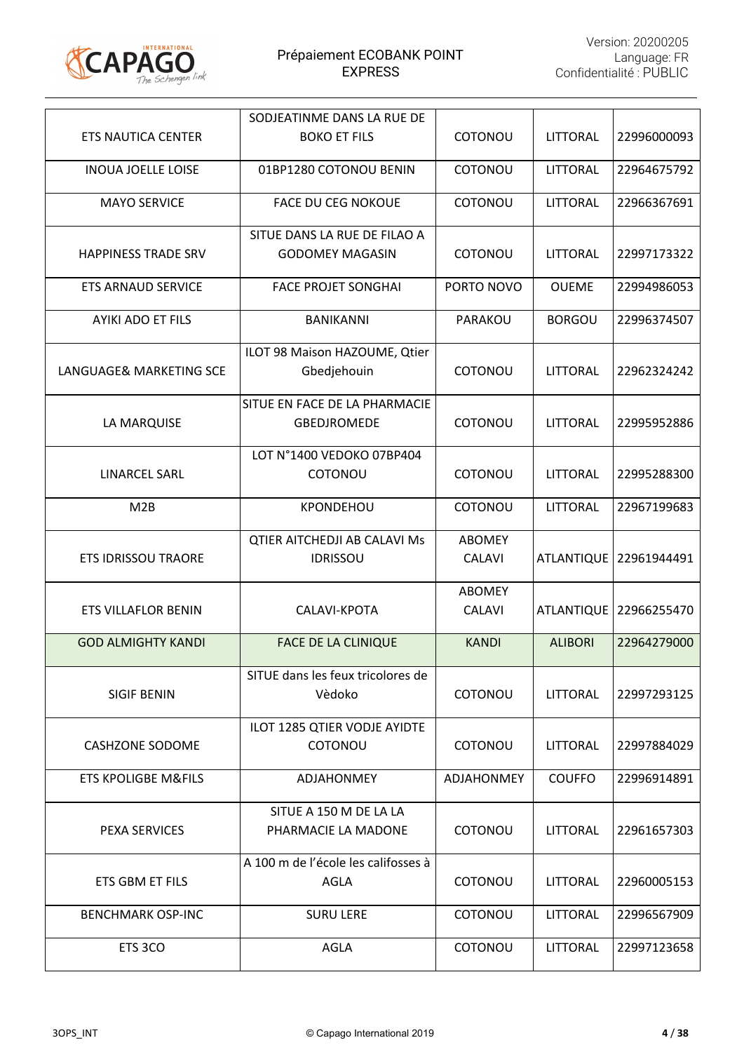

|                                | SODJEATINME DANS LA RUE DE          |                   |                   |             |
|--------------------------------|-------------------------------------|-------------------|-------------------|-------------|
| <b>ETS NAUTICA CENTER</b>      | <b>BOKO ET FILS</b>                 | COTONOU           | <b>LITTORAL</b>   | 22996000093 |
| <b>INOUA JOELLE LOISE</b>      | 01BP1280 COTONOU BENIN              | COTONOU           | LITTORAL          | 22964675792 |
| <b>MAYO SERVICE</b>            | <b>FACE DU CEG NOKOUE</b>           | COTONOU           | LITTORAL          | 22966367691 |
|                                | SITUE DANS LA RUE DE FILAO A        |                   |                   |             |
| <b>HAPPINESS TRADE SRV</b>     | <b>GODOMEY MAGASIN</b>              | COTONOU           | <b>LITTORAL</b>   | 22997173322 |
| <b>ETS ARNAUD SERVICE</b>      | <b>FACE PROJET SONGHAI</b>          | PORTO NOVO        | <b>OUEME</b>      | 22994986053 |
| <b>AYIKI ADO ET FILS</b>       | <b>BANIKANNI</b>                    | PARAKOU           | <b>BORGOU</b>     | 22996374507 |
|                                | ILOT 98 Maison HAZOUME, Qtier       |                   |                   |             |
| LANGUAGE& MARKETING SCE        | Gbedjehouin                         | COTONOU           | <b>LITTORAL</b>   | 22962324242 |
|                                | SITUE EN FACE DE LA PHARMACIE       |                   |                   |             |
| LA MARQUISE                    | <b>GBEDJROMEDE</b>                  | COTONOU           | <b>LITTORAL</b>   | 22995952886 |
|                                | LOT N°1400 VEDOKO 07BP404           |                   |                   |             |
| <b>LINARCEL SARL</b>           | COTONOU                             | COTONOU           | <b>LITTORAL</b>   | 22995288300 |
| M2B                            | <b>KPONDEHOU</b>                    | COTONOU           | LITTORAL          | 22967199683 |
|                                | <b>QTIER AITCHEDJI AB CALAVI Ms</b> | <b>ABOMEY</b>     |                   |             |
| <b>ETS IDRISSOU TRAORE</b>     | <b>IDRISSOU</b>                     | <b>CALAVI</b>     | <b>ATLANTIQUE</b> | 22961944491 |
|                                |                                     | <b>ABOMEY</b>     |                   |             |
| <b>ETS VILLAFLOR BENIN</b>     | CALAVI-KPOTA                        | <b>CALAVI</b>     | <b>ATLANTIQUE</b> | 22966255470 |
|                                |                                     |                   |                   |             |
| <b>GOD ALMIGHTY KANDI</b>      | <b>FACE DE LA CLINIQUE</b>          | <b>KANDI</b>      | <b>ALIBORI</b>    | 22964279000 |
|                                | SITUE dans les feux tricolores de   |                   |                   |             |
| <b>SIGIF BENIN</b>             | Vèdoko                              | COTONOU           | <b>LITTORAL</b>   | 22997293125 |
|                                | ILOT 1285 QTIER VODJE AYIDTE        |                   |                   |             |
| <b>CASHZONE SODOME</b>         | COTONOU                             | COTONOU           | <b>LITTORAL</b>   | 22997884029 |
| <b>ETS KPOLIGBE M&amp;FILS</b> | <b>ADJAHONMEY</b>                   | <b>ADJAHONMEY</b> | <b>COUFFO</b>     | 22996914891 |
|                                | SITUE A 150 M DE LA LA              |                   |                   |             |
| <b>PEXA SERVICES</b>           | PHARMACIE LA MADONE                 | COTONOU           | <b>LITTORAL</b>   | 22961657303 |
|                                | A 100 m de l'école les califosses à |                   |                   |             |
| ETS GBM ET FILS                | <b>AGLA</b>                         | COTONOU           | <b>LITTORAL</b>   | 22960005153 |
| <b>BENCHMARK OSP-INC</b>       | <b>SURU LERE</b>                    | COTONOU           | LITTORAL          | 22996567909 |
| ETS 3CO                        | <b>AGLA</b>                         | COTONOU           | <b>LITTORAL</b>   | 22997123658 |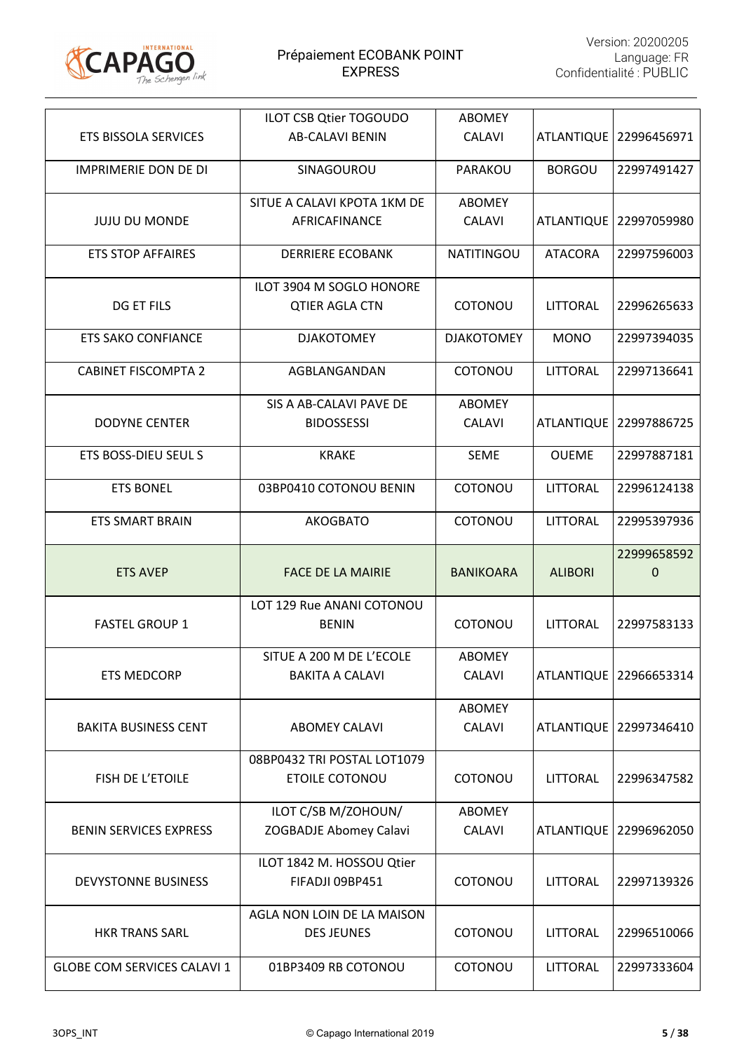

|                               | ILOT CSB Qtier TOGOUDO        | <b>ABOMEY</b>     |                   |                          |
|-------------------------------|-------------------------------|-------------------|-------------------|--------------------------|
| <b>ETS BISSOLA SERVICES</b>   | <b>AB-CALAVI BENIN</b>        | <b>CALAVI</b>     |                   | ATLANTIQUE   22996456971 |
| <b>IMPRIMERIE DON DE DI</b>   | SINAGOUROU                    | PARAKOU           | <b>BORGOU</b>     | 22997491427              |
|                               | SITUE A CALAVI KPOTA 1KM DE   | <b>ABOMEY</b>     |                   |                          |
| <b>JUJU DU MONDE</b>          | AFRICAFINANCE                 | <b>CALAVI</b>     |                   | ATLANTIQUE   22997059980 |
| <b>ETS STOP AFFAIRES</b>      | <b>DERRIERE ECOBANK</b>       | <b>NATITINGOU</b> | <b>ATACORA</b>    | 22997596003              |
|                               | ILOT 3904 M SOGLO HONORE      |                   |                   |                          |
| DG ET FILS                    | <b>QTIER AGLA CTN</b>         | COTONOU           | LITTORAL          | 22996265633              |
| <b>ETS SAKO CONFIANCE</b>     | <b>DJAKOTOMEY</b>             | <b>DJAKOTOMEY</b> | <b>MONO</b>       | 22997394035              |
| <b>CABINET FISCOMPTA 2</b>    | AGBLANGANDAN                  | COTONOU           | <b>LITTORAL</b>   | 22997136641              |
|                               | SIS A AB-CALAVI PAVE DE       | ABOMEY            |                   |                          |
| <b>DODYNE CENTER</b>          | <b>BIDOSSESSI</b>             | <b>CALAVI</b>     | <b>ATLANTIQUE</b> | 22997886725              |
| ETS BOSS-DIEU SEUL S          | <b>KRAKE</b>                  | <b>SEME</b>       | <b>OUEME</b>      | 22997887181              |
| <b>ETS BONEL</b>              | 03BP0410 COTONOU BENIN        | COTONOU           | LITTORAL          | 22996124138              |
| <b>ETS SMART BRAIN</b>        | <b>AKOGBATO</b>               | COTONOU           | <b>LITTORAL</b>   | 22995397936              |
|                               |                               |                   |                   |                          |
|                               |                               |                   |                   |                          |
| <b>ETS AVEP</b>               | <b>FACE DE LA MAIRIE</b>      | <b>BANIKOARA</b>  | <b>ALIBORI</b>    | 22999658592<br>0         |
|                               | LOT 129 Rue ANANI COTONOU     |                   |                   |                          |
| <b>FASTEL GROUP 1</b>         | <b>BENIN</b>                  | COTONOU           | <b>LITTORAL</b>   | 22997583133              |
|                               | SITUE A 200 M DE L'ECOLE      | <b>ABOMEY</b>     |                   |                          |
| <b>ETS MEDCORP</b>            | <b>BAKITA A CALAVI</b>        | <b>CALAVI</b>     |                   | ATLANTIQUE 22966653314   |
|                               |                               | <b>ABOMEY</b>     |                   |                          |
| <b>BAKITA BUSINESS CENT</b>   | <b>ABOMEY CALAVI</b>          | <b>CALAVI</b>     |                   | ATLANTIQUE   22997346410 |
|                               | 08BP0432 TRI POSTAL LOT1079   |                   |                   |                          |
| FISH DE L'ETOILE              | <b>ETOILE COTONOU</b>         | COTONOU           | <b>LITTORAL</b>   | 22996347582              |
|                               | ILOT C/SB M/ZOHOUN/           | <b>ABOMEY</b>     |                   |                          |
| <b>BENIN SERVICES EXPRESS</b> | <b>ZOGBADJE Abomey Calavi</b> | <b>CALAVI</b>     |                   | ATLANTIQUE   22996962050 |
|                               | ILOT 1842 M. HOSSOU Qtier     |                   |                   |                          |
| <b>DEVYSTONNE BUSINESS</b>    | FIFADJI 09BP451               | COTONOU           | LITTORAL          | 22997139326              |
|                               | AGLA NON LOIN DE LA MAISON    |                   |                   |                          |
| <b>HKR TRANS SARL</b>         | <b>DES JEUNES</b>             | COTONOU           | LITTORAL          | 22996510066              |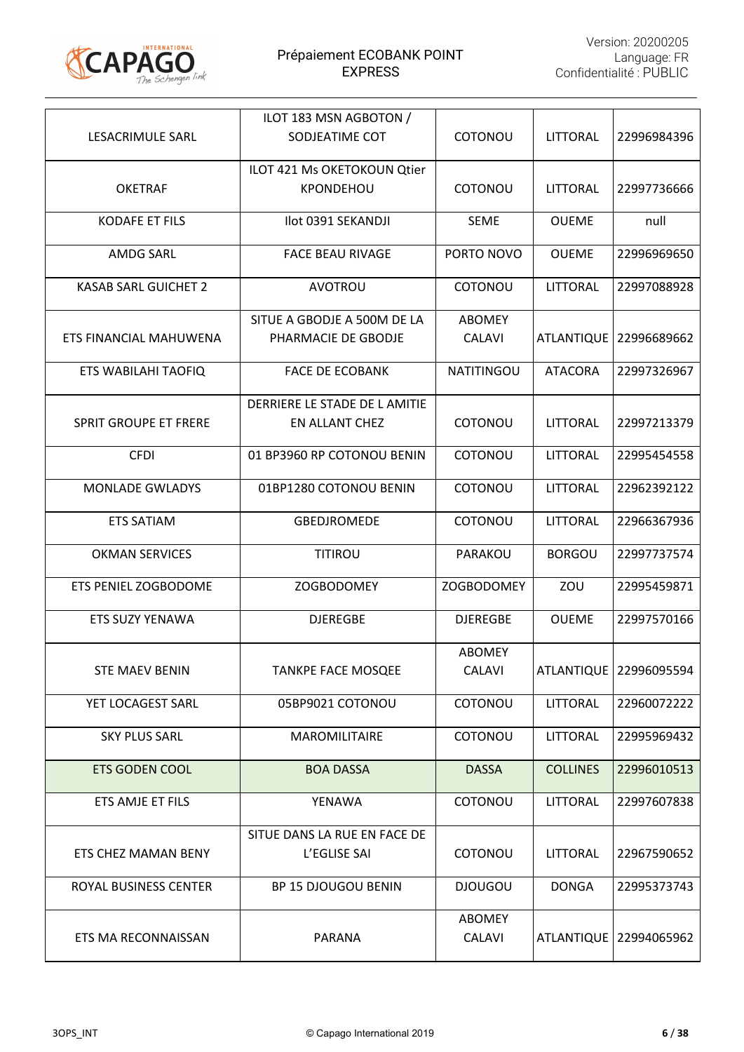

|                              | ILOT 183 MSN AGBOTON /       |                         |                   |                        |
|------------------------------|------------------------------|-------------------------|-------------------|------------------------|
| LESACRIMULE SARL             | SODJEATIME COT               | COTONOU                 | LITTORAL          | 22996984396            |
|                              | ILOT 421 Ms OKETOKOUN Qtier  |                         |                   |                        |
| <b>OKETRAF</b>               | KPONDEHOU                    | COTONOU                 | LITTORAL          | 22997736666            |
| <b>KODAFE ET FILS</b>        | Ilot 0391 SEKANDJI           | <b>SEME</b>             | <b>OUEME</b>      | null                   |
| <b>AMDG SARL</b>             | <b>FACE BEAU RIVAGE</b>      | PORTO NOVO              | <b>OUEME</b>      | 22996969650            |
| <b>KASAB SARL GUICHET 2</b>  | <b>AVOTROU</b>               | COTONOU                 | <b>LITTORAL</b>   | 22997088928            |
|                              | SITUE A GBODJE A 500M DE LA  | <b>ABOMEY</b>           |                   |                        |
| ETS FINANCIAL MAHUWENA       | PHARMACIE DE GBODJE          | <b>CALAVI</b>           | <b>ATLANTIQUE</b> | 22996689662            |
| ETS WABILAHI TAOFIQ          | <b>FACE DE ECOBANK</b>       | <b>NATITINGOU</b>       | <b>ATACORA</b>    | 22997326967            |
|                              | DERRIERE LE STADE DE LAMITIE |                         |                   |                        |
| <b>SPRIT GROUPE ET FRERE</b> | EN ALLANT CHEZ               | COTONOU                 | LITTORAL          | 22997213379            |
| <b>CFDI</b>                  | 01 BP3960 RP COTONOU BENIN   | COTONOU                 | <b>LITTORAL</b>   | 22995454558            |
| <b>MONLADE GWLADYS</b>       | 01BP1280 COTONOU BENIN       | COTONOU                 | LITTORAL          | 22962392122            |
| <b>ETS SATIAM</b>            | <b>GBEDJROMEDE</b>           | COTONOU                 | LITTORAL          | 22966367936            |
| <b>OKMAN SERVICES</b>        | <b>TITIROU</b>               | PARAKOU                 | <b>BORGOU</b>     | 22997737574            |
| ETS PENIEL ZOGBODOME         | <b>ZOGBODOMEY</b>            | <b>ZOGBODOMEY</b>       | ZOU               | 22995459871            |
| <b>ETS SUZY YENAWA</b>       | <b>DJEREGBE</b>              | <b>DJEREGBE</b>         | <b>OUEME</b>      | 22997570166            |
|                              |                              | <b>ABOMEY</b>           |                   |                        |
| <b>STE MAEV BENIN</b>        | <b>TANKPE FACE MOSQEE</b>    | <b>CALAVI</b>           |                   | ATLANTIQUE 22996095594 |
| YET LOCAGEST SARL            | 05BP9021 COTONOU             | COTONOU                 | LITTORAL          | 22960072222            |
| <b>SKY PLUS SARL</b>         | <b>MAROMILITAIRE</b>         | COTONOU                 | <b>LITTORAL</b>   | 22995969432            |
| <b>ETS GODEN COOL</b>        | <b>BOA DASSA</b>             | <b>DASSA</b>            | <b>COLLINES</b>   | 22996010513            |
| ETS AMJE ET FILS             | YENAWA                       | COTONOU                 | LITTORAL          | 22997607838            |
|                              | SITUE DANS LA RUE EN FACE DE |                         |                   |                        |
| ETS CHEZ MAMAN BENY          | L'EGLISE SAI                 | COTONOU                 | <b>LITTORAL</b>   | 22967590652            |
| ROYAL BUSINESS CENTER        | BP 15 DJOUGOU BENIN          | <b>DJOUGOU</b>          | <b>DONGA</b>      | 22995373743            |
| ETS MA RECONNAISSAN          | PARANA                       | <b>ABOMEY</b><br>CALAVI | <b>ATLANTIQUE</b> | 22994065962            |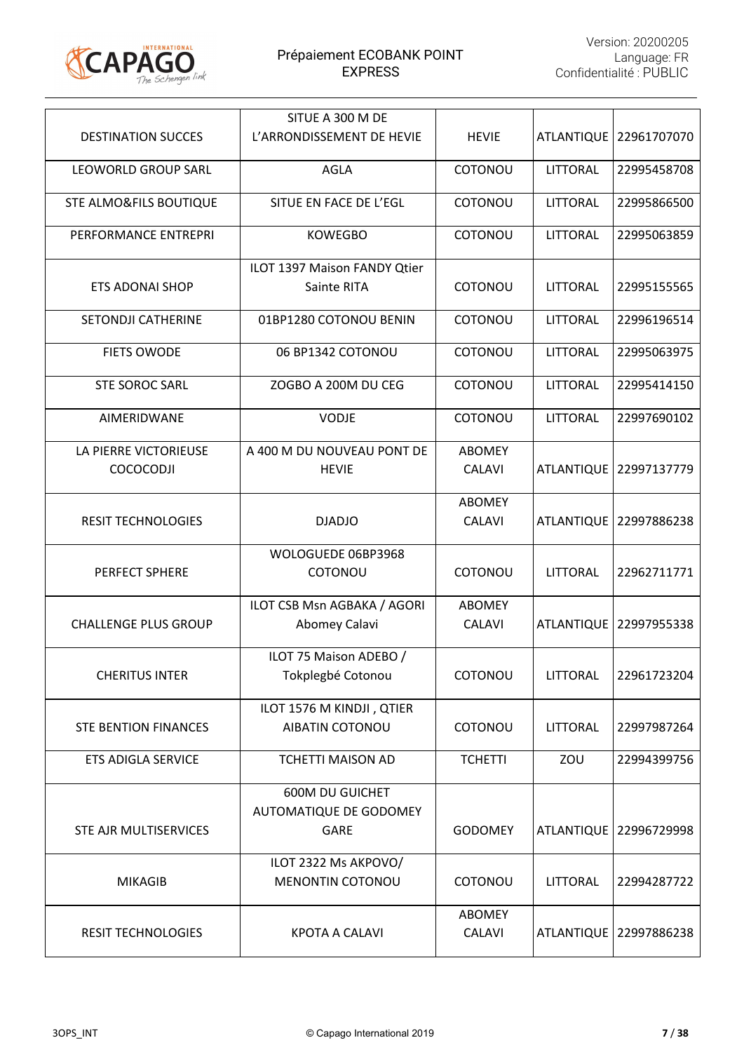

|                                           | SITUE A 300 M DE                                         |                                |                   |             |
|-------------------------------------------|----------------------------------------------------------|--------------------------------|-------------------|-------------|
| <b>DESTINATION SUCCES</b>                 | L'ARRONDISSEMENT DE HEVIE                                | <b>HEVIE</b>                   | <b>ATLANTIQUE</b> | 22961707070 |
| <b>LEOWORLD GROUP SARL</b>                | <b>AGLA</b>                                              | COTONOU                        | LITTORAL          | 22995458708 |
| STE ALMO&FILS BOUTIQUE                    | SITUE EN FACE DE L'EGL                                   | COTONOU                        | <b>LITTORAL</b>   | 22995866500 |
| PERFORMANCE ENTREPRI                      | <b>KOWEGBO</b>                                           | COTONOU                        | <b>LITTORAL</b>   | 22995063859 |
| <b>ETS ADONAI SHOP</b>                    | ILOT 1397 Maison FANDY Qtier<br>Sainte RITA              | COTONOU                        | LITTORAL          | 22995155565 |
| SETONDJI CATHERINE                        | 01BP1280 COTONOU BENIN                                   | COTONOU                        | LITTORAL          | 22996196514 |
| <b>FIETS OWODE</b>                        | 06 BP1342 COTONOU                                        | COTONOU                        | <b>LITTORAL</b>   | 22995063975 |
| <b>STE SOROC SARL</b>                     | ZOGBO A 200M DU CEG                                      | COTONOU                        | LITTORAL          | 22995414150 |
| AIMERIDWANE                               | <b>VODJE</b>                                             | COTONOU                        | LITTORAL          | 22997690102 |
| LA PIERRE VICTORIEUSE<br><b>COCOCODJI</b> | A 400 M DU NOUVEAU PONT DE<br><b>HEVIE</b>               | <b>ABOMEY</b><br><b>CALAVI</b> | <b>ATLANTIQUE</b> | 22997137779 |
| <b>RESIT TECHNOLOGIES</b>                 | <b>DJADJO</b>                                            | <b>ABOMEY</b><br><b>CALAVI</b> | <b>ATLANTIQUE</b> | 22997886238 |
| PERFECT SPHERE                            | WOLOGUEDE 06BP3968<br>COTONOU                            | COTONOU                        | <b>LITTORAL</b>   | 22962711771 |
| <b>CHALLENGE PLUS GROUP</b>               | ILOT CSB Msn AGBAKA / AGORI<br>Abomey Calavi             | <b>ABOMEY</b><br><b>CALAVI</b> | <b>ATLANTIQUE</b> | 22997955338 |
| <b>CHERITUS INTER</b>                     | ILOT 75 Maison ADEBO /<br>Tokplegbé Cotonou              | COTONOU                        | <b>LITTORAL</b>   | 22961723204 |
| <b>STE BENTION FINANCES</b>               | ILOT 1576 M KINDJI, QTIER<br><b>AIBATIN COTONOU</b>      | COTONOU                        | <b>LITTORAL</b>   | 22997987264 |
| <b>ETS ADIGLA SERVICE</b>                 | <b>TCHETTI MAISON AD</b>                                 | <b>TCHETTI</b>                 | ZOU               | 22994399756 |
| STE AJR MULTISERVICES                     | <b>600M DU GUICHET</b><br>AUTOMATIQUE DE GODOMEY<br>GARE | <b>GODOMEY</b>                 | <b>ATLANTIQUE</b> | 22996729998 |
| <b>MIKAGIB</b>                            | ILOT 2322 Ms AKPOVO/<br><b>MENONTIN COTONOU</b>          | COTONOU                        | <b>LITTORAL</b>   | 22994287722 |
| <b>RESIT TECHNOLOGIES</b>                 | <b>KPOTA A CALAVI</b>                                    | <b>ABOMEY</b><br><b>CALAVI</b> | <b>ATLANTIQUE</b> | 22997886238 |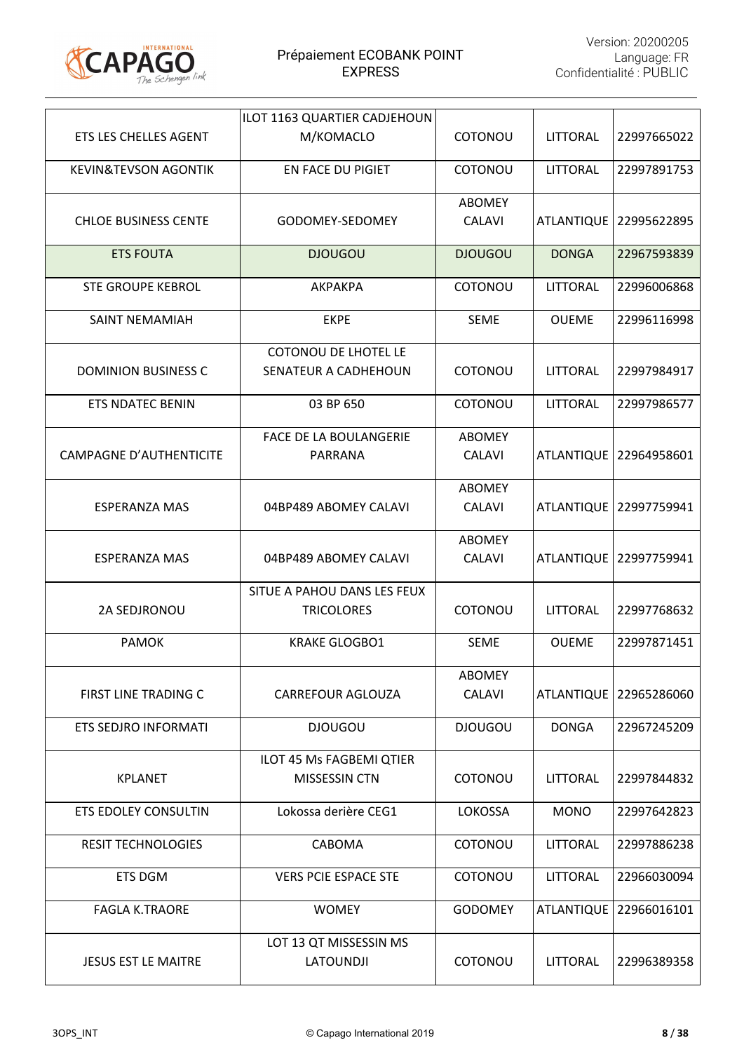

|                                 | ILOT 1163 QUARTIER CADJEHOUN                        |                                |                   |                          |
|---------------------------------|-----------------------------------------------------|--------------------------------|-------------------|--------------------------|
| ETS LES CHELLES AGENT           | M/KOMACLO                                           | COTONOU                        | LITTORAL          | 22997665022              |
| <b>KEVIN&amp;TEVSON AGONTIK</b> | EN FACE DU PIGIET                                   | COTONOU                        | <b>LITTORAL</b>   | 22997891753              |
| <b>CHLOE BUSINESS CENTE</b>     | GODOMEY-SEDOMEY                                     | <b>ABOMEY</b><br><b>CALAVI</b> |                   | ATLANTIQUE   22995622895 |
| <b>ETS FOUTA</b>                | <b>DJOUGOU</b>                                      | <b>DJOUGOU</b>                 | <b>DONGA</b>      | 22967593839              |
| <b>STE GROUPE KEBROL</b>        | <b>AKPAKPA</b>                                      | COTONOU                        | LITTORAL          | 22996006868              |
| <b>SAINT NEMAMIAH</b>           | <b>EKPE</b>                                         | <b>SEME</b>                    | <b>OUEME</b>      | 22996116998              |
| <b>DOMINION BUSINESS C</b>      | <b>COTONOU DE LHOTEL LE</b><br>SENATEUR A CADHEHOUN | COTONOU                        | <b>LITTORAL</b>   | 22997984917              |
| <b>ETS NDATEC BENIN</b>         | 03 BP 650                                           | COTONOU                        | <b>LITTORAL</b>   | 22997986577              |
| <b>CAMPAGNE D'AUTHENTICITE</b>  | <b>FACE DE LA BOULANGERIE</b><br>PARRANA            | <b>ABOMEY</b><br><b>CALAVI</b> |                   | ATLANTIQUE   22964958601 |
| <b>ESPERANZA MAS</b>            | 04BP489 ABOMEY CALAVI                               | <b>ABOMEY</b><br><b>CALAVI</b> | <b>ATLANTIQUE</b> | 22997759941              |
| <b>ESPERANZA MAS</b>            | 04BP489 ABOMEY CALAVI                               | ABOMEY<br><b>CALAVI</b>        | <b>ATLANTIQUE</b> | 22997759941              |
| 2A SEDJRONOU                    | SITUE A PAHOU DANS LES FEUX<br><b>TRICOLORES</b>    | COTONOU                        | <b>LITTORAL</b>   | 22997768632              |
| <b>PAMOK</b>                    | <b>KRAKE GLOGBO1</b>                                | <b>SEME</b>                    | <b>OUEME</b>      | 22997871451              |
| <b>FIRST LINE TRADING C</b>     | <b>CARREFOUR AGLOUZA</b>                            | <b>ABOMEY</b><br><b>CALAVI</b> |                   | ATLANTIQUE   22965286060 |
| <b>ETS SEDJRO INFORMATI</b>     | <b>DJOUGOU</b>                                      | <b>DJOUGOU</b>                 | <b>DONGA</b>      | 22967245209              |
| <b>KPLANET</b>                  | ILOT 45 Ms FAGBEMI QTIER<br>MISSESSIN CTN           | COTONOU                        | <b>LITTORAL</b>   | 22997844832              |
| ETS EDOLEY CONSULTIN            | Lokossa derière CEG1                                | LOKOSSA                        | <b>MONO</b>       | 22997642823              |
| <b>RESIT TECHNOLOGIES</b>       | CABOMA                                              | COTONOU                        | <b>LITTORAL</b>   | 22997886238              |
| ETS DGM                         | <b>VERS PCIE ESPACE STE</b>                         | COTONOU                        | <b>LITTORAL</b>   | 22966030094              |
| <b>FAGLA K.TRAORE</b>           | <b>WOMEY</b>                                        | <b>GODOMEY</b>                 | <b>ATLANTIQUE</b> | 22966016101              |
| <b>JESUS EST LE MAITRE</b>      | LOT 13 QT MISSESSIN MS<br><b>LATOUNDJI</b>          | COTONOU                        | <b>LITTORAL</b>   | 22996389358              |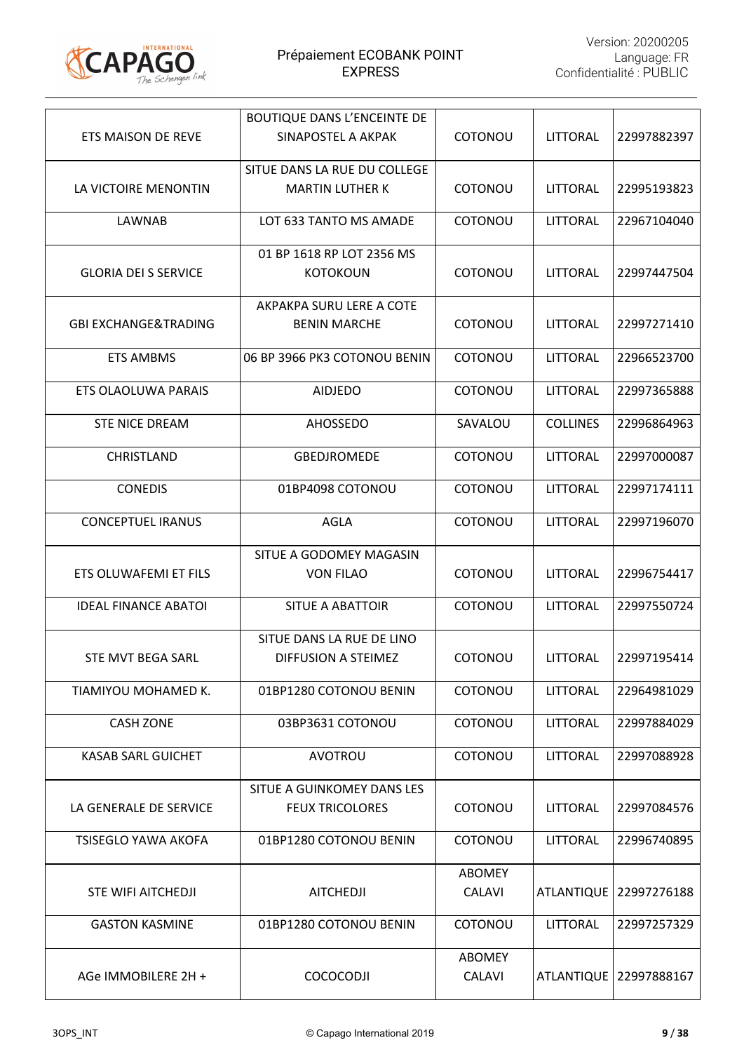

|                                 | <b>BOUTIQUE DANS L'ENCEINTE DE</b> |                |                   |             |
|---------------------------------|------------------------------------|----------------|-------------------|-------------|
| ETS MAISON DE REVE              | SINAPOSTEL A AKPAK                 | <b>COTONOU</b> | <b>LITTORAL</b>   | 22997882397 |
|                                 | SITUE DANS LA RUE DU COLLEGE       |                |                   |             |
| LA VICTOIRE MENONTIN            | <b>MARTIN LUTHER K</b>             | COTONOU        | <b>LITTORAL</b>   | 22995193823 |
| LAWNAB                          | LOT 633 TANTO MS AMADE             | COTONOU        | <b>LITTORAL</b>   | 22967104040 |
|                                 | 01 BP 1618 RP LOT 2356 MS          |                |                   |             |
| <b>GLORIA DEI S SERVICE</b>     | <b>KOTOKOUN</b>                    | COTONOU        | LITTORAL          | 22997447504 |
|                                 | AKPAKPA SURU LERE A COTE           |                |                   |             |
| <b>GBI EXCHANGE&amp;TRADING</b> | <b>BENIN MARCHE</b>                | COTONOU        | LITTORAL          | 22997271410 |
| <b>ETS AMBMS</b>                | 06 BP 3966 PK3 COTONOU BENIN       | COTONOU        | LITTORAL          | 22966523700 |
| <b>ETS OLAOLUWA PARAIS</b>      | <b>AIDJEDO</b>                     | COTONOU        | LITTORAL          | 22997365888 |
| <b>STE NICE DREAM</b>           | <b>AHOSSEDO</b>                    | SAVALOU        | <b>COLLINES</b>   | 22996864963 |
| <b>CHRISTLAND</b>               | <b>GBEDJROMEDE</b>                 | COTONOU        | <b>LITTORAL</b>   | 22997000087 |
| <b>CONEDIS</b>                  | 01BP4098 COTONOU                   | COTONOU        | <b>LITTORAL</b>   | 22997174111 |
| <b>CONCEPTUEL IRANUS</b>        | <b>AGLA</b>                        | COTONOU        | LITTORAL          | 22997196070 |
|                                 | SITUE A GODOMEY MAGASIN            |                |                   |             |
| ETS OLUWAFEMI ET FILS           | <b>VON FILAO</b>                   | COTONOU        | LITTORAL          | 22996754417 |
| <b>IDEAL FINANCE ABATOI</b>     | <b>SITUE A ABATTOIR</b>            | COTONOU        | <b>LITTORAL</b>   | 22997550724 |
|                                 | SITUE DANS LA RUE DE LINO          |                |                   |             |
| STE MVT BEGA SARL               | DIFFUSION A STEIMEZ                | <b>COTONOU</b> | <b>LITTORAL</b>   | 22997195414 |
| TIAMIYOU MOHAMED K.             | 01BP1280 COTONOU BENIN             | COTONOU        | <b>LITTORAL</b>   | 22964981029 |
| <b>CASH ZONE</b>                | 03BP3631 COTONOU                   | COTONOU        | <b>LITTORAL</b>   | 22997884029 |
| <b>KASAB SARL GUICHET</b>       | AVOTROU                            | COTONOU        | LITTORAL          | 22997088928 |
|                                 | SITUE A GUINKOMEY DANS LES         |                |                   |             |
| LA GENERALE DE SERVICE          | <b>FEUX TRICOLORES</b>             | COTONOU        | LITTORAL          | 22997084576 |
| <b>TSISEGLO YAWA AKOFA</b>      | 01BP1280 COTONOU BENIN             | COTONOU        | LITTORAL          | 22996740895 |
|                                 |                                    | <b>ABOMEY</b>  |                   |             |
| <b>STE WIFI AITCHEDJI</b>       | <b>AITCHEDJI</b>                   | <b>CALAVI</b>  | <b>ATLANTIQUE</b> | 22997276188 |
| <b>GASTON KASMINE</b>           | 01BP1280 COTONOU BENIN             | <b>COTONOU</b> | LITTORAL          | 22997257329 |
|                                 |                                    | <b>ABOMEY</b>  |                   |             |
| AGe IMMOBILERE 2H +             | <b>COCOCODJI</b>                   | CALAVI         | ATLANTIQUE        | 22997888167 |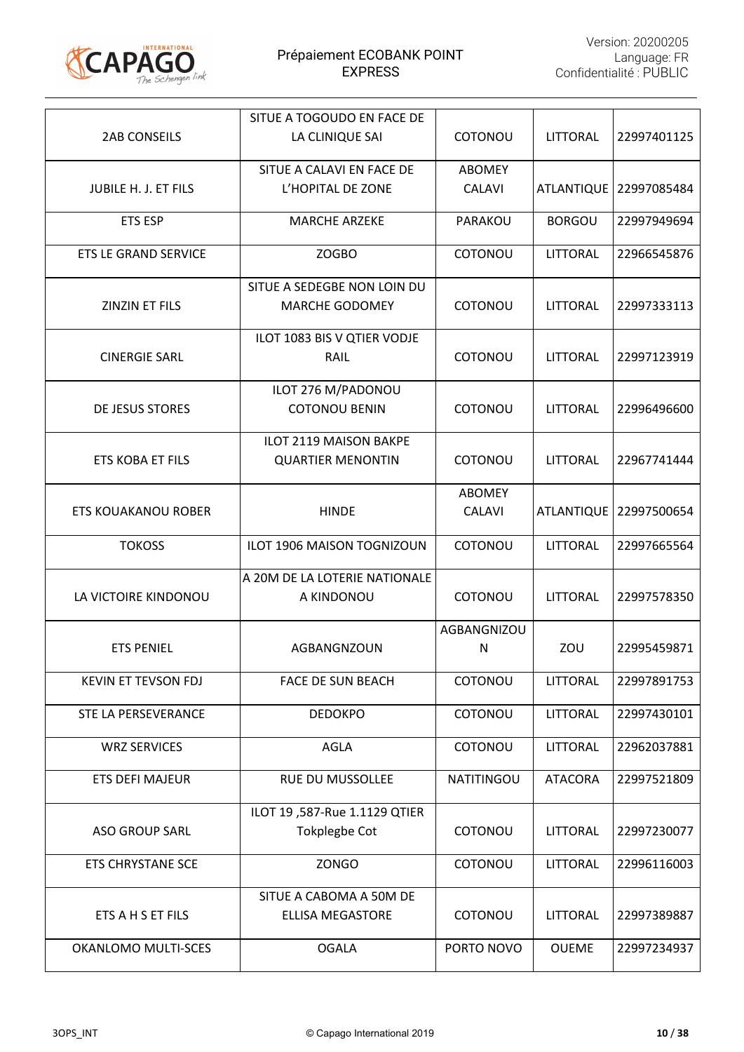

|                             | SITUE A TOGOUDO EN FACE DE    |                   |                   |                          |
|-----------------------------|-------------------------------|-------------------|-------------------|--------------------------|
| <b>2AB CONSEILS</b>         | LA CLINIQUE SAI               | COTONOU           | <b>LITTORAL</b>   | 22997401125              |
|                             | SITUE A CALAVI EN FACE DE     | <b>ABOMEY</b>     |                   |                          |
| JUBILE H. J. ET FILS        | L'HOPITAL DE ZONE             | <b>CALAVI</b>     |                   | ATLANTIQUE   22997085484 |
| <b>ETS ESP</b>              | <b>MARCHE ARZEKE</b>          | PARAKOU           | <b>BORGOU</b>     | 22997949694              |
| <b>ETS LE GRAND SERVICE</b> | ZOGBO                         | COTONOU           | LITTORAL          | 22966545876              |
|                             | SITUE A SEDEGBE NON LOIN DU   |                   |                   |                          |
| ZINZIN ET FILS              | <b>MARCHE GODOMEY</b>         | COTONOU           | <b>LITTORAL</b>   | 22997333113              |
|                             | ILOT 1083 BIS V QTIER VODJE   |                   |                   |                          |
| <b>CINERGIE SARL</b>        | RAIL                          | COTONOU           | <b>LITTORAL</b>   | 22997123919              |
|                             | ILOT 276 M/PADONOU            |                   |                   |                          |
| <b>DE JESUS STORES</b>      | <b>COTONOU BENIN</b>          | COTONOU           | <b>LITTORAL</b>   | 22996496600              |
|                             | ILOT 2119 MAISON BAKPE        |                   |                   |                          |
| ETS KOBA ET FILS            | <b>QUARTIER MENONTIN</b>      | COTONOU           | <b>LITTORAL</b>   | 22967741444              |
|                             |                               | ABOMEY            |                   |                          |
| <b>ETS KOUAKANOU ROBER</b>  | <b>HINDE</b>                  | <b>CALAVI</b>     | <b>ATLANTIQUE</b> | 22997500654              |
| <b>TOKOSS</b>               | ILOT 1906 MAISON TOGNIZOUN    | COTONOU           | LITTORAL          | 22997665564              |
|                             | A 20M DE LA LOTERIE NATIONALE |                   |                   |                          |
| LA VICTOIRE KINDONOU        | A KINDONOU                    | COTONOU           | <b>LITTORAL</b>   | 22997578350              |
|                             |                               | AGBANGNIZOU       |                   |                          |
| <b>ETS PENIEL</b>           | AGBANGNZOUN                   | N                 | ZOU               | 22995459871              |
| KEVIN ET TEVSON FDJ         | <b>FACE DE SUN BEACH</b>      | COTONOU           | <b>LITTORAL</b>   | 22997891753              |
| STE LA PERSEVERANCE         | <b>DEDOKPO</b>                | COTONOU           | <b>LITTORAL</b>   | 22997430101              |
| <b>WRZ SERVICES</b>         | <b>AGLA</b>                   | COTONOU           | <b>LITTORAL</b>   | 22962037881              |
| <b>ETS DEFI MAJEUR</b>      | RUE DU MUSSOLLEE              | <b>NATITINGOU</b> | <b>ATACORA</b>    | 22997521809              |
|                             | ILOT 19,587-Rue 1.1129 QTIER  |                   |                   |                          |
| <b>ASO GROUP SARL</b>       | <b>Tokplegbe Cot</b>          | COTONOU           | <b>LITTORAL</b>   | 22997230077              |
| <b>ETS CHRYSTANE SCE</b>    | <b>ZONGO</b>                  | COTONOU           | <b>LITTORAL</b>   | 22996116003              |
|                             | SITUE A CABOMA A 50M DE       |                   |                   |                          |
| ETS A H S ET FILS           | <b>ELLISA MEGASTORE</b>       | COTONOU           | <b>LITTORAL</b>   | 22997389887              |
| OKANLOMO MULTI-SCES         | <b>OGALA</b>                  | PORTO NOVO        | <b>OUEME</b>      | 22997234937              |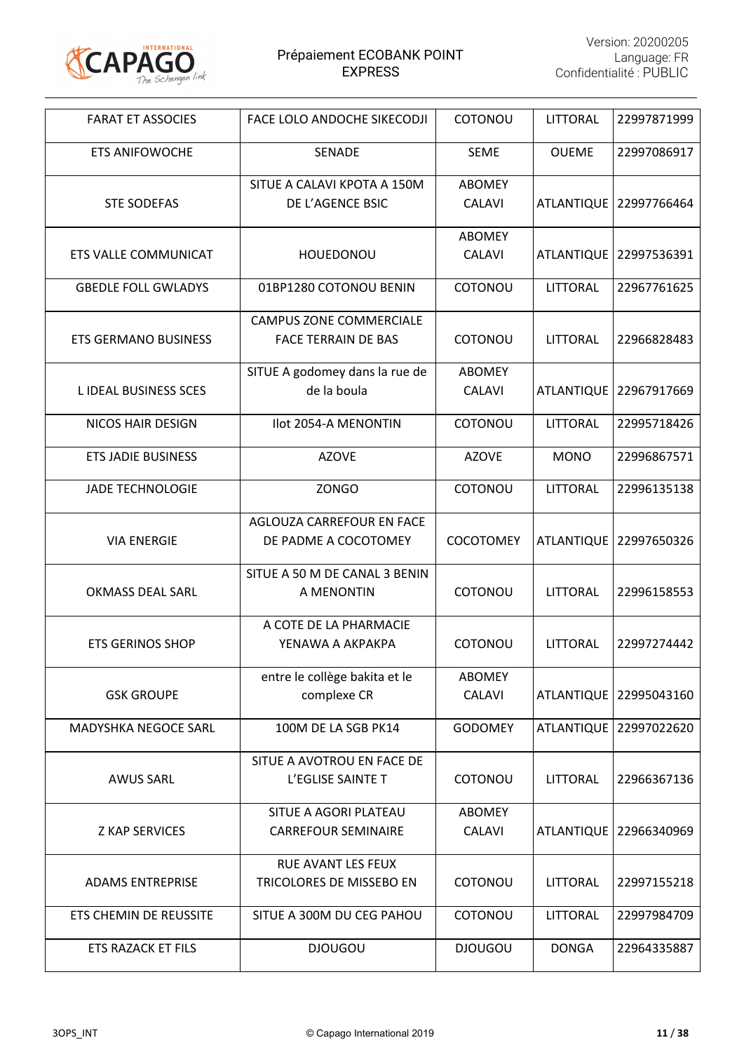

| <b>FARAT ET ASSOCIES</b>    | FACE LOLO ANDOCHE SIKECODJI                                  | COTONOU                        | <b>LITTORAL</b>   | 22997871999 |
|-----------------------------|--------------------------------------------------------------|--------------------------------|-------------------|-------------|
| <b>ETS ANIFOWOCHE</b>       | <b>SENADE</b>                                                | <b>SEME</b>                    | <b>OUEME</b>      | 22997086917 |
| <b>STE SODEFAS</b>          | SITUE A CALAVI KPOTA A 150M<br>DE L'AGENCE BSIC              | <b>ABOMEY</b><br><b>CALAVI</b> | <b>ATLANTIQUE</b> | 22997766464 |
| <b>ETS VALLE COMMUNICAT</b> | HOUEDONOU                                                    | <b>ABOMEY</b><br><b>CALAVI</b> | <b>ATLANTIQUE</b> | 22997536391 |
| <b>GBEDLE FOLL GWLADYS</b>  | 01BP1280 COTONOU BENIN                                       | COTONOU                        | LITTORAL          | 22967761625 |
| <b>ETS GERMANO BUSINESS</b> | <b>CAMPUS ZONE COMMERCIALE</b><br><b>FACE TERRAIN DE BAS</b> | COTONOU                        | <b>LITTORAL</b>   | 22966828483 |
| L IDEAL BUSINESS SCES       | SITUE A godomey dans la rue de<br>de la boula                | <b>ABOMEY</b><br><b>CALAVI</b> | <b>ATLANTIQUE</b> | 22967917669 |
| <b>NICOS HAIR DESIGN</b>    | Ilot 2054-A MENONTIN                                         | COTONOU                        | LITTORAL          | 22995718426 |
| <b>ETS JADIE BUSINESS</b>   | <b>AZOVE</b>                                                 | <b>AZOVE</b>                   | <b>MONO</b>       | 22996867571 |
| <b>JADE TECHNOLOGIE</b>     | <b>ZONGO</b>                                                 | COTONOU                        | LITTORAL          | 22996135138 |
| <b>VIA ENERGIE</b>          | AGLOUZA CARREFOUR EN FACE<br>DE PADME A COCOTOMEY            | <b>COCOTOMEY</b>               | <b>ATLANTIQUE</b> | 22997650326 |
| <b>OKMASS DEAL SARL</b>     | SITUE A 50 M DE CANAL 3 BENIN<br>A MENONTIN                  | COTONOU                        | LITTORAL          | 22996158553 |
| <b>ETS GERINOS SHOP</b>     | A COTE DE LA PHARMACIE<br>YENAWA A AKPAKPA                   | COTONOU                        | <b>LITTORAL</b>   | 22997274442 |
| <b>GSK GROUPE</b>           | entre le collège bakita et le<br>complexe CR                 | <b>ABOMEY</b><br><b>CALAVI</b> | <b>ATLANTIQUE</b> | 22995043160 |
| <b>MADYSHKA NEGOCE SARL</b> | 100M DE LA SGB PK14                                          | <b>GODOMEY</b>                 | <b>ATLANTIQUE</b> | 22997022620 |
| AWUS SARL                   | SITUE A AVOTROU EN FACE DE<br>L'EGLISE SAINTE T              | COTONOU                        | LITTORAL          | 22966367136 |
| <b>Z KAP SERVICES</b>       | SITUE A AGORI PLATEAU<br><b>CARREFOUR SEMINAIRE</b>          | <b>ABOMEY</b><br><b>CALAVI</b> | <b>ATLANTIQUE</b> | 22966340969 |
| <b>ADAMS ENTREPRISE</b>     | <b>RUE AVANT LES FEUX</b><br>TRICOLORES DE MISSEBO EN        | COTONOU                        | LITTORAL          | 22997155218 |
| ETS CHEMIN DE REUSSITE      | SITUE A 300M DU CEG PAHOU                                    | COTONOU                        | <b>LITTORAL</b>   | 22997984709 |
| <b>ETS RAZACK ET FILS</b>   | <b>DJOUGOU</b>                                               | <b>DJOUGOU</b>                 | <b>DONGA</b>      | 22964335887 |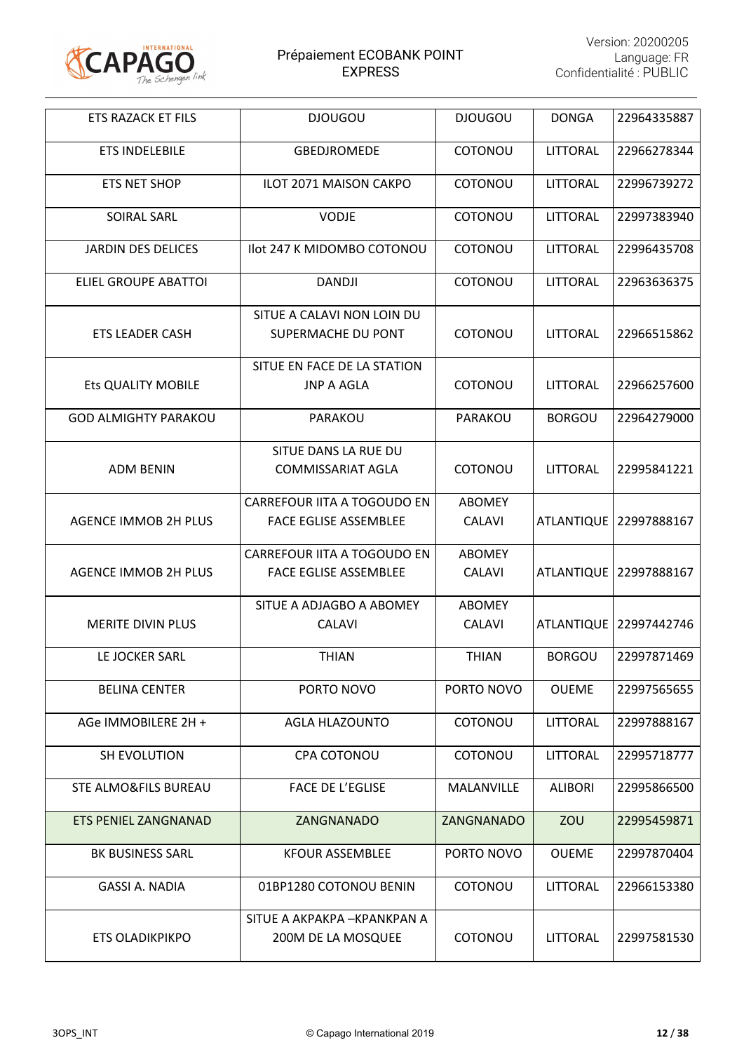

| ETS RAZACK ET FILS              | <b>DJOUGOU</b>                     | <b>DJOUGOU</b> | <b>DONGA</b>      | 22964335887              |
|---------------------------------|------------------------------------|----------------|-------------------|--------------------------|
| <b>ETS INDELEBILE</b>           | GBEDJROMEDE                        | COTONOU        | <b>LITTORAL</b>   | 22966278344              |
| ETS NET SHOP                    | <b>ILOT 2071 MAISON CAKPO</b>      | COTONOU        | LITTORAL          | 22996739272              |
| <b>SOIRAL SARL</b>              | <b>VODJE</b>                       | COTONOU        | LITTORAL          | 22997383940              |
| <b>JARDIN DES DELICES</b>       | Ilot 247 K MIDOMBO COTONOU         | COTONOU        | LITTORAL          | 22996435708              |
| <b>ELIEL GROUPE ABATTOI</b>     | <b>DANDJI</b>                      | COTONOU        | LITTORAL          | 22963636375              |
|                                 | SITUE A CALAVI NON LOIN DU         |                |                   |                          |
| ETS LEADER CASH                 | SUPERMACHE DU PONT                 | <b>COTONOU</b> | LITTORAL          | 22966515862              |
|                                 | SITUE EN FACE DE LA STATION        |                |                   |                          |
| Ets QUALITY MOBILE              | <b>JNP A AGLA</b>                  | COTONOU        | LITTORAL          | 22966257600              |
| <b>GOD ALMIGHTY PARAKOU</b>     | PARAKOU                            | PARAKOU        | <b>BORGOU</b>     | 22964279000              |
|                                 | SITUE DANS LA RUE DU               |                |                   |                          |
| <b>ADM BENIN</b>                | <b>COMMISSARIAT AGLA</b>           | COTONOU        | LITTORAL          | 22995841221              |
|                                 | CARREFOUR IITA A TOGOUDO EN        | <b>ABOMEY</b>  |                   |                          |
| <b>AGENCE IMMOB 2H PLUS</b>     | <b>FACE EGLISE ASSEMBLEE</b>       | <b>CALAVI</b>  | <b>ATLANTIQUE</b> | 22997888167              |
|                                 | <b>CARREFOUR IITA A TOGOUDO EN</b> | <b>ABOMEY</b>  |                   |                          |
| <b>AGENCE IMMOB 2H PLUS</b>     | <b>FACE EGLISE ASSEMBLEE</b>       | <b>CALAVI</b>  | <b>ATLANTIQUE</b> | 22997888167              |
|                                 | SITUE A ADJAGBO A ABOMEY           | <b>ABOMEY</b>  |                   |                          |
| <b>MERITE DIVIN PLUS</b>        | <b>CALAVI</b>                      | <b>CALAVI</b>  |                   | ATLANTIQUE   22997442746 |
| LE JOCKER SARL                  | <b>THIAN</b>                       | <b>THIAN</b>   | <b>BORGOU</b>     | 22997871469              |
| <b>BELINA CENTER</b>            | PORTO NOVO                         | PORTO NOVO     | <b>OUEME</b>      | 22997565655              |
| AGe IMMOBILERE 2H +             | <b>AGLA HLAZOUNTO</b>              | <b>COTONOU</b> | <b>LITTORAL</b>   | 22997888167              |
| SH EVOLUTION                    | <b>CPA COTONOU</b>                 | <b>COTONOU</b> | <b>LITTORAL</b>   | 22995718777              |
| <b>STE ALMO&amp;FILS BUREAU</b> | <b>FACE DE L'EGLISE</b>            | MALANVILLE     | <b>ALIBORI</b>    | 22995866500              |
| ETS PENIEL ZANGNANAD            | ZANGNANADO                         | ZANGNANADO     | ZOU               | 22995459871              |
| <b>BK BUSINESS SARL</b>         | <b>KFOUR ASSEMBLEE</b>             | PORTO NOVO     | <b>OUEME</b>      | 22997870404              |
| GASSI A. NADIA                  | 01BP1280 COTONOU BENIN             | <b>COTONOU</b> | LITTORAL          | 22966153380              |
|                                 | SITUE A AKPAKPA - KPANKPAN A       |                |                   |                          |
| <b>ETS OLADIKPIKPO</b>          | 200M DE LA MOSQUEE                 | COTONOU        | LITTORAL          | 22997581530              |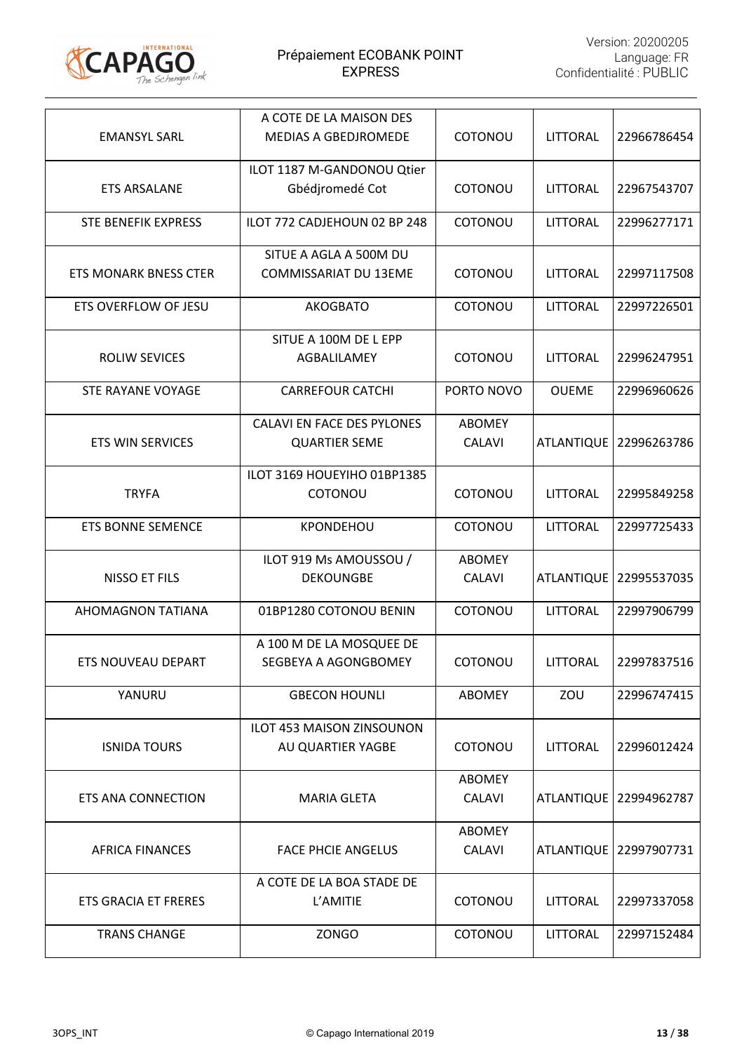

|                              | A COTE DE LA MAISON DES           |               |                   |             |
|------------------------------|-----------------------------------|---------------|-------------------|-------------|
| <b>EMANSYL SARL</b>          | <b>MEDIAS A GBEDJROMEDE</b>       | COTONOU       | LITTORAL          | 22966786454 |
|                              | ILOT 1187 M-GANDONOU Qtier        |               |                   |             |
| <b>ETS ARSALANE</b>          | Gbédjromedé Cot                   | COTONOU       | <b>LITTORAL</b>   | 22967543707 |
| <b>STE BENEFIK EXPRESS</b>   | ILOT 772 CADJEHOUN 02 BP 248      | COTONOU       | LITTORAL          | 22996277171 |
|                              | SITUE A AGLA A 500M DU            |               |                   |             |
| <b>ETS MONARK BNESS CTER</b> | COMMISSARIAT DU 13EME             | COTONOU       | <b>LITTORAL</b>   | 22997117508 |
| ETS OVERFLOW OF JESU         | <b>AKOGBATO</b>                   | COTONOU       | LITTORAL          | 22997226501 |
|                              | SITUE A 100M DE L EPP             |               |                   |             |
| <b>ROLIW SEVICES</b>         | AGBALILAMEY                       | COTONOU       | <b>LITTORAL</b>   | 22996247951 |
| STE RAYANE VOYAGE            | <b>CARREFOUR CATCHI</b>           | PORTO NOVO    | <b>OUEME</b>      | 22996960626 |
|                              | <b>CALAVI EN FACE DES PYLONES</b> | <b>ABOMEY</b> |                   |             |
| <b>ETS WIN SERVICES</b>      | <b>QUARTIER SEME</b>              | <b>CALAVI</b> | <b>ATLANTIQUE</b> | 22996263786 |
|                              | ILOT 3169 HOUEYIHO 01BP1385       |               |                   |             |
| <b>TRYFA</b>                 | COTONOU                           | COTONOU       | <b>LITTORAL</b>   | 22995849258 |
| <b>ETS BONNE SEMENCE</b>     | KPONDEHOU                         | COTONOU       | <b>LITTORAL</b>   | 22997725433 |
|                              | ILOT 919 Ms AMOUSSOU /            | <b>ABOMEY</b> |                   |             |
| NISSO ET FILS                | <b>DEKOUNGBE</b>                  | <b>CALAVI</b> | <b>ATLANTIQUE</b> | 22995537035 |
| AHOMAGNON TATIANA            | 01BP1280 COTONOU BENIN            | COTONOU       | LITTORAL          | 22997906799 |
|                              | A 100 M DE LA MOSQUEE DE          |               |                   |             |
| <b>ETS NOUVEAU DEPART</b>    | SEGBEYA A AGONGBOMEY              | COTONOU       | <b>LITTORAL</b>   | 22997837516 |
| YANURU                       | <b>GBECON HOUNLI</b>              | <b>ABOMEY</b> | ZOU               | 22996747415 |
|                              | <b>ILOT 453 MAISON ZINSOUNON</b>  |               |                   |             |
| <b>ISNIDA TOURS</b>          | AU QUARTIER YAGBE                 | COTONOU       | <b>LITTORAL</b>   | 22996012424 |
|                              |                                   | ABOMEY        |                   |             |
| <b>ETS ANA CONNECTION</b>    | <b>MARIA GLETA</b>                | <b>CALAVI</b> | <b>ATLANTIQUE</b> | 22994962787 |
|                              |                                   | <b>ABOMEY</b> |                   |             |
| <b>AFRICA FINANCES</b>       | <b>FACE PHCIE ANGELUS</b>         | <b>CALAVI</b> | <b>ATLANTIQUE</b> | 22997907731 |
|                              | A COTE DE LA BOA STADE DE         |               |                   |             |
| ETS GRACIA ET FRERES         | L'AMITIE                          | COTONOU       | <b>LITTORAL</b>   | 22997337058 |
| <b>TRANS CHANGE</b>          | <b>ZONGO</b>                      | COTONOU       | LITTORAL          | 22997152484 |
|                              |                                   |               |                   |             |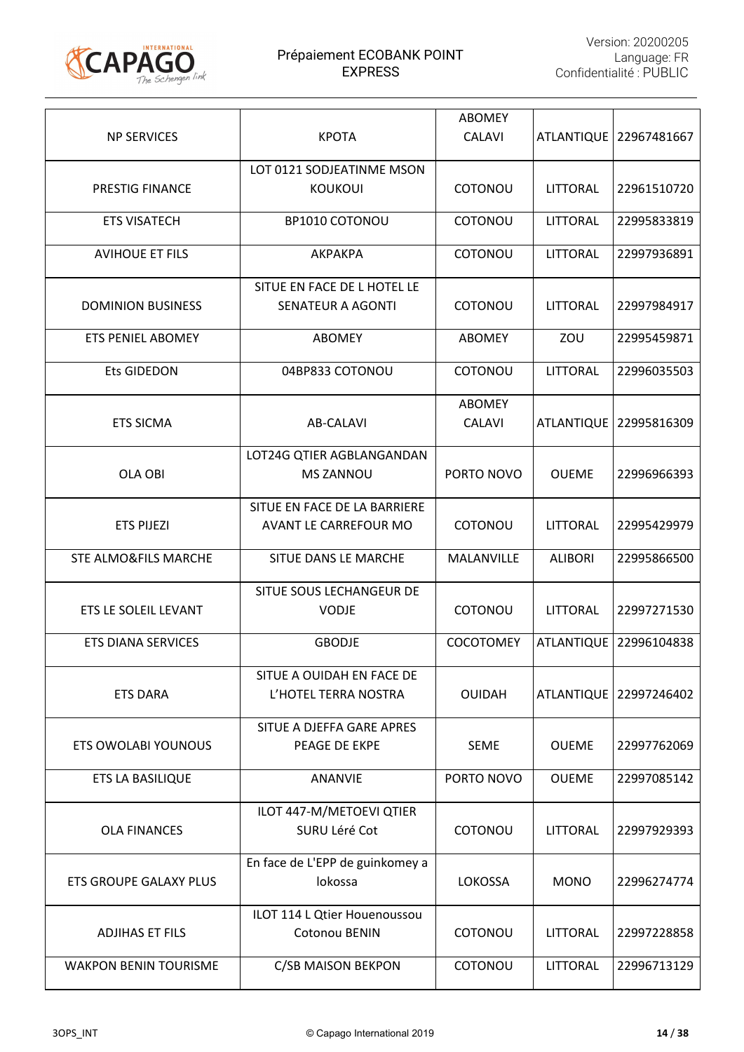

| <b>NP SERVICES</b>              | <b>KPOTA</b>                                                 | <b>ABOMEY</b><br><b>CALAVI</b> |                   | ATLANTIQUE   22967481667 |
|---------------------------------|--------------------------------------------------------------|--------------------------------|-------------------|--------------------------|
| PRESTIG FINANCE                 | LOT 0121 SODJEATINME MSON<br><b>KOUKOUI</b>                  | <b>COTONOU</b>                 | LITTORAL          | 22961510720              |
| <b>ETS VISATECH</b>             | BP1010 COTONOU                                               | COTONOU                        | <b>LITTORAL</b>   | 22995833819              |
|                                 |                                                              |                                |                   |                          |
| <b>AVIHOUE ET FILS</b>          | AKPAKPA                                                      | COTONOU                        | LITTORAL          | 22997936891              |
| <b>DOMINION BUSINESS</b>        | SITUE EN FACE DE L HOTEL LE<br><b>SENATEUR A AGONTI</b>      | COTONOU                        | LITTORAL          | 22997984917              |
| ETS PENIEL ABOMEY               | <b>ABOMEY</b>                                                | <b>ABOMEY</b>                  | ZOU               | 22995459871              |
| <b>Ets GIDEDON</b>              | 04BP833 COTONOU                                              | COTONOU                        | LITTORAL          | 22996035503              |
| <b>ETS SICMA</b>                | AB-CALAVI                                                    | <b>ABOMEY</b><br><b>CALAVI</b> | <b>ATLANTIQUE</b> | 22995816309              |
| <b>OLA OBI</b>                  | LOT24G QTIER AGBLANGANDAN<br><b>MS ZANNOU</b>                | PORTO NOVO                     | <b>OUEME</b>      | 22996966393              |
| <b>ETS PIJEZI</b>               | SITUE EN FACE DE LA BARRIERE<br><b>AVANT LE CARREFOUR MO</b> | COTONOU                        | LITTORAL          | 22995429979              |
| <b>STE ALMO&amp;FILS MARCHE</b> | SITUE DANS LE MARCHE                                         | <b>MALANVILLE</b>              | <b>ALIBORI</b>    | 22995866500              |
| ETS LE SOLEIL LEVANT            | SITUE SOUS LECHANGEUR DE<br><b>VODJE</b>                     | COTONOU                        | LITTORAL          | 22997271530              |
| <b>ETS DIANA SERVICES</b>       | <b>GBODJE</b>                                                | <b>COCOTOMEY</b>               | <b>ATLANTIQUE</b> | 22996104838              |
| <b>ETS DARA</b>                 | SITUE A OUIDAH EN FACE DE<br>L'HOTEL TERRA NOSTRA            | <b>OUIDAH</b>                  | <b>ATLANTIQUE</b> | 22997246402              |
| <b>ETS OWOLABI YOUNOUS</b>      | SITUE A DJEFFA GARE APRES<br>PEAGE DE EKPE                   | <b>SEME</b>                    | <b>OUEME</b>      | 22997762069              |
| <b>ETS LA BASILIQUE</b>         | <b>ANANVIE</b>                                               | PORTO NOVO                     | <b>OUEME</b>      | 22997085142              |
| <b>OLA FINANCES</b>             | ILOT 447-M/METOEVI QTIER<br>SURU Léré Cot                    | COTONOU                        | LITTORAL          | 22997929393              |
| <b>ETS GROUPE GALAXY PLUS</b>   | En face de L'EPP de guinkomey a<br>lokossa                   | <b>LOKOSSA</b>                 | <b>MONO</b>       | 22996274774              |
| <b>ADJIHAS ET FILS</b>          | ILOT 114 L Qtier Houenoussou<br>Cotonou BENIN                | COTONOU                        | <b>LITTORAL</b>   | 22997228858              |
| <b>WAKPON BENIN TOURISME</b>    | C/SB MAISON BEKPON                                           | COTONOU                        | LITTORAL          | 22996713129              |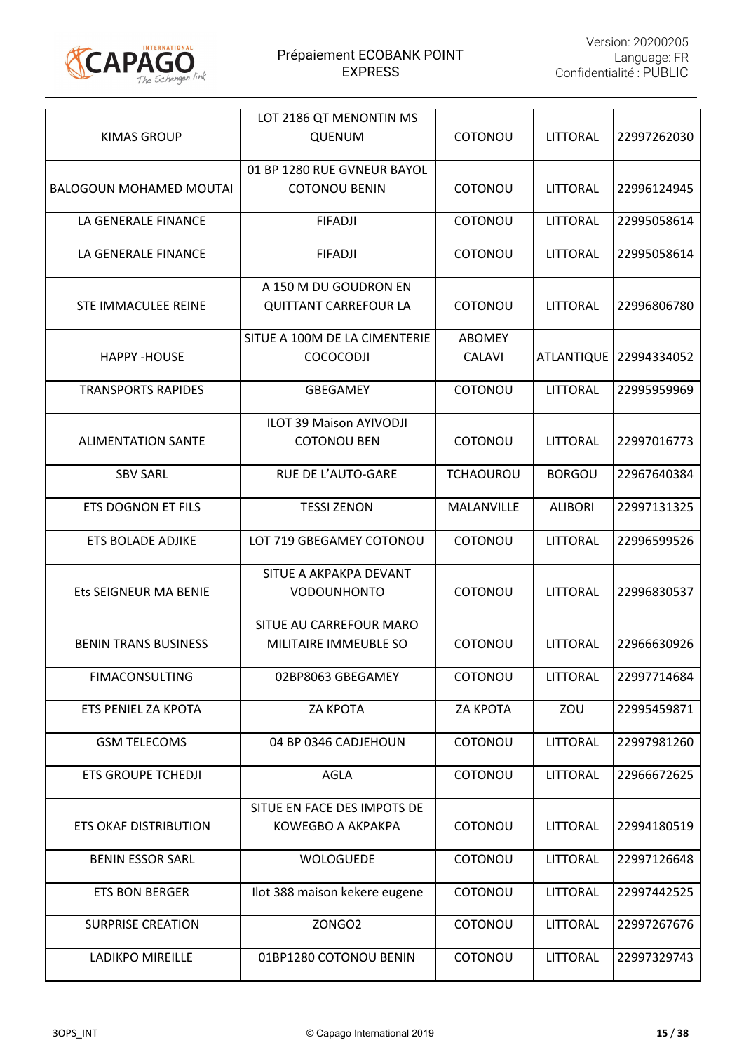

| <b>KIMAS GROUP</b>             | LOT 2186 QT MENONTIN MS<br>QUENUM                     | COTONOU                        | LITTORAL        | 22997262030 |
|--------------------------------|-------------------------------------------------------|--------------------------------|-----------------|-------------|
|                                | 01 BP 1280 RUE GVNEUR BAYOL                           |                                |                 |             |
| <b>BALOGOUN MOHAMED MOUTAI</b> | <b>COTONOU BENIN</b>                                  | <b>COTONOU</b>                 | <b>LITTORAL</b> | 22996124945 |
| LA GENERALE FINANCE            | <b>FIFADJI</b>                                        | COTONOU                        | LITTORAL        | 22995058614 |
| LA GENERALE FINANCE            | <b>FIFADJI</b>                                        | COTONOU                        | LITTORAL        | 22995058614 |
| STE IMMACULEE REINE            | A 150 M DU GOUDRON EN<br><b>QUITTANT CARREFOUR LA</b> | <b>COTONOU</b>                 | LITTORAL        | 22996806780 |
| <b>HAPPY-HOUSE</b>             | SITUE A 100M DE LA CIMENTERIE<br>COCOCODJI            | <b>ABOMEY</b><br><b>CALAVI</b> | ATLANTIQUE      | 22994334052 |
| <b>TRANSPORTS RAPIDES</b>      | <b>GBEGAMEY</b>                                       | COTONOU                        | <b>LITTORAL</b> | 22995959969 |
| <b>ALIMENTATION SANTE</b>      | <b>ILOT 39 Maison AYIVODJI</b><br><b>COTONOU BEN</b>  | <b>COTONOU</b>                 | <b>LITTORAL</b> | 22997016773 |
| <b>SBV SARL</b>                | RUE DE L'AUTO-GARE                                    | <b>TCHAOUROU</b>               | <b>BORGOU</b>   | 22967640384 |
| <b>ETS DOGNON ET FILS</b>      | <b>TESSI ZENON</b>                                    | MALANVILLE                     | <b>ALIBORI</b>  | 22997131325 |
| <b>ETS BOLADE ADJIKE</b>       | LOT 719 GBEGAMEY COTONOU                              | <b>COTONOU</b>                 | LITTORAL        | 22996599526 |
| Ets SEIGNEUR MA BENIE          | SITUE A AKPAKPA DEVANT<br><b>VODOUNHONTO</b>          | COTONOU                        | LITTORAL        | 22996830537 |
| <b>BENIN TRANS BUSINESS</b>    | SITUE AU CARREFOUR MARO<br>MILITAIRE IMMEUBLE SO      | COTONOU                        | <b>LITTORAL</b> | 22966630926 |
| <b>FIMACONSULTING</b>          | 02BP8063 GBEGAMEY                                     | COTONOU                        | <b>LITTORAL</b> | 22997714684 |
| ETS PENIEL ZA KPOTA            | ZA KPOTA                                              | ZA KPOTA                       | ZOU             | 22995459871 |
| <b>GSM TELECOMS</b>            | 04 BP 0346 CADJEHOUN                                  | COTONOU                        | <b>LITTORAL</b> | 22997981260 |
| <b>ETS GROUPE TCHEDJI</b>      | <b>AGLA</b>                                           | COTONOU                        | <b>LITTORAL</b> | 22966672625 |
| <b>ETS OKAF DISTRIBUTION</b>   | SITUE EN FACE DES IMPOTS DE<br>KOWEGBO A AKPAKPA      | COTONOU                        | <b>LITTORAL</b> | 22994180519 |
| <b>BENIN ESSOR SARL</b>        | <b>WOLOGUEDE</b>                                      | COTONOU                        | <b>LITTORAL</b> | 22997126648 |
| <b>ETS BON BERGER</b>          | Ilot 388 maison kekere eugene                         | COTONOU                        | <b>LITTORAL</b> | 22997442525 |
| <b>SURPRISE CREATION</b>       | ZONGO2                                                | COTONOU                        | <b>LITTORAL</b> | 22997267676 |
| LADIKPO MIREILLE               | 01BP1280 COTONOU BENIN                                | COTONOU                        | LITTORAL        | 22997329743 |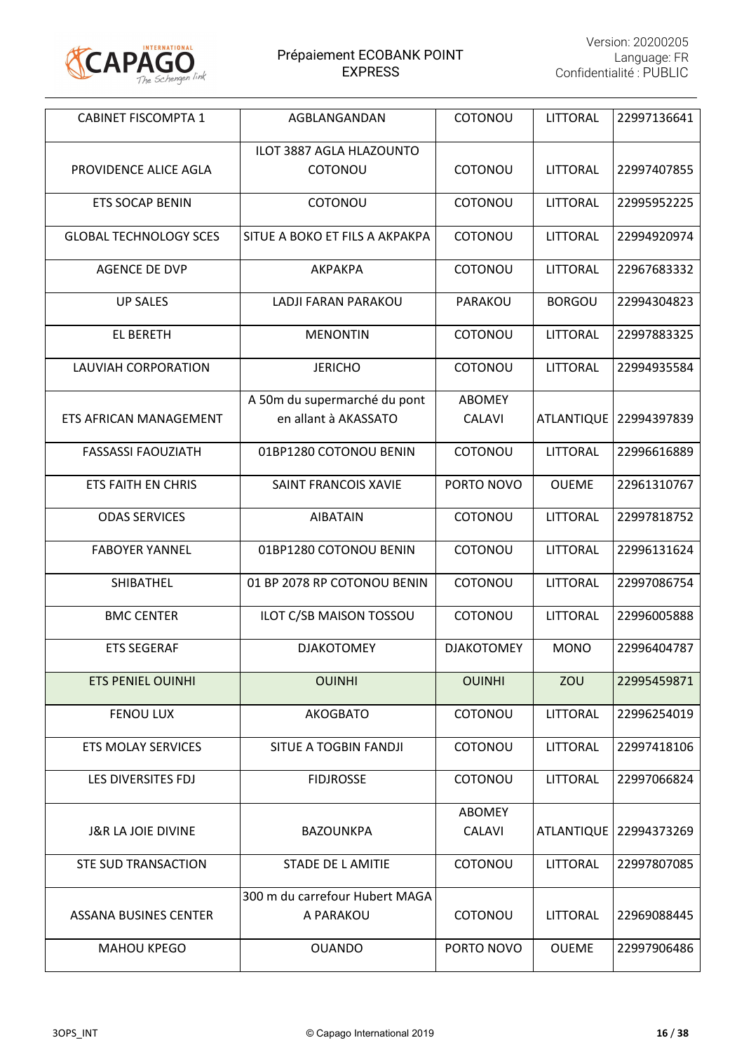

| <b>CABINET FISCOMPTA 1</b>    | AGBLANGANDAN                                         | COTONOU                        | LITTORAL          | 22997136641 |
|-------------------------------|------------------------------------------------------|--------------------------------|-------------------|-------------|
| PROVIDENCE ALICE AGLA         | ILOT 3887 AGLA HLAZOUNTO<br>COTONOU                  | COTONOU                        | <b>LITTORAL</b>   | 22997407855 |
| <b>ETS SOCAP BENIN</b>        | COTONOU                                              | COTONOU                        | LITTORAL          | 22995952225 |
| <b>GLOBAL TECHNOLOGY SCES</b> | SITUE A BOKO ET FILS A AKPAKPA                       | COTONOU                        | <b>LITTORAL</b>   | 22994920974 |
| <b>AGENCE DE DVP</b>          | <b>АКРАКРА</b>                                       | COTONOU                        | LITTORAL          | 22967683332 |
| <b>UP SALES</b>               | LADJI FARAN PARAKOU                                  | PARAKOU                        | <b>BORGOU</b>     | 22994304823 |
| <b>EL BERETH</b>              | <b>MENONTIN</b>                                      | COTONOU                        | <b>LITTORAL</b>   | 22997883325 |
| LAUVIAH CORPORATION           | <b>JERICHO</b>                                       | COTONOU                        | LITTORAL          | 22994935584 |
| <b>ETS AFRICAN MANAGEMENT</b> | A 50m du supermarché du pont<br>en allant à AKASSATO | <b>ABOMEY</b><br><b>CALAVI</b> | <b>ATLANTIQUE</b> | 22994397839 |
| <b>FASSASSI FAOUZIATH</b>     | 01BP1280 COTONOU BENIN                               | COTONOU                        | LITTORAL          | 22996616889 |
| <b>ETS FAITH EN CHRIS</b>     | SAINT FRANCOIS XAVIE                                 | PORTO NOVO                     | <b>OUEME</b>      | 22961310767 |
| <b>ODAS SERVICES</b>          | <b>AIBATAIN</b>                                      | COTONOU                        | <b>LITTORAL</b>   | 22997818752 |
| <b>FABOYER YANNEL</b>         | 01BP1280 COTONOU BENIN                               | COTONOU                        | <b>LITTORAL</b>   | 22996131624 |
| SHIBATHEL                     | 01 BP 2078 RP COTONOU BENIN                          | COTONOU                        | <b>LITTORAL</b>   | 22997086754 |
| <b>BMC CENTER</b>             | ILOT C/SB MAISON TOSSOU                              | COTONOU                        | <b>LITTORAL</b>   | 22996005888 |
| <b>ETS SEGERAF</b>            | <b>DJAKOTOMEY</b>                                    | <b>DJAKOTOMEY</b>              | <b>MONO</b>       | 22996404787 |
| <b>ETS PENIEL OUINHI</b>      | <b>OUINHI</b>                                        | <b>OUINHI</b>                  | ZOU               | 22995459871 |
| <b>FENOU LUX</b>              | <b>AKOGBATO</b>                                      | COTONOU                        | LITTORAL          | 22996254019 |
| <b>ETS MOLAY SERVICES</b>     | <b>SITUE A TOGBIN FANDJI</b>                         | COTONOU                        | LITTORAL          | 22997418106 |
| LES DIVERSITES FDJ            | <b>FIDJROSSE</b>                                     | COTONOU                        | <b>LITTORAL</b>   | 22997066824 |
| <b>J&amp;R LA JOIE DIVINE</b> | <b>BAZOUNKPA</b>                                     | <b>ABOMEY</b><br><b>CALAVI</b> | <b>ATLANTIQUE</b> | 22994373269 |
| <b>STE SUD TRANSACTION</b>    | <b>STADE DE L AMITIE</b>                             | COTONOU                        | <b>LITTORAL</b>   | 22997807085 |
| ASSANA BUSINES CENTER         | 300 m du carrefour Hubert MAGA<br>A PARAKOU          | COTONOU                        | LITTORAL          | 22969088445 |
| <b>MAHOU KPEGO</b>            | <b>OUANDO</b>                                        | PORTO NOVO                     | <b>OUEME</b>      | 22997906486 |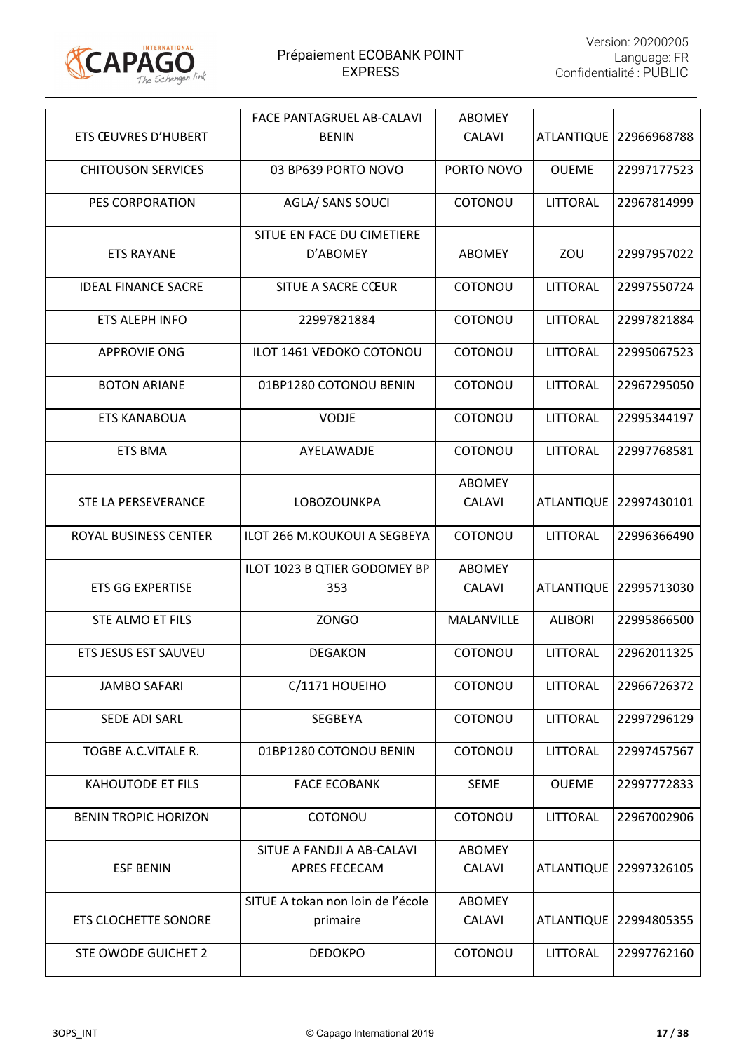

|                             | <b>FACE PANTAGRUEL AB-CALAVI</b>              | <b>ABOMEY</b>                  |                   |             |
|-----------------------------|-----------------------------------------------|--------------------------------|-------------------|-------------|
| ETS ŒUVRES D'HUBERT         | <b>BENIN</b>                                  | <b>CALAVI</b>                  | <b>ATLANTIQUE</b> | 22966968788 |
| <b>CHITOUSON SERVICES</b>   | 03 BP639 PORTO NOVO                           | PORTO NOVO                     | <b>OUEME</b>      | 22997177523 |
| PES CORPORATION             | AGLA/ SANS SOUCI                              | COTONOU                        | LITTORAL          | 22967814999 |
|                             | SITUE EN FACE DU CIMETIERE                    |                                |                   |             |
| <b>ETS RAYANE</b>           | D'ABOMEY                                      | <b>ABOMEY</b>                  | ZOU               | 22997957022 |
| <b>IDEAL FINANCE SACRE</b>  | SITUE A SACRE CŒUR                            | COTONOU                        | <b>LITTORAL</b>   | 22997550724 |
| ETS ALEPH INFO              | 22997821884                                   | COTONOU                        | LITTORAL          | 22997821884 |
| <b>APPROVIE ONG</b>         | ILOT 1461 VEDOKO COTONOU                      | COTONOU                        | LITTORAL          | 22995067523 |
| <b>BOTON ARIANE</b>         | 01BP1280 COTONOU BENIN                        | COTONOU                        | <b>LITTORAL</b>   | 22967295050 |
| <b>ETS KANABOUA</b>         | <b>VODJE</b>                                  | COTONOU                        | LITTORAL          | 22995344197 |
| <b>ETS BMA</b>              | AYELAWADJE                                    | COTONOU                        | LITTORAL          | 22997768581 |
|                             |                                               | <b>ABOMEY</b>                  |                   |             |
| STE LA PERSEVERANCE         | LOBOZOUNKPA                                   | <b>CALAVI</b>                  | <b>ATLANTIQUE</b> | 22997430101 |
| ROYAL BUSINESS CENTER       | <b>ILOT 266 M.KOUKOUI A SEGBEYA</b>           | COTONOU                        | LITTORAL          | 22996366490 |
|                             | ILOT 1023 B QTIER GODOMEY BP                  | <b>ABOMEY</b>                  |                   |             |
| <b>ETS GG EXPERTISE</b>     | 353                                           | <b>CALAVI</b>                  | <b>ATLANTIQUE</b> | 22995713030 |
| STE ALMO ET FILS            | <b>ZONGO</b>                                  | MALANVILLE                     | <b>ALIBORI</b>    | 22995866500 |
| ETS JESUS EST SAUVEU        | <b>DEGAKON</b>                                | COTONOU                        | LITTORAL          | 22962011325 |
| <b>JAMBO SAFARI</b>         | C/1171 HOUEIHO                                | COTONOU                        | LITTORAL          | 22966726372 |
| SEDE ADI SARL               | <b>SEGBEYA</b>                                | COTONOU                        | <b>LITTORAL</b>   | 22997296129 |
| <b>TOGBE A.C.VITALE R.</b>  | 01BP1280 COTONOU BENIN                        | COTONOU                        | <b>LITTORAL</b>   | 22997457567 |
| <b>KAHOUTODE ET FILS</b>    | <b>FACE ECOBANK</b>                           | <b>SEME</b>                    | <b>OUEME</b>      | 22997772833 |
| <b>BENIN TROPIC HORIZON</b> | COTONOU                                       | COTONOU                        | LITTORAL          | 22967002906 |
| <b>ESF BENIN</b>            | SITUE A FANDJI A AB-CALAVI<br>APRES FECECAM   | <b>ABOMEY</b><br><b>CALAVI</b> | <b>ATLANTIQUE</b> | 22997326105 |
| <b>ETS CLOCHETTE SONORE</b> | SITUE A tokan non loin de l'école<br>primaire | <b>ABOMEY</b><br><b>CALAVI</b> | ATLANTIQUE        | 22994805355 |
| <b>STE OWODE GUICHET 2</b>  | <b>DEDOKPO</b>                                | COTONOU                        | LITTORAL          | 22997762160 |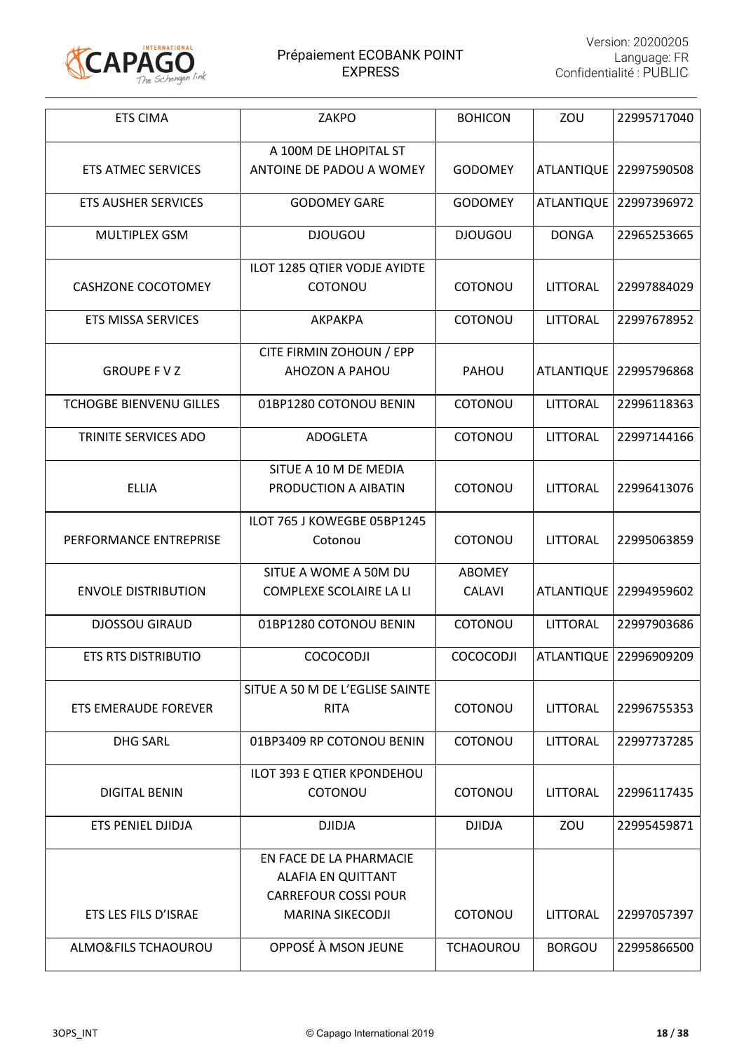

| <b>ETS CIMA</b>                | ZAKPO                           | <b>BOHICON</b>   | ZOU               | 22995717040              |
|--------------------------------|---------------------------------|------------------|-------------------|--------------------------|
|                                | A 100M DE LHOPITAL ST           |                  |                   |                          |
| <b>ETS ATMEC SERVICES</b>      | ANTOINE DE PADOU A WOMEY        | <b>GODOMEY</b>   | <b>ATLANTIQUE</b> | 22997590508              |
| <b>ETS AUSHER SERVICES</b>     | <b>GODOMEY GARE</b>             | <b>GODOMEY</b>   | <b>ATLANTIQUE</b> | 22997396972              |
| <b>MULTIPLEX GSM</b>           | <b>DJOUGOU</b>                  | <b>DJOUGOU</b>   | <b>DONGA</b>      | 22965253665              |
|                                | ILOT 1285 QTIER VODJE AYIDTE    |                  |                   |                          |
| <b>CASHZONE COCOTOMEY</b>      | COTONOU                         | COTONOU          | <b>LITTORAL</b>   | 22997884029              |
| <b>ETS MISSA SERVICES</b>      | AKPAKPA                         | COTONOU          | <b>LITTORAL</b>   | 22997678952              |
|                                | CITE FIRMIN ZOHOUN / EPP        |                  |                   |                          |
| <b>GROUPE FVZ</b>              | AHOZON A PAHOU                  | PAHOU            | <b>ATLANTIQUE</b> | 22995796868              |
| <b>TCHOGBE BIENVENU GILLES</b> | 01BP1280 COTONOU BENIN          | COTONOU          | LITTORAL          | 22996118363              |
| TRINITE SERVICES ADO           | <b>ADOGLETA</b>                 | COTONOU          | <b>LITTORAL</b>   | 22997144166              |
|                                | SITUE A 10 M DE MEDIA           |                  |                   |                          |
| <b>ELLIA</b>                   | PRODUCTION A AIBATIN            | COTONOU          | <b>LITTORAL</b>   | 22996413076              |
|                                | ILOT 765 J KOWEGBE 05BP1245     |                  |                   |                          |
| PERFORMANCE ENTREPRISE         | Cotonou                         | COTONOU          | LITTORAL          | 22995063859              |
|                                | SITUE A WOME A 50M DU           | <b>ABOMEY</b>    |                   |                          |
| <b>ENVOLE DISTRIBUTION</b>     | COMPLEXE SCOLAIRE LA LI         | <b>CALAVI</b>    | <b>ATLANTIQUE</b> | 22994959602              |
| <b>DJOSSOU GIRAUD</b>          | 01BP1280 COTONOU BENIN          | COTONOU          | LITTORAL          | 22997903686              |
| ETS RTS DISTRIBUTIO            | <b>COCOCODJI</b>                | <b>COCOCODJI</b> |                   | ATLANTIQUE   22996909209 |
|                                | SITUE A 50 M DE L'EGLISE SAINTE |                  |                   |                          |
| ETS EMERAUDE FOREVER           | <b>RITA</b>                     | COTONOU          | LITTORAL          | 22996755353              |
| <b>DHG SARL</b>                | 01BP3409 RP COTONOU BENIN       | COTONOU          | LITTORAL          | 22997737285              |
|                                | ILOT 393 E QTIER KPONDEHOU      |                  |                   |                          |
| <b>DIGITAL BENIN</b>           | COTONOU                         | COTONOU          | LITTORAL          | 22996117435              |
| ETS PENIEL DJIDJA              | <b>DJIDJA</b>                   | <b>DJIDJA</b>    | ZOU               | 22995459871              |
|                                | EN FACE DE LA PHARMACIE         |                  |                   |                          |
|                                | <b>ALAFIA EN QUITTANT</b>       |                  |                   |                          |
|                                | <b>CARREFOUR COSSI POUR</b>     |                  |                   |                          |
| ETS LES FILS D'ISRAE           | <b>MARINA SIKECODJI</b>         | COTONOU          | LITTORAL          | 22997057397              |
| ALMO&FILS TCHAOUROU            | OPPOSÉ À MSON JEUNE             | <b>TCHAOUROU</b> | <b>BORGOU</b>     | 22995866500              |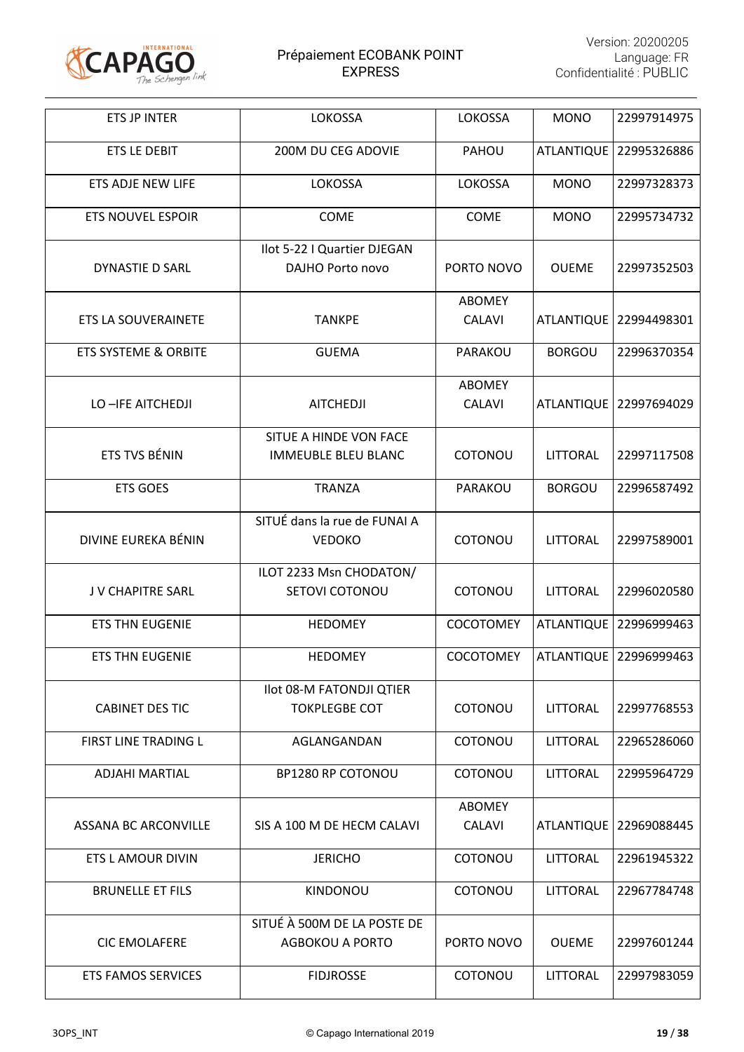

| ETS JP INTER                    | LOKOSSA                                              | <b>LOKOSSA</b>                 | <b>MONO</b>       | 22997914975              |
|---------------------------------|------------------------------------------------------|--------------------------------|-------------------|--------------------------|
| <b>ETS LE DEBIT</b>             | 200M DU CEG ADOVIE                                   | PAHOU                          | <b>ATLANTIQUE</b> | 22995326886              |
| ETS ADJE NEW LIFE               | LOKOSSA                                              | LOKOSSA                        | <b>MONO</b>       | 22997328373              |
| <b>ETS NOUVEL ESPOIR</b>        | <b>COME</b>                                          | COME                           | <b>MONO</b>       | 22995734732              |
| <b>DYNASTIE D SARL</b>          | Ilot 5-22 I Quartier DJEGAN<br>DAJHO Porto novo      | PORTO NOVO                     | <b>OUEME</b>      | 22997352503              |
| ETS LA SOUVERAINETE             | <b>TANKPE</b>                                        | <b>ABOMEY</b><br><b>CALAVI</b> | <b>ATLANTIQUE</b> | 22994498301              |
| <b>ETS SYSTEME &amp; ORBITE</b> | <b>GUEMA</b>                                         | PARAKOU                        | <b>BORGOU</b>     | 22996370354              |
| LO-IFE AITCHEDJI                | <b>AITCHEDJI</b>                                     | <b>ABOMEY</b><br><b>CALAVI</b> | <b>ATLANTIQUE</b> | 22997694029              |
| ETS TVS BÉNIN                   | SITUE A HINDE VON FACE<br><b>IMMEUBLE BLEU BLANC</b> | COTONOU                        | LITTORAL          | 22997117508              |
| <b>ETS GOES</b>                 | <b>TRANZA</b>                                        | PARAKOU                        | <b>BORGOU</b>     | 22996587492              |
| DIVINE EUREKA BÉNIN             | SITUÉ dans la rue de FUNAI A<br><b>VEDOKO</b>        | COTONOU                        | LITTORAL          | 22997589001              |
| J V CHAPITRE SARL               | ILOT 2233 Msn CHODATON/<br>SETOVI COTONOU            | COTONOU                        | LITTORAL          | 22996020580              |
| <b>ETS THN EUGENIE</b>          | <b>HEDOMEY</b>                                       | <b>COCOTOMEY</b>               | <b>ATLANTIQUE</b> | 22996999463              |
| ETS THN EUGENIE                 | <b>HEDOMEY</b>                                       | <b>COCOTOMEY</b>               |                   | ATLANTIQUE   22996999463 |
| <b>CABINET DES TIC</b>          | Ilot 08-M FATONDJI QTIER<br><b>TOKPLEGBE COT</b>     | COTONOU                        | LITTORAL          | 22997768553              |
| FIRST LINE TRADING L            | AGLANGANDAN                                          | COTONOU                        | <b>LITTORAL</b>   | 22965286060              |
| <b>ADJAHI MARTIAL</b>           | BP1280 RP COTONOU                                    | COTONOU                        | <b>LITTORAL</b>   | 22995964729              |
| ASSANA BC ARCONVILLE            | SIS A 100 M DE HECM CALAVI                           | <b>ABOMEY</b><br><b>CALAVI</b> | <b>ATLANTIQUE</b> | 22969088445              |
| ETS L AMOUR DIVIN               | <b>JERICHO</b>                                       | COTONOU                        | LITTORAL          | 22961945322              |
| <b>BRUNELLE ET FILS</b>         | KINDONOU                                             | COTONOU                        | LITTORAL          | 22967784748              |
| <b>CIC EMOLAFERE</b>            | SITUÉ À 500M DE LA POSTE DE<br>AGBOKOU A PORTO       | PORTO NOVO                     | <b>OUEME</b>      | 22997601244              |
| ETS FAMOS SERVICES              | <b>FIDJROSSE</b>                                     | COTONOU                        | <b>LITTORAL</b>   | 22997983059              |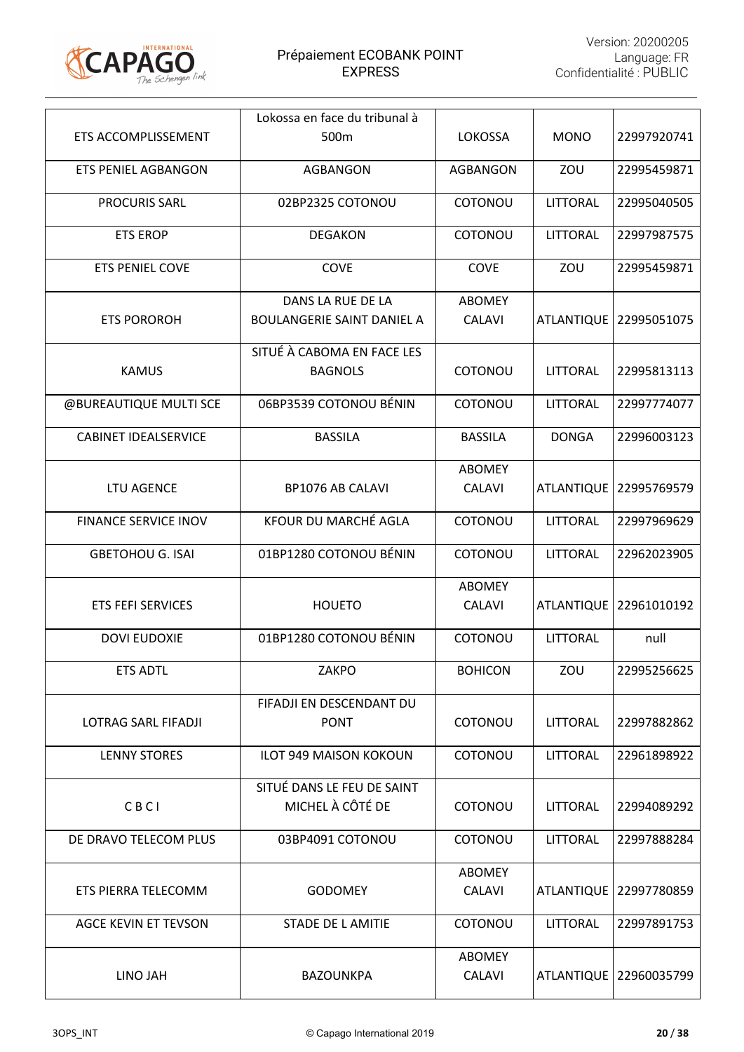

|                             | Lokossa en face du tribunal à                          |                                |                   |             |
|-----------------------------|--------------------------------------------------------|--------------------------------|-------------------|-------------|
| ETS ACCOMPLISSEMENT         | 500m                                                   | <b>LOKOSSA</b>                 | <b>MONO</b>       | 22997920741 |
| <b>ETS PENIEL AGBANGON</b>  | <b>AGBANGON</b>                                        | <b>AGBANGON</b>                | ZOU               | 22995459871 |
| <b>PROCURIS SARL</b>        | 02BP2325 COTONOU                                       | COTONOU                        | LITTORAL          | 22995040505 |
| <b>ETS EROP</b>             | <b>DEGAKON</b>                                         | COTONOU                        | LITTORAL          | 22997987575 |
| <b>ETS PENIEL COVE</b>      | COVE                                                   | COVE                           | ZOU               | 22995459871 |
| <b>ETS POROROH</b>          | DANS LA RUE DE LA<br><b>BOULANGERIE SAINT DANIEL A</b> | <b>ABOMEY</b><br><b>CALAVI</b> | <b>ATLANTIQUE</b> | 22995051075 |
| <b>KAMUS</b>                | SITUÉ À CABOMA EN FACE LES<br><b>BAGNOLS</b>           | COTONOU                        | LITTORAL          | 22995813113 |
| @BUREAUTIQUE MULTI SCE      | 06BP3539 COTONOU BÉNIN                                 | COTONOU                        | LITTORAL          | 22997774077 |
| <b>CABINET IDEALSERVICE</b> | <b>BASSILA</b>                                         | <b>BASSILA</b>                 | <b>DONGA</b>      | 22996003123 |
| LTU AGENCE                  | <b>BP1076 AB CALAVI</b>                                | <b>ABOMEY</b><br><b>CALAVI</b> | <b>ATLANTIQUE</b> | 22995769579 |
| <b>FINANCE SERVICE INOV</b> | KFOUR DU MARCHÉ AGLA                                   | COTONOU                        | LITTORAL          | 22997969629 |
| <b>GBETOHOU G. ISAI</b>     | 01BP1280 COTONOU BÉNIN                                 | COTONOU                        | LITTORAL          | 22962023905 |
| <b>ETS FEFI SERVICES</b>    | <b>HOUETO</b>                                          | <b>ABOMEY</b><br><b>CALAVI</b> | <b>ATLANTIQUE</b> | 22961010192 |
| <b>DOVI EUDOXIE</b>         | 01BP1280 COTONOU BÉNIN                                 | COTONOU                        | LITTORAL          | null        |
| <b>ETS ADTL</b>             | ZAKPO                                                  | <b>BOHICON</b>                 | ZOU               | 22995256625 |
| LOTRAG SARL FIFADJI         | FIFADJI EN DESCENDANT DU<br><b>PONT</b>                | COTONOU                        | <b>LITTORAL</b>   | 22997882862 |
| <b>LENNY STORES</b>         | <b>ILOT 949 MAISON KOKOUN</b>                          | COTONOU                        | LITTORAL          | 22961898922 |
| CBCI                        | SITUÉ DANS LE FEU DE SAINT<br>MICHEL À CÔTÉ DE         | COTONOU                        | <b>LITTORAL</b>   | 22994089292 |
| DE DRAVO TELECOM PLUS       | 03BP4091 COTONOU                                       | COTONOU                        | LITTORAL          | 22997888284 |
| ETS PIERRA TELECOMM         | <b>GODOMEY</b>                                         | <b>ABOMEY</b><br><b>CALAVI</b> | <b>ATLANTIQUE</b> | 22997780859 |
| <b>AGCE KEVIN ET TEVSON</b> | <b>STADE DE L AMITIE</b>                               | COTONOU                        | LITTORAL          | 22997891753 |
| LINO JAH                    | <b>BAZOUNKPA</b>                                       | <b>ABOMEY</b><br><b>CALAVI</b> | <b>ATLANTIQUE</b> | 22960035799 |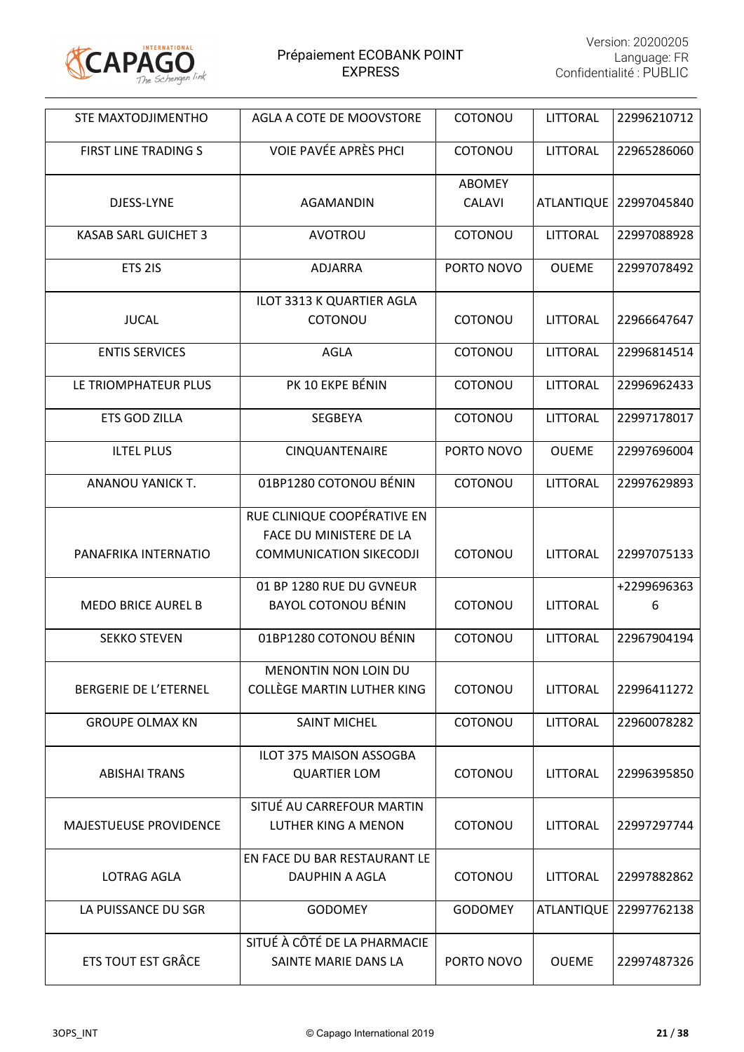

| STE MAXTODJIMENTHO            | AGLA A COTE DE MOOVSTORE       | COTONOU        | LITTORAL          | 22996210712            |
|-------------------------------|--------------------------------|----------------|-------------------|------------------------|
| <b>FIRST LINE TRADING S</b>   | VOIE PAVÉE APRÈS PHCI          | COTONOU        | LITTORAL          | 22965286060            |
|                               |                                | <b>ABOMEY</b>  |                   |                        |
| DJESS-LYNE                    | AGAMANDIN                      | <b>CALAVI</b>  | <b>ATLANTIQUE</b> | 22997045840            |
| <b>KASAB SARL GUICHET 3</b>   | AVOTROU                        | COTONOU        | LITTORAL          | 22997088928            |
| ETS <sub>2IS</sub>            | <b>ADJARRA</b>                 | PORTO NOVO     | <b>OUEME</b>      | 22997078492            |
|                               | ILOT 3313 K QUARTIER AGLA      |                |                   |                        |
| <b>JUCAL</b>                  | COTONOU                        | COTONOU        | LITTORAL          | 22966647647            |
| <b>ENTIS SERVICES</b>         | <b>AGLA</b>                    | COTONOU        | <b>LITTORAL</b>   | 22996814514            |
| LE TRIOMPHATEUR PLUS          | PK 10 EKPE BÉNIN               | COTONOU        | <b>LITTORAL</b>   | 22996962433            |
| <b>ETS GOD ZILLA</b>          | <b>SEGBEYA</b>                 | COTONOU        | LITTORAL          | 22997178017            |
| <b>ILTEL PLUS</b>             | <b>CINQUANTENAIRE</b>          | PORTO NOVO     | <b>OUEME</b>      | 22997696004            |
| ANANOU YANICK T.              | 01BP1280 COTONOU BÉNIN         | COTONOU        | <b>LITTORAL</b>   | 22997629893            |
|                               | RUE CLINIQUE COOPÉRATIVE EN    |                |                   |                        |
|                               | FACE DU MINISTERE DE LA        |                |                   |                        |
| PANAFRIKA INTERNATIO          | <b>COMMUNICATION SIKECODJI</b> | COTONOU        | LITTORAL          | 22997075133            |
|                               | 01 BP 1280 RUE DU GVNEUR       |                |                   | +2299696363            |
| <b>MEDO BRICE AUREL B</b>     | <b>BAYOL COTONOU BÉNIN</b>     | COTONOU        | <b>LITTORAL</b>   | 6                      |
| <b>SEKKO STEVEN</b>           | 01BP1280 COTONOU BÉNIN         | COTONOU        | <b>LITTORAL</b>   | 22967904194            |
|                               | MENONTIN NON LOIN DU           |                |                   |                        |
| <b>BERGERIE DE L'ETERNEL</b>  | COLLÈGE MARTIN LUTHER KING     | COTONOU        | LITTORAL          | 22996411272            |
| <b>GROUPE OLMAX KN</b>        | <b>SAINT MICHEL</b>            | COTONOU        | LITTORAL          | 22960078282            |
|                               | <b>ILOT 375 MAISON ASSOGBA</b> |                |                   |                        |
| <b>ABISHAI TRANS</b>          | <b>QUARTIER LOM</b>            | COTONOU        | <b>LITTORAL</b>   | 22996395850            |
|                               | SITUÉ AU CARREFOUR MARTIN      |                |                   |                        |
| <b>MAJESTUEUSE PROVIDENCE</b> | LUTHER KING A MENON            | COTONOU        | LITTORAL          | 22997297744            |
|                               | EN FACE DU BAR RESTAURANT LE   |                |                   |                        |
| <b>LOTRAG AGLA</b>            | DAUPHIN A AGLA                 | COTONOU        | LITTORAL          | 22997882862            |
| LA PUISSANCE DU SGR           | <b>GODOMEY</b>                 | <b>GODOMEY</b> |                   | ATLANTIQUE 22997762138 |
|                               | SITUÉ À CÔTÉ DE LA PHARMACIE   |                |                   |                        |
| <b>ETS TOUT EST GRÂCE</b>     | SAINTE MARIE DANS LA           | PORTO NOVO     | <b>OUEME</b>      | 22997487326            |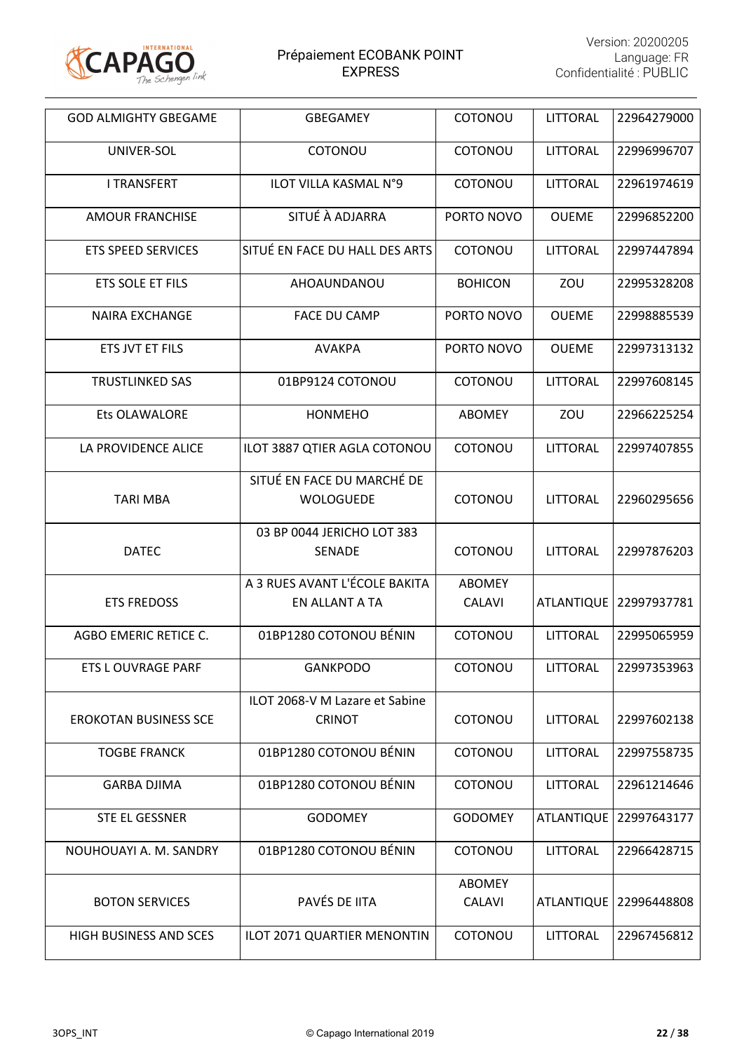

| <b>GOD ALMIGHTY GBEGAME</b>   | <b>GBEGAMEY</b>                                 | COTONOU                        | LITTORAL          | 22964279000              |
|-------------------------------|-------------------------------------------------|--------------------------------|-------------------|--------------------------|
| UNIVER-SOL                    | COTONOU                                         | COTONOU                        | LITTORAL          | 22996996707              |
| <b>I TRANSFERT</b>            | <b>ILOT VILLA KASMAL N°9</b>                    | COTONOU                        | <b>LITTORAL</b>   | 22961974619              |
| <b>AMOUR FRANCHISE</b>        | SITUÉ À ADJARRA                                 | PORTO NOVO                     | <b>OUEME</b>      | 22996852200              |
| <b>ETS SPEED SERVICES</b>     | SITUÉ EN FACE DU HALL DES ARTS                  | COTONOU                        | LITTORAL          | 22997447894              |
| ETS SOLE ET FILS              | AHOAUNDANOU                                     | <b>BOHICON</b>                 | ZOU               | 22995328208              |
| <b>NAIRA EXCHANGE</b>         | <b>FACE DU CAMP</b>                             | PORTO NOVO                     | <b>OUEME</b>      | 22998885539              |
| ETS JVT ET FILS               | <b>AVAKPA</b>                                   | PORTO NOVO                     | <b>OUEME</b>      | 22997313132              |
| <b>TRUSTLINKED SAS</b>        | 01BP9124 COTONOU                                | COTONOU                        | <b>LITTORAL</b>   | 22997608145              |
| <b>Ets OLAWALORE</b>          | <b>HONMEHO</b>                                  | ABOMEY                         | ZOU               | 22966225254              |
| LA PROVIDENCE ALICE           | ILOT 3887 QTIER AGLA COTONOU                    | COTONOU                        | LITTORAL          | 22997407855              |
| <b>TARI MBA</b>               | SITUÉ EN FACE DU MARCHÉ DE<br>WOLOGUEDE         | COTONOU                        | <b>LITTORAL</b>   | 22960295656              |
| <b>DATEC</b>                  | 03 BP 0044 JERICHO LOT 383<br><b>SENADE</b>     | COTONOU                        | LITTORAL          | 22997876203              |
| <b>ETS FREDOSS</b>            | A 3 RUES AVANT L'ÉCOLE BAKITA<br>EN ALLANT A TA | <b>ABOMEY</b><br><b>CALAVI</b> | <b>ATLANTIQUE</b> | 22997937781              |
| AGBO EMERIC RETICE C.         | 01BP1280 COTONOU BÉNIN                          | COTONOU                        | <b>LITTORAL</b>   | 22995065959              |
| <b>ETS L OUVRAGE PARF</b>     | <b>GANKPODO</b>                                 | COTONOU                        | LITTORAL          | 22997353963              |
| <b>EROKOTAN BUSINESS SCE</b>  | ILOT 2068-V M Lazare et Sabine<br><b>CRINOT</b> | COTONOU                        | LITTORAL          | 22997602138              |
| <b>TOGBE FRANCK</b>           | 01BP1280 COTONOU BÉNIN                          | COTONOU                        | LITTORAL          | 22997558735              |
| <b>GARBA DJIMA</b>            | 01BP1280 COTONOU BÉNIN                          | COTONOU                        | <b>LITTORAL</b>   | 22961214646              |
| STE EL GESSNER                | <b>GODOMEY</b>                                  | <b>GODOMEY</b>                 | <b>ATLANTIQUE</b> | 22997643177              |
| NOUHOUAYI A. M. SANDRY        | 01BP1280 COTONOU BÉNIN                          | COTONOU                        | <b>LITTORAL</b>   | 22966428715              |
| <b>BOTON SERVICES</b>         | PAVÉS DE IITA                                   | <b>ABOMEY</b><br><b>CALAVI</b> |                   | ATLANTIQUE   22996448808 |
| <b>HIGH BUSINESS AND SCES</b> | ILOT 2071 QUARTIER MENONTIN                     | COTONOU                        | LITTORAL          | 22967456812              |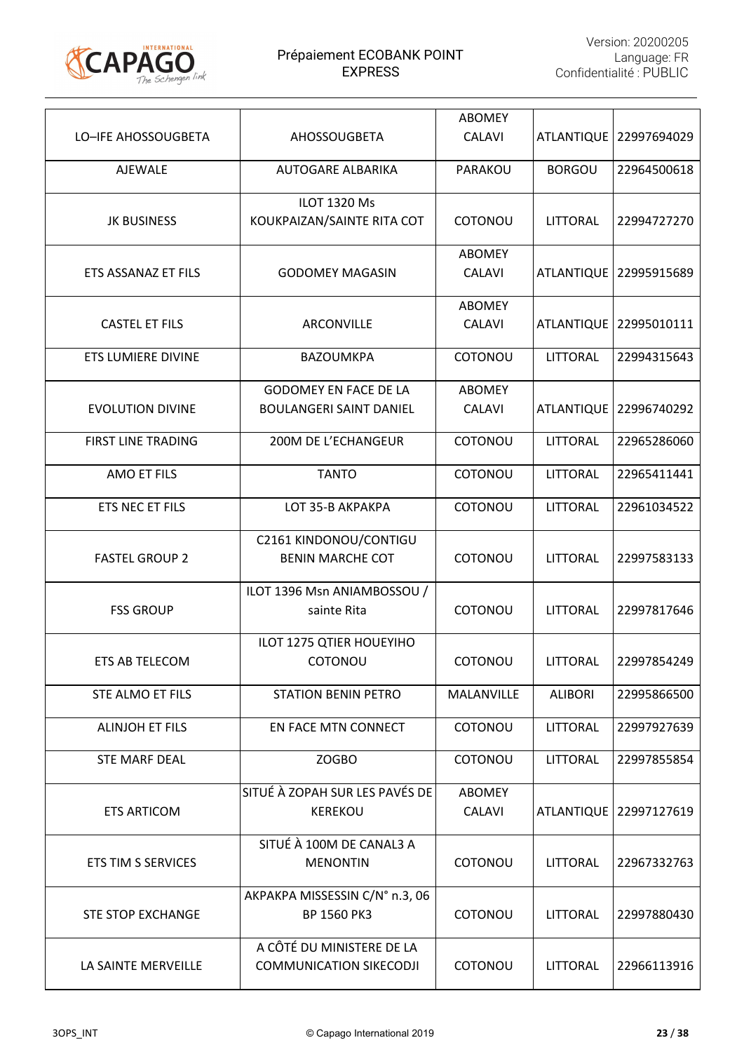

| LO-IFE AHOSSOUGBETA       | AHOSSOUGBETA                                                   | <b>ABOMEY</b><br><b>CALAVI</b> | <b>ATLANTIQUE</b> | 22997694029 |
|---------------------------|----------------------------------------------------------------|--------------------------------|-------------------|-------------|
| <b>AJEWALE</b>            | <b>AUTOGARE ALBARIKA</b>                                       | PARAKOU                        | <b>BORGOU</b>     | 22964500618 |
| <b>JK BUSINESS</b>        | <b>ILOT 1320 Ms</b><br>KOUKPAIZAN/SAINTE RITA COT              | COTONOU                        | <b>LITTORAL</b>   | 22994727270 |
| ETS ASSANAZ ET FILS       | <b>GODOMEY MAGASIN</b>                                         | <b>ABOMEY</b><br><b>CALAVI</b> | <b>ATLANTIQUE</b> | 22995915689 |
| <b>CASTEL ET FILS</b>     | ARCONVILLE                                                     | <b>ABOMEY</b><br><b>CALAVI</b> | <b>ATLANTIQUE</b> | 22995010111 |
| ETS LUMIERE DIVINE        | <b>BAZOUMKPA</b>                                               | COTONOU                        | <b>LITTORAL</b>   | 22994315643 |
| <b>EVOLUTION DIVINE</b>   | <b>GODOMEY EN FACE DE LA</b><br><b>BOULANGERI SAINT DANIEL</b> | <b>ABOMEY</b><br><b>CALAVI</b> | <b>ATLANTIQUE</b> | 22996740292 |
| <b>FIRST LINE TRADING</b> | 200M DE L'ECHANGEUR                                            | COTONOU                        | LITTORAL          | 22965286060 |
| <b>AMO ET FILS</b>        | <b>TANTO</b>                                                   | COTONOU                        | <b>LITTORAL</b>   | 22965411441 |
| ETS NEC ET FILS           | LOT 35-B AKPAKPA                                               | COTONOU                        | <b>LITTORAL</b>   | 22961034522 |
| <b>FASTEL GROUP 2</b>     | C2161 KINDONOU/CONTIGU<br><b>BENIN MARCHE COT</b>              | COTONOU                        | <b>LITTORAL</b>   | 22997583133 |
| <b>FSS GROUP</b>          | ILOT 1396 Msn ANIAMBOSSOU /<br>sainte Rita                     | COTONOU                        | LITTORAL          | 22997817646 |
| ETS AB TELECOM            | ILOT 1275 QTIER HOUEYIHO<br>COTONOU                            | COTONOU                        | LITTORAL          | 22997854249 |
| STE ALMO ET FILS          | STATION BENIN PETRO                                            | MALANVILLE                     | <b>ALIBORI</b>    | 22995866500 |
| <b>ALINJOH ET FILS</b>    | EN FACE MTN CONNECT                                            | COTONOU                        | <b>LITTORAL</b>   | 22997927639 |
| <b>STE MARF DEAL</b>      | ZOGBO                                                          | COTONOU                        | LITTORAL          | 22997855854 |
| <b>ETS ARTICOM</b>        | SITUÉ À ZOPAH SUR LES PAVÉS DE<br><b>KEREKOU</b>               | <b>ABOMEY</b><br><b>CALAVI</b> | <b>ATLANTIQUE</b> | 22997127619 |
| <b>ETS TIM S SERVICES</b> | SITUÉ À 100M DE CANAL3 A<br><b>MENONTIN</b>                    | COTONOU                        | LITTORAL          | 22967332763 |
| <b>STE STOP EXCHANGE</b>  | AKPAKPA MISSESSIN C/N° n.3, 06<br>BP 1560 PK3                  | COTONOU                        | LITTORAL          | 22997880430 |
| LA SAINTE MERVEILLE       | A CÔTÉ DU MINISTERE DE LA<br><b>COMMUNICATION SIKECODJI</b>    | COTONOU                        | LITTORAL          | 22966113916 |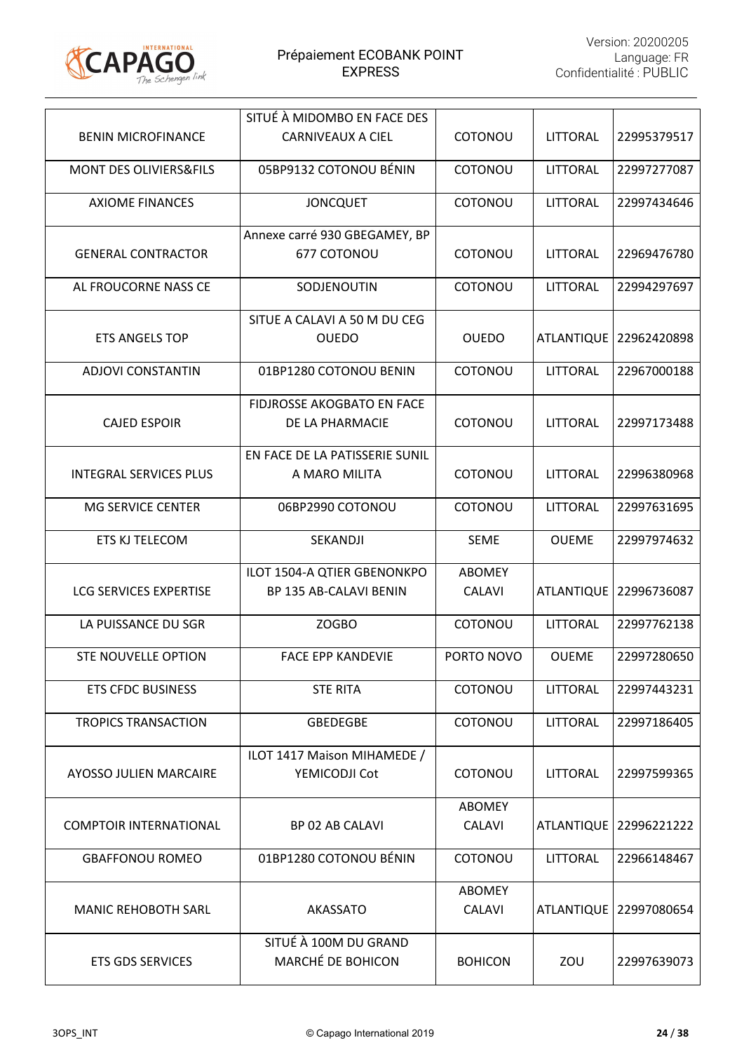

|                                   | SITUÉ À MIDOMBO EN FACE DES                |                                |                 |                          |
|-----------------------------------|--------------------------------------------|--------------------------------|-----------------|--------------------------|
| <b>BENIN MICROFINANCE</b>         | <b>CARNIVEAUX A CIEL</b>                   | COTONOU                        | LITTORAL        | 22995379517              |
| <b>MONT DES OLIVIERS&amp;FILS</b> | 05BP9132 COTONOU BÉNIN                     | COTONOU                        | <b>LITTORAL</b> | 22997277087              |
| <b>AXIOME FINANCES</b>            | <b>JONCQUET</b>                            | COTONOU                        | <b>LITTORAL</b> | 22997434646              |
|                                   | Annexe carré 930 GBEGAMEY, BP              |                                |                 |                          |
| <b>GENERAL CONTRACTOR</b>         | 677 COTONOU                                | COTONOU                        | <b>LITTORAL</b> | 22969476780              |
| AL FROUCORNE NASS CE              | SODJENOUTIN                                | COTONOU                        | LITTORAL        | 22994297697              |
|                                   | SITUE A CALAVI A 50 M DU CEG               |                                |                 |                          |
| <b>ETS ANGELS TOP</b>             | <b>OUEDO</b>                               | <b>OUEDO</b>                   |                 | ATLANTIQUE   22962420898 |
| <b>ADJOVI CONSTANTIN</b>          | 01BP1280 COTONOU BENIN                     | COTONOU                        | <b>LITTORAL</b> | 22967000188              |
|                                   | <b>FIDJROSSE AKOGBATO EN FACE</b>          |                                |                 |                          |
| <b>CAJED ESPOIR</b>               | DE LA PHARMACIE                            | COTONOU                        | LITTORAL        | 22997173488              |
|                                   | EN FACE DE LA PATISSERIE SUNIL             |                                |                 |                          |
| <b>INTEGRAL SERVICES PLUS</b>     | A MARO MILITA                              | COTONOU                        | LITTORAL        | 22996380968              |
| MG SERVICE CENTER                 | 06BP2990 COTONOU                           | COTONOU                        | <b>LITTORAL</b> | 22997631695              |
| ETS KJ TELECOM                    | SEKANDJI                                   | <b>SEME</b>                    | <b>OUEME</b>    | 22997974632              |
|                                   | ILOT 1504-A QTIER GBENONKPO                | <b>ABOMEY</b>                  |                 |                          |
| <b>LCG SERVICES EXPERTISE</b>     | BP 135 AB-CALAVI BENIN                     | <b>CALAVI</b>                  |                 | ATLANTIQUE   22996736087 |
| LA PUISSANCE DU SGR               | ZOGBO                                      | COTONOU                        | <b>LITTORAL</b> | 22997762138              |
| <b>STE NOUVELLE OPTION</b>        | <b>FACE EPP KANDEVIE</b>                   | PORTO NOVO                     | <b>OUEME</b>    | 22997280650              |
| <b>ETS CFDC BUSINESS</b>          | <b>STE RITA</b>                            | COTONOU                        | <b>LITTORAL</b> | 22997443231              |
| <b>TROPICS TRANSACTION</b>        | <b>GBEDEGBE</b>                            | COTONOU                        | <b>LITTORAL</b> | 22997186405              |
|                                   | ILOT 1417 Maison MIHAMEDE /                |                                |                 |                          |
| <b>AYOSSO JULIEN MARCAIRE</b>     | YEMICODJI Cot                              | COTONOU                        | LITTORAL        | 22997599365              |
|                                   |                                            | <b>ABOMEY</b>                  |                 |                          |
| <b>COMPTOIR INTERNATIONAL</b>     | BP 02 AB CALAVI                            | <b>CALAVI</b>                  |                 | ATLANTIQUE   22996221222 |
| <b>GBAFFONOU ROMEO</b>            | 01BP1280 COTONOU BÉNIN                     | COTONOU                        | <b>LITTORAL</b> | 22966148467              |
| <b>MANIC REHOBOTH SARL</b>        | <b>AKASSATO</b>                            | <b>ABOMEY</b><br><b>CALAVI</b> |                 | ATLANTIQUE   22997080654 |
|                                   |                                            |                                |                 |                          |
| <b>ETS GDS SERVICES</b>           | SITUÉ À 100M DU GRAND<br>MARCHÉ DE BOHICON | <b>BOHICON</b>                 | ZOU             | 22997639073              |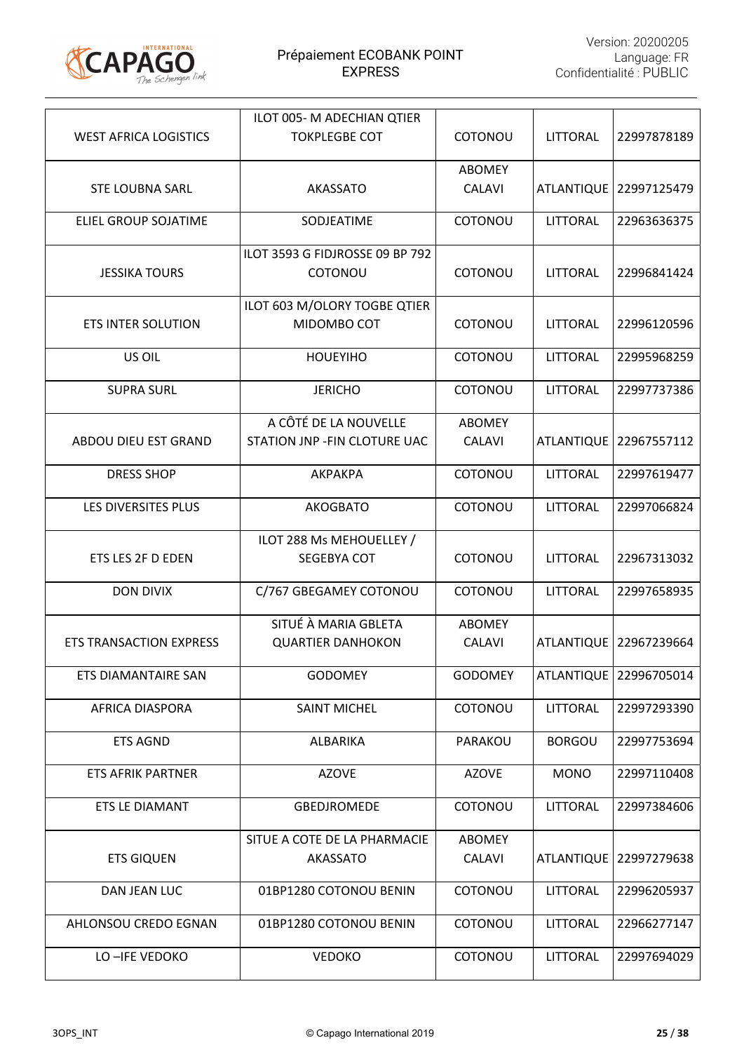

|                                | ILOT 005- M ADECHIAN QTIER                       |                                |                   |             |
|--------------------------------|--------------------------------------------------|--------------------------------|-------------------|-------------|
| <b>WEST AFRICA LOGISTICS</b>   | <b>TOKPLEGBE COT</b>                             | COTONOU                        | LITTORAL          | 22997878189 |
| <b>STE LOUBNA SARL</b>         | <b>AKASSATO</b>                                  | <b>ABOMEY</b><br><b>CALAVI</b> | <b>ATLANTIQUE</b> | 22997125479 |
| <b>ELIEL GROUP SOJATIME</b>    | SODJEATIME                                       | COTONOU                        | <b>LITTORAL</b>   | 22963636375 |
| <b>JESSIKA TOURS</b>           | ILOT 3593 G FIDJROSSE 09 BP 792<br>COTONOU       | COTONOU                        | LITTORAL          | 22996841424 |
| <b>ETS INTER SOLUTION</b>      | ILOT 603 M/OLORY TOGBE QTIER<br>MIDOMBO COT      | COTONOU                        | LITTORAL          | 22996120596 |
| US OIL                         | <b>HOUEYIHO</b>                                  | COTONOU                        | <b>LITTORAL</b>   | 22995968259 |
| <b>SUPRA SURL</b>              | <b>JERICHO</b>                                   | COTONOU                        | LITTORAL          | 22997737386 |
|                                | A CÔTÉ DE LA NOUVELLE                            | <b>ABOMEY</b>                  |                   |             |
| ABDOU DIEU EST GRAND           | STATION JNP - FIN CLOTURE UAC                    | <b>CALAVI</b>                  | <b>ATLANTIQUE</b> | 22967557112 |
| <b>DRESS SHOP</b>              | <b>АКРАКРА</b>                                   | COTONOU                        | LITTORAL          | 22997619477 |
| LES DIVERSITES PLUS            | <b>AKOGBATO</b>                                  | COTONOU                        | <b>LITTORAL</b>   | 22997066824 |
|                                | ILOT 288 Ms MEHOUELLEY /                         |                                |                   |             |
| ETS LES 2F D EDEN              | SEGEBYA COT                                      | COTONOU                        | LITTORAL          | 22967313032 |
| <b>DON DIVIX</b>               | C/767 GBEGAMEY COTONOU                           | COTONOU                        | LITTORAL          | 22997658935 |
| <b>ETS TRANSACTION EXPRESS</b> | SITUÉ À MARIA GBLETA<br><b>QUARTIER DANHOKON</b> | <b>ABOMEY</b><br><b>CALAVI</b> | <b>ATLANTIQUE</b> | 22967239664 |
| ETS DIAMANTAIRE SAN            | <b>GODOMEY</b>                                   | <b>GODOMEY</b>                 | <b>ATLANTIQUE</b> | 22996705014 |
| AFRICA DIASPORA                | <b>SAINT MICHEL</b>                              | COTONOU                        | <b>LITTORAL</b>   | 22997293390 |
| <b>ETS AGND</b>                | ALBARIKA                                         | PARAKOU                        | <b>BORGOU</b>     | 22997753694 |
| <b>ETS AFRIK PARTNER</b>       | <b>AZOVE</b>                                     | <b>AZOVE</b>                   | <b>MONO</b>       | 22997110408 |
| ETS LE DIAMANT                 | <b>GBEDJROMEDE</b>                               | COTONOU                        | <b>LITTORAL</b>   | 22997384606 |
| <b>ETS GIQUEN</b>              | SITUE A COTE DE LA PHARMACIE<br>AKASSATO         | <b>ABOMEY</b><br><b>CALAVI</b> | <b>ATLANTIQUE</b> | 22997279638 |
| DAN JEAN LUC                   | 01BP1280 COTONOU BENIN                           | COTONOU                        | <b>LITTORAL</b>   | 22996205937 |
| AHLONSOU CREDO EGNAN           | 01BP1280 COTONOU BENIN                           | COTONOU                        | <b>LITTORAL</b>   | 22966277147 |
| LO-IFE VEDOKO                  | <b>VEDOKO</b>                                    | COTONOU                        | LITTORAL          | 22997694029 |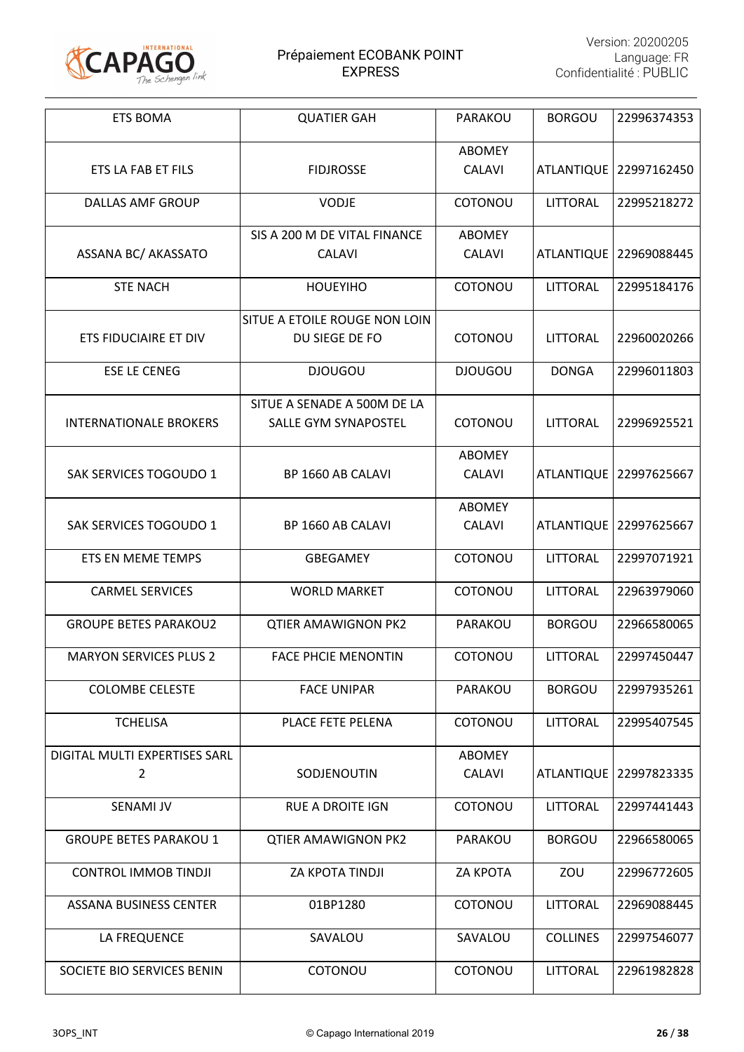

| <b>ETS BOMA</b>               | <b>QUATIER GAH</b>                            | PARAKOU                        | <b>BORGOU</b>     | 22996374353              |
|-------------------------------|-----------------------------------------------|--------------------------------|-------------------|--------------------------|
| ETS LA FAB ET FILS            | <b>FIDJROSSE</b>                              | <b>ABOMEY</b><br><b>CALAVI</b> |                   | ATLANTIQUE   22997162450 |
| <b>DALLAS AMF GROUP</b>       | VODJE                                         | COTONOU                        | <b>LITTORAL</b>   | 22995218272              |
| ASSANA BC/ AKASSATO           | SIS A 200 M DE VITAL FINANCE<br><b>CALAVI</b> | ABOMEY<br><b>CALAVI</b>        | ATLANTIQUE        | 22969088445              |
| <b>STE NACH</b>               | <b>HOUEYIHO</b>                               | COTONOU                        | <b>LITTORAL</b>   | 22995184176              |
|                               | SITUE A ETOILE ROUGE NON LOIN                 |                                |                   |                          |
| <b>ETS FIDUCIAIRE ET DIV</b>  | DU SIEGE DE FO                                | COTONOU                        | LITTORAL          | 22960020266              |
| <b>ESE LE CENEG</b>           | <b>DJOUGOU</b>                                | <b>DJOUGOU</b>                 | <b>DONGA</b>      | 22996011803              |
|                               | SITUE A SENADE A 500M DE LA                   |                                |                   |                          |
| <b>INTERNATIONALE BROKERS</b> | SALLE GYM SYNAPOSTEL                          | COTONOU                        | LITTORAL          | 22996925521              |
|                               |                                               | <b>ABOMEY</b>                  |                   |                          |
| SAK SERVICES TOGOUDO 1        | BP 1660 AB CALAVI                             | <b>CALAVI</b>                  |                   | ATLANTIQUE   22997625667 |
|                               |                                               | <b>ABOMEY</b>                  |                   |                          |
| SAK SERVICES TOGOUDO 1        | BP 1660 AB CALAVI                             | CALAVI                         | <b>ATLANTIQUE</b> | 22997625667              |
| ETS EN MEME TEMPS             | <b>GBEGAMEY</b>                               | COTONOU                        | <b>LITTORAL</b>   | 22997071921              |
| <b>CARMEL SERVICES</b>        | <b>WORLD MARKET</b>                           | COTONOU                        | <b>LITTORAL</b>   | 22963979060              |
| <b>GROUPE BETES PARAKOU2</b>  | <b>QTIER AMAWIGNON PK2</b>                    | PARAKOU                        | <b>BORGOU</b>     | 22966580065              |
| <b>MARYON SERVICES PLUS 2</b> | <b>FACE PHCIE MENONTIN</b>                    | COTONOU                        | <b>LITTORAL</b>   | 22997450447              |
| <b>COLOMBE CELESTE</b>        | <b>FACE UNIPAR</b>                            | PARAKOU                        | <b>BORGOU</b>     | 22997935261              |
| <b>TCHELISA</b>               | PLACE FETE PELENA                             | COTONOU                        | <b>LITTORAL</b>   | 22995407545              |
| DIGITAL MULTI EXPERTISES SARL |                                               | <b>ABOMEY</b>                  |                   |                          |
| $\overline{2}$                | SODJENOUTIN                                   | <b>CALAVI</b>                  | <b>ATLANTIQUE</b> | 22997823335              |
| <b>SENAMI JV</b>              | <b>RUE A DROITE IGN</b>                       | COTONOU                        | <b>LITTORAL</b>   | 22997441443              |
| <b>GROUPE BETES PARAKOU 1</b> | <b>QTIER AMAWIGNON PK2</b>                    | PARAKOU                        | <b>BORGOU</b>     | 22966580065              |
| <b>CONTROL IMMOB TINDJI</b>   | ZA KPOTA TINDJI                               | <b>ZA KPOTA</b>                | ZOU               | 22996772605              |
| <b>ASSANA BUSINESS CENTER</b> | 01BP1280                                      | COTONOU                        | <b>LITTORAL</b>   | 22969088445              |
| LA FREQUENCE                  | SAVALOU                                       | SAVALOU                        | <b>COLLINES</b>   | 22997546077              |
| SOCIETE BIO SERVICES BENIN    | COTONOU                                       | COTONOU                        | LITTORAL          | 22961982828              |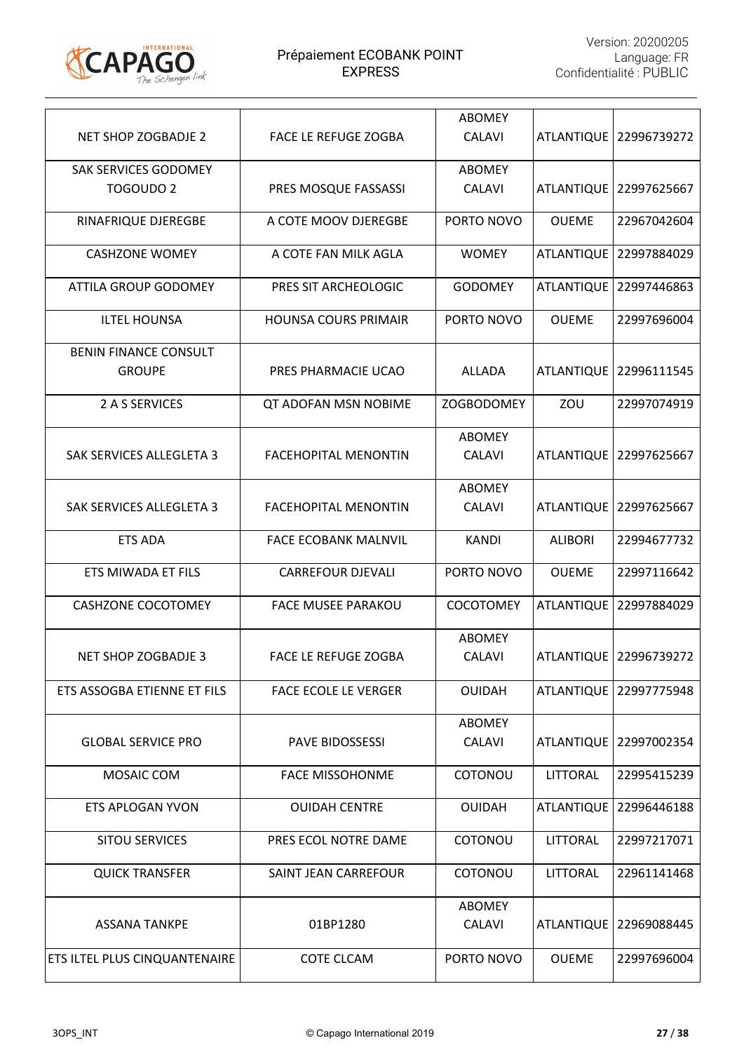

| NET SHOP ZOGBADJE 2                           | <b>FACE LE REFUGE ZOGBA</b> | <b>ABOMEY</b><br><b>CALAVI</b> |                   | ATLANTIQUE   22996739272 |
|-----------------------------------------------|-----------------------------|--------------------------------|-------------------|--------------------------|
| SAK SERVICES GODOMEY<br><b>TOGOUDO 2</b>      | PRES MOSQUE FASSASSI        | <b>ABOMEY</b><br><b>CALAVI</b> | <b>ATLANTIQUE</b> | 22997625667              |
| RINAFRIQUE DJEREGBE                           | A COTE MOOV DJEREGBE        | PORTO NOVO                     | <b>OUEME</b>      | 22967042604              |
| <b>CASHZONE WOMEY</b>                         | A COTE FAN MILK AGLA        | <b>WOMEY</b>                   | <b>ATLANTIQUE</b> | 22997884029              |
| <b>ATTILA GROUP GODOMEY</b>                   | PRES SIT ARCHEOLOGIC        | <b>GODOMEY</b>                 | <b>ATLANTIQUE</b> | 22997446863              |
| <b>ILTEL HOUNSA</b>                           | <b>HOUNSA COURS PRIMAIR</b> | PORTO NOVO                     | <b>OUEME</b>      | 22997696004              |
| <b>BENIN FINANCE CONSULT</b><br><b>GROUPE</b> | PRES PHARMACIE UCAO         | <b>ALLADA</b>                  | <b>ATLANTIQUE</b> | 22996111545              |
| 2 A S SERVICES                                | QT ADOFAN MSN NOBIME        | <b>ZOGBODOMEY</b>              | ZOU               | 22997074919              |
| <b>SAK SERVICES ALLEGLETA 3</b>               | <b>FACEHOPITAL MENONTIN</b> | <b>ABOMEY</b><br><b>CALAVI</b> | <b>ATLANTIQUE</b> | 22997625667              |
| <b>SAK SERVICES ALLEGLETA 3</b>               | <b>FACEHOPITAL MENONTIN</b> | <b>ABOMEY</b><br><b>CALAVI</b> | <b>ATLANTIQUE</b> | 122997625667             |
| <b>ETS ADA</b>                                | <b>FACE ECOBANK MALNVIL</b> | <b>KANDI</b>                   | <b>ALIBORI</b>    | 22994677732              |
| ETS MIWADA ET FILS                            | <b>CARREFOUR DJEVALI</b>    | PORTO NOVO                     | <b>OUEME</b>      | 22997116642              |
| <b>CASHZONE COCOTOMEY</b>                     | <b>FACE MUSEE PARAKOU</b>   | <b>COCOTOMEY</b>               | <b>ATLANTIQUE</b> | 22997884029              |
| NET SHOP ZOGBADJE 3                           | <b>FACE LE REFUGE ZOGBA</b> | <b>ABOMEY</b><br><b>CALAVI</b> |                   | ATLANTIQUE   22996739272 |
| ETS ASSOGBA ETIENNE ET FILS                   | <b>FACE ECOLE LE VERGER</b> | <b>OUIDAH</b>                  |                   | ATLANTIQUE   22997775948 |
| <b>GLOBAL SERVICE PRO</b>                     | <b>PAVE BIDOSSESSI</b>      | <b>ABOMEY</b><br><b>CALAVI</b> |                   | ATLANTIQUE 22997002354   |
| MOSAIC COM                                    | <b>FACE MISSOHONME</b>      | COTONOU                        | LITTORAL          | 22995415239              |
| <b>ETS APLOGAN YVON</b>                       | <b>OUIDAH CENTRE</b>        | <b>OUIDAH</b>                  | <b>ATLANTIQUE</b> | 22996446188              |
| <b>SITOU SERVICES</b>                         | PRES ECOL NOTRE DAME        | COTONOU                        | <b>LITTORAL</b>   | 22997217071              |
| <b>QUICK TRANSFER</b>                         | SAINT JEAN CARREFOUR        | COTONOU                        | LITTORAL          | 22961141468              |
| <b>ASSANA TANKPE</b>                          | 01BP1280                    | <b>ABOMEY</b><br><b>CALAVI</b> | <b>ATLANTIQUE</b> | 22969088445              |
| ETS ILTEL PLUS CINQUANTENAIRE                 | <b>COTE CLCAM</b>           | PORTO NOVO                     | <b>OUEME</b>      | 22997696004              |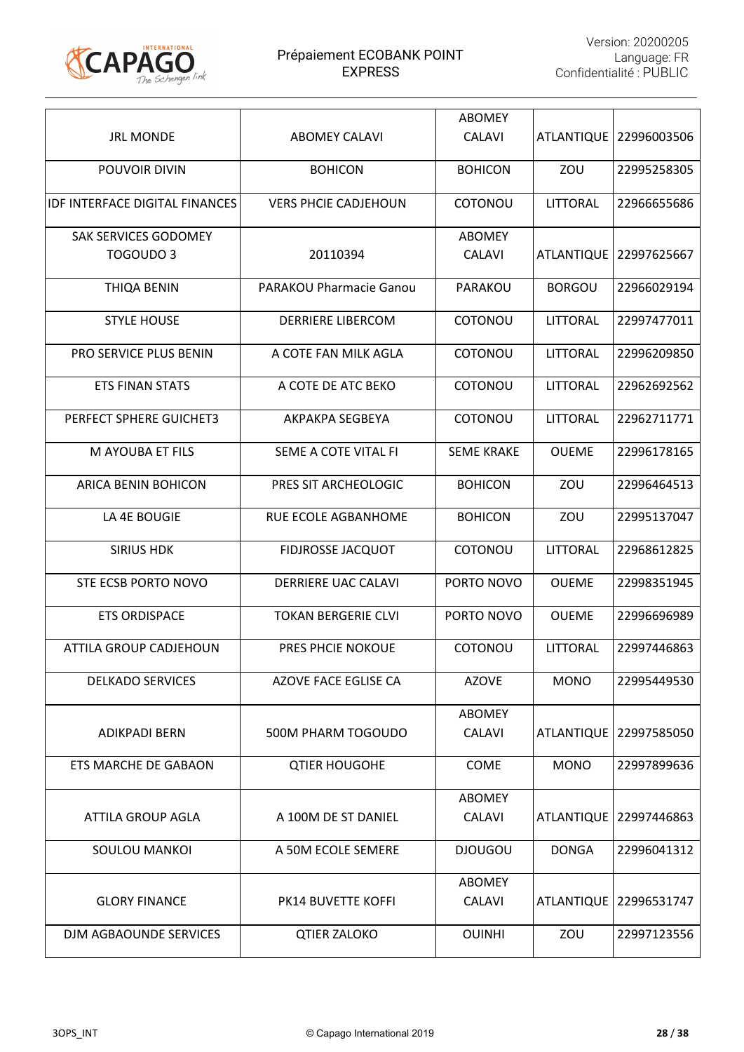

|                                       |                                | <b>ABOMEY</b>     |                   |                          |
|---------------------------------------|--------------------------------|-------------------|-------------------|--------------------------|
| <b>JRL MONDE</b>                      | <b>ABOMEY CALAVI</b>           | <b>CALAVI</b>     |                   | ATLANTIQUE   22996003506 |
| POUVOIR DIVIN                         | <b>BOHICON</b>                 | <b>BOHICON</b>    | ZOU               | 22995258305              |
| <b>IDF INTERFACE DIGITAL FINANCES</b> | <b>VERS PHCIE CADJEHOUN</b>    | COTONOU           | <b>LITTORAL</b>   | 22966655686              |
| SAK SERVICES GODOMEY                  |                                | <b>ABOMEY</b>     |                   |                          |
| TOGOUDO 3                             | 20110394                       | <b>CALAVI</b>     | <b>ATLANTIQUE</b> | 22997625667              |
| <b>THIQA BENIN</b>                    | <b>PARAKOU Pharmacie Ganou</b> | PARAKOU           | <b>BORGOU</b>     | 22966029194              |
| <b>STYLE HOUSE</b>                    | <b>DERRIERE LIBERCOM</b>       | COTONOU           | <b>LITTORAL</b>   | 22997477011              |
| <b>PRO SERVICE PLUS BENIN</b>         | A COTE FAN MILK AGLA           | COTONOU           | <b>LITTORAL</b>   | 22996209850              |
| <b>ETS FINAN STATS</b>                | A COTE DE ATC BEKO             | COTONOU           | <b>LITTORAL</b>   | 22962692562              |
| PERFECT SPHERE GUICHET3               | AKPAKPA SEGBEYA                | COTONOU           | <b>LITTORAL</b>   | 22962711771              |
| M AYOUBA ET FILS                      | SEME A COTE VITAL FI           | <b>SEME KRAKE</b> | <b>OUEME</b>      | 22996178165              |
| ARICA BENIN BOHICON                   | PRES SIT ARCHEOLOGIC           | <b>BOHICON</b>    | ZOU               | 22996464513              |
| LA 4E BOUGIE                          | RUE ECOLE AGBANHOME            | <b>BOHICON</b>    | ZOU               | 22995137047              |
| <b>SIRIUS HDK</b>                     | <b>FIDJROSSE JACQUOT</b>       | COTONOU           | <b>LITTORAL</b>   | 22968612825              |
| STE ECSB PORTO NOVO                   | <b>DERRIERE UAC CALAVI</b>     | PORTO NOVO        | <b>OUEME</b>      | 22998351945              |
| <b>ETS ORDISPACE</b>                  | <b>TOKAN BERGERIE CLVI</b>     | PORTO NOVO        | <b>OUEME</b>      | 22996696989              |
| <b>ATTILA GROUP CADJEHOUN</b>         | PRES PHCIE NOKOUE              | COTONOU           | <b>LITTORAL</b>   | 22997446863              |
| <b>DELKADO SERVICES</b>               | AZOVE FACE EGLISE CA           | <b>AZOVE</b>      | <b>MONO</b>       | 22995449530              |
|                                       |                                | <b>ABOMEY</b>     |                   |                          |
| <b>ADIKPADI BERN</b>                  | 500M PHARM TOGOUDO             | <b>CALAVI</b>     |                   | ATLANTIQUE   22997585050 |
| <b>ETS MARCHE DE GABAON</b>           | <b>QTIER HOUGOHE</b>           | COME              | <b>MONO</b>       | 22997899636              |
|                                       |                                | <b>ABOMEY</b>     |                   |                          |
| <b>ATTILA GROUP AGLA</b>              | A 100M DE ST DANIEL            | <b>CALAVI</b>     |                   | ATLANTIQUE   22997446863 |
| <b>SOULOU MANKOI</b>                  | A 50M ECOLE SEMERE             | <b>DJOUGOU</b>    | <b>DONGA</b>      | 22996041312              |
|                                       |                                | <b>ABOMEY</b>     |                   |                          |
| <b>GLORY FINANCE</b>                  | PK14 BUVETTE KOFFI             | <b>CALAVI</b>     | <b>ATLANTIQUE</b> | 22996531747              |
| DJM AGBAOUNDE SERVICES                | <b>QTIER ZALOKO</b>            | <b>OUINHI</b>     | ZOU               | 22997123556              |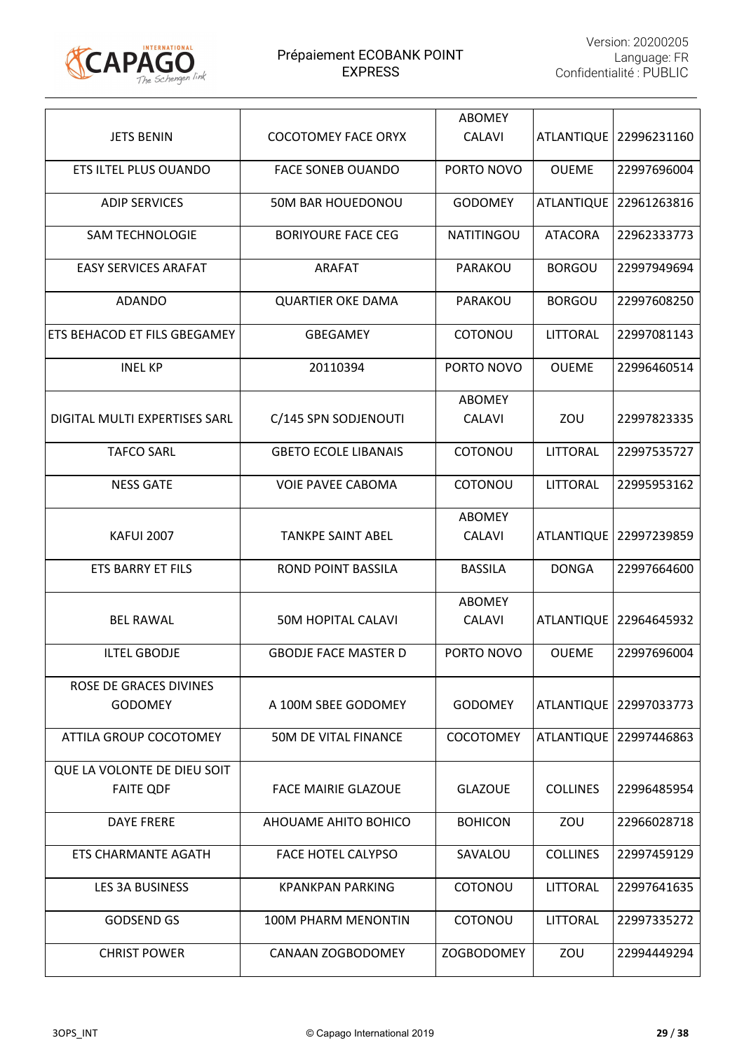

|                                                 |                             | <b>ABOMEY</b>                  |                   |                          |
|-------------------------------------------------|-----------------------------|--------------------------------|-------------------|--------------------------|
| <b>JETS BENIN</b>                               | <b>COCOTOMEY FACE ORYX</b>  | <b>CALAVI</b>                  |                   | ATLANTIQUE   22996231160 |
| ETS ILTEL PLUS OUANDO                           | <b>FACE SONEB OUANDO</b>    | PORTO NOVO                     | <b>OUEME</b>      | 22997696004              |
| <b>ADIP SERVICES</b>                            | 50M BAR HOUEDONOU           | <b>GODOMEY</b>                 | <b>ATLANTIQUE</b> | 22961263816              |
| <b>SAM TECHNOLOGIE</b>                          | <b>BORIYOURE FACE CEG</b>   | <b>NATITINGOU</b>              | <b>ATACORA</b>    | 22962333773              |
| <b>EASY SERVICES ARAFAT</b>                     | <b>ARAFAT</b>               | PARAKOU                        | <b>BORGOU</b>     | 22997949694              |
| <b>ADANDO</b>                                   | <b>QUARTIER OKE DAMA</b>    | PARAKOU                        | <b>BORGOU</b>     | 22997608250              |
| ETS BEHACOD ET FILS GBEGAMEY                    | <b>GBEGAMEY</b>             | COTONOU                        | <b>LITTORAL</b>   | 22997081143              |
| <b>INEL KP</b>                                  | 20110394                    | PORTO NOVO                     | <b>OUEME</b>      | 22996460514              |
| DIGITAL MULTI EXPERTISES SARL                   | C/145 SPN SODJENOUTI        | <b>ABOMEY</b><br><b>CALAVI</b> | ZOU               | 22997823335              |
| <b>TAFCO SARL</b>                               | <b>GBETO ECOLE LIBANAIS</b> | COTONOU                        | <b>LITTORAL</b>   | 22997535727              |
| <b>NESS GATE</b>                                | <b>VOIE PAVEE CABOMA</b>    | COTONOU                        | <b>LITTORAL</b>   | 22995953162              |
| <b>KAFUI 2007</b>                               | <b>TANKPE SAINT ABEL</b>    | <b>ABOMEY</b><br><b>CALAVI</b> |                   | ATLANTIQUE   22997239859 |
| <b>ETS BARRY ET FILS</b>                        | <b>ROND POINT BASSILA</b>   | <b>BASSILA</b>                 | <b>DONGA</b>      | 22997664600              |
| <b>BEL RAWAL</b>                                | <b>50M HOPITAL CALAVI</b>   | <b>ABOMEY</b><br><b>CALAVI</b> | <b>ATLANTIQUE</b> | 22964645932              |
| <b>ILTEL GBODJE</b>                             | <b>GBODJE FACE MASTER D</b> | PORTO NOVO                     | <b>OUEME</b>      | 22997696004              |
| ROSE DE GRACES DIVINES<br><b>GODOMEY</b>        | A 100M SBEE GODOMEY         | <b>GODOMEY</b>                 |                   | ATLANTIQUE   22997033773 |
| ATTILA GROUP COCOTOMEY                          | 50M DE VITAL FINANCE        | COCOTOMEY                      |                   | ATLANTIQUE 22997446863   |
| QUE LA VOLONTE DE DIEU SOIT<br><b>FAITE QDF</b> | <b>FACE MAIRIE GLAZOUE</b>  | <b>GLAZOUE</b>                 | <b>COLLINES</b>   | 22996485954              |
| <b>DAYE FRERE</b>                               | AHOUAME AHITO BOHICO        | <b>BOHICON</b>                 | ZOU               | 22966028718              |
| <b>ETS CHARMANTE AGATH</b>                      | <b>FACE HOTEL CALYPSO</b>   | SAVALOU                        | <b>COLLINES</b>   | 22997459129              |
| <b>LES 3A BUSINESS</b>                          | <b>KPANKPAN PARKING</b>     | COTONOU                        | <b>LITTORAL</b>   | 22997641635              |
| <b>GODSEND GS</b>                               | <b>100M PHARM MENONTIN</b>  | COTONOU                        | LITTORAL          | 22997335272              |
| <b>CHRIST POWER</b>                             | CANAAN ZOGBODOMEY           | <b>ZOGBODOMEY</b>              | ZOU               | 22994449294              |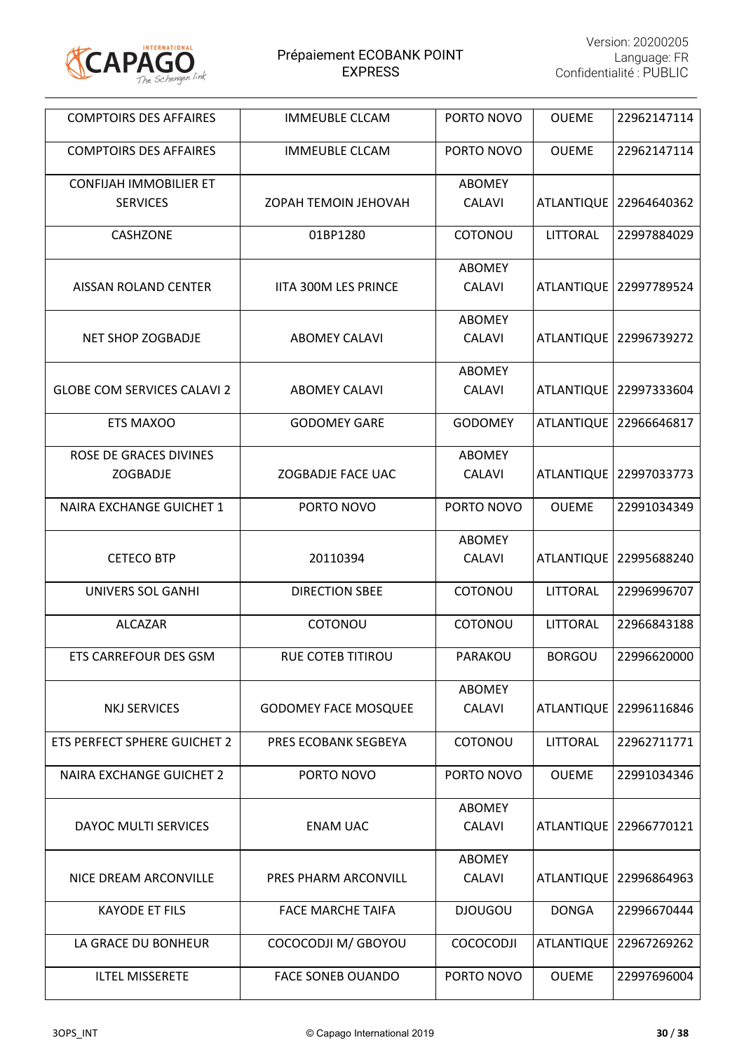

| <b>COMPTOIRS DES AFFAIRES</b>      | <b>IMMEUBLE CLCAM</b>       | PORTO NOVO     | <b>OUEME</b>      | 22962147114              |
|------------------------------------|-----------------------------|----------------|-------------------|--------------------------|
| <b>COMPTOIRS DES AFFAIRES</b>      | <b>IMMEUBLE CLCAM</b>       | PORTO NOVO     | <b>OUEME</b>      | 22962147114              |
| <b>CONFIJAH IMMOBILIER ET</b>      |                             | <b>ABOMEY</b>  |                   |                          |
| <b>SERVICES</b>                    | ZOPAH TEMOIN JEHOVAH        | <b>CALAVI</b>  |                   | ATLANTIQUE   22964640362 |
| <b>CASHZONE</b>                    | 01BP1280                    | COTONOU        | LITTORAL          | 22997884029              |
|                                    |                             | <b>ABOMEY</b>  |                   |                          |
| AISSAN ROLAND CENTER               | <b>IITA 300M LES PRINCE</b> | <b>CALAVI</b>  |                   | ATLANTIQUE   22997789524 |
|                                    |                             | <b>ABOMEY</b>  |                   |                          |
| <b>NET SHOP ZOGBADJE</b>           | <b>ABOMEY CALAVI</b>        | <b>CALAVI</b>  |                   | ATLANTIQUE   22996739272 |
|                                    |                             | <b>ABOMEY</b>  |                   |                          |
| <b>GLOBE COM SERVICES CALAVI 2</b> | <b>ABOMEY CALAVI</b>        | <b>CALAVI</b>  | <b>ATLANTIQUE</b> | 22997333604              |
| ETS MAXOO                          | <b>GODOMEY GARE</b>         | <b>GODOMEY</b> |                   | ATLANTIQUE 22966646817   |
| <b>ROSE DE GRACES DIVINES</b>      |                             | <b>ABOMEY</b>  |                   |                          |
| ZOGBADJE                           | ZOGBADJE FACE UAC           | <b>CALAVI</b>  |                   | ATLANTIQUE   22997033773 |
| <b>NAIRA EXCHANGE GUICHET 1</b>    | PORTO NOVO                  | PORTO NOVO     | <b>OUEME</b>      | 22991034349              |
|                                    |                             | ABOMEY         |                   |                          |
| <b>CETECO BTP</b>                  | 20110394                    | <b>CALAVI</b>  | <b>ATLANTIQUE</b> | 22995688240              |
| <b>UNIVERS SOL GANHI</b>           | <b>DIRECTION SBEE</b>       | COTONOU        | LITTORAL          | 22996996707              |
| <b>ALCAZAR</b>                     | COTONOU                     | COTONOU        | <b>LITTORAL</b>   | 22966843188              |
| ETS CARREFOUR DES GSM              | RUE COTEB TITIROU           | PARAKOU        | <b>BORGOU</b>     | 22996620000              |
|                                    |                             | ABOMEY         |                   |                          |
| <b>NKJ SERVICES</b>                | <b>GODOMEY FACE MOSQUEE</b> | <b>CALAVI</b>  | <b>ATLANTIQUE</b> | 22996116846              |
| ETS PERFECT SPHERE GUICHET 2       | PRES ECOBANK SEGBEYA        | COTONOU        | <b>LITTORAL</b>   | 22962711771              |
| <b>NAIRA EXCHANGE GUICHET 2</b>    | PORTO NOVO                  | PORTO NOVO     | <b>OUEME</b>      | 22991034346              |
|                                    |                             | <b>ABOMEY</b>  |                   |                          |
| DAYOC MULTI SERVICES               | <b>ENAM UAC</b>             | <b>CALAVI</b>  |                   | ATLANTIQUE   22966770121 |
|                                    |                             | <b>ABOMEY</b>  |                   |                          |
| NICE DREAM ARCONVILLE              | PRES PHARM ARCONVILL        | <b>CALAVI</b>  | <b>ATLANTIQUE</b> | 22996864963              |
| <b>KAYODE ET FILS</b>              | <b>FACE MARCHE TAIFA</b>    | <b>DJOUGOU</b> | <b>DONGA</b>      | 22996670444              |
| LA GRACE DU BONHEUR                | COCOCODJI M/ GBOYOU         | COCOCODJI      | <b>ATLANTIQUE</b> | 22967269262              |
| <b>ILTEL MISSERETE</b>             | <b>FACE SONEB OUANDO</b>    | PORTO NOVO     | <b>OUEME</b>      | 22997696004              |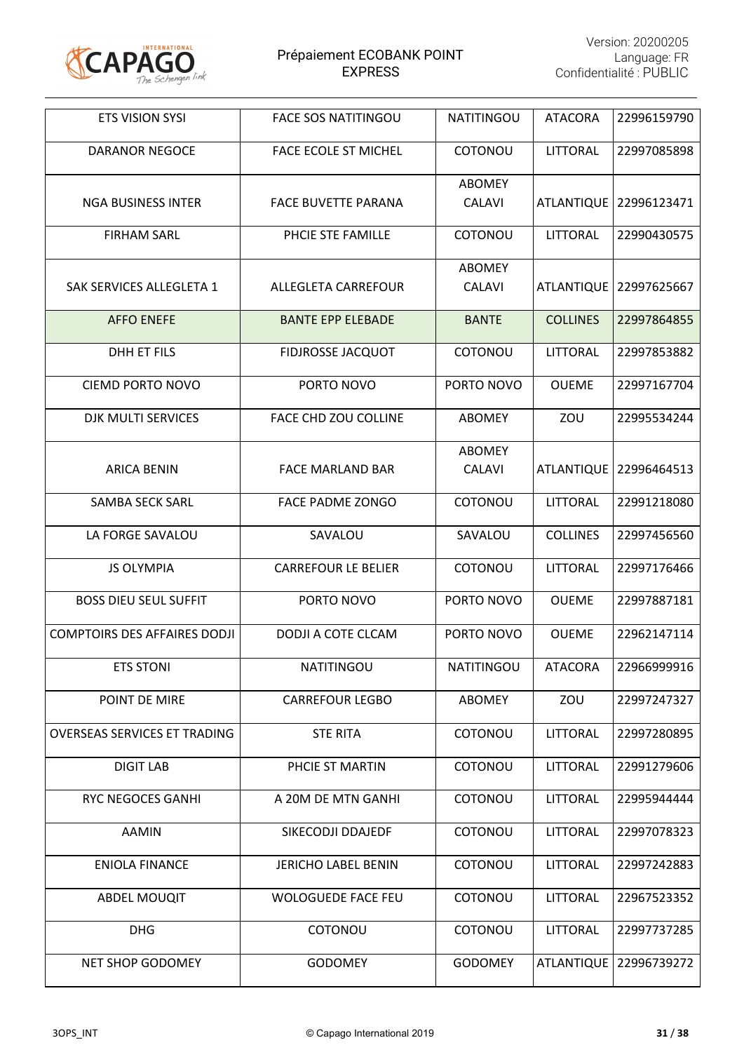

| <b>ETS VISION SYSI</b>              | <b>FACE SOS NATITINGOU</b>  | <b>NATITINGOU</b> | <b>ATACORA</b>    | 22996159790              |
|-------------------------------------|-----------------------------|-------------------|-------------------|--------------------------|
| <b>DARANOR NEGOCE</b>               | <b>FACE ECOLE ST MICHEL</b> | COTONOU           | <b>LITTORAL</b>   | 22997085898              |
|                                     |                             | <b>ABOMEY</b>     |                   |                          |
| <b>NGA BUSINESS INTER</b>           | <b>FACE BUVETTE PARANA</b>  | <b>CALAVI</b>     |                   | ATLANTIQUE   22996123471 |
| <b>FIRHAM SARL</b>                  | PHCIE STE FAMILLE           | COTONOU           | LITTORAL          | 22990430575              |
|                                     |                             | <b>ABOMEY</b>     |                   |                          |
| SAK SERVICES ALLEGLETA 1            | ALLEGLETA CARREFOUR         | <b>CALAVI</b>     | <b>ATLANTIQUE</b> | 22997625667              |
| <b>AFFO ENEFE</b>                   | <b>BANTE EPP ELEBADE</b>    | <b>BANTE</b>      | <b>COLLINES</b>   | 22997864855              |
| <b>DHH ET FILS</b>                  | <b>FIDJROSSE JACQUOT</b>    | COTONOU           | <b>LITTORAL</b>   | 22997853882              |
| <b>CIEMD PORTO NOVO</b>             | PORTO NOVO                  | PORTO NOVO        | <b>OUEME</b>      | 22997167704              |
| DJK MULTI SERVICES                  | FACE CHD ZOU COLLINE        | <b>ABOMEY</b>     | ZOU               | 22995534244              |
|                                     |                             | <b>ABOMEY</b>     |                   |                          |
| <b>ARICA BENIN</b>                  | <b>FACE MARLAND BAR</b>     | <b>CALAVI</b>     | <b>ATLANTIQUE</b> | 22996464513              |
| <b>SAMBA SECK SARL</b>              | <b>FACE PADME ZONGO</b>     | COTONOU           | LITTORAL          | 22991218080              |
| LA FORGE SAVALOU                    | SAVALOU                     | SAVALOU           | <b>COLLINES</b>   | 22997456560              |
| <b>JS OLYMPIA</b>                   | <b>CARREFOUR LE BELIER</b>  | COTONOU           | <b>LITTORAL</b>   | 22997176466              |
| <b>BOSS DIEU SEUL SUFFIT</b>        | PORTO NOVO                  | PORTO NOVO        | <b>OUEME</b>      | 22997887181              |
| <b>COMPTOIRS DES AFFAIRES DODJI</b> | DODJI A COTE CLCAM          | PORTO NOVO        | <b>OUEME</b>      | 22962147114              |
| <b>ETS STONI</b>                    | <b>NATITINGOU</b>           | <b>NATITINGOU</b> | <b>ATACORA</b>    | 22966999916              |
| POINT DE MIRE                       | <b>CARREFOUR LEGBO</b>      | ABOMEY            | ZOU               | 22997247327              |
| <b>OVERSEAS SERVICES ET TRADING</b> | <b>STE RITA</b>             | COTONOU           | <b>LITTORAL</b>   | 22997280895              |
| <b>DIGIT LAB</b>                    | PHCIE ST MARTIN             | COTONOU           | LITTORAL          | 22991279606              |
| <b>RYC NEGOCES GANHI</b>            | A 20M DE MTN GANHI          | COTONOU           | <b>LITTORAL</b>   | 22995944444              |
| <b>AAMIN</b>                        | SIKECODJI DDAJEDF           | COTONOU           | <b>LITTORAL</b>   | 22997078323              |
| <b>ENIOLA FINANCE</b>               | <b>JERICHO LABEL BENIN</b>  | COTONOU           | <b>LITTORAL</b>   | 22997242883              |
| <b>ABDEL MOUQIT</b>                 | <b>WOLOGUEDE FACE FEU</b>   | COTONOU           | LITTORAL          | 22967523352              |
| <b>DHG</b>                          | COTONOU                     | COTONOU           | <b>LITTORAL</b>   | 22997737285              |
| NET SHOP GODOMEY                    | <b>GODOMEY</b>              | <b>GODOMEY</b>    | <b>ATLANTIQUE</b> | 22996739272              |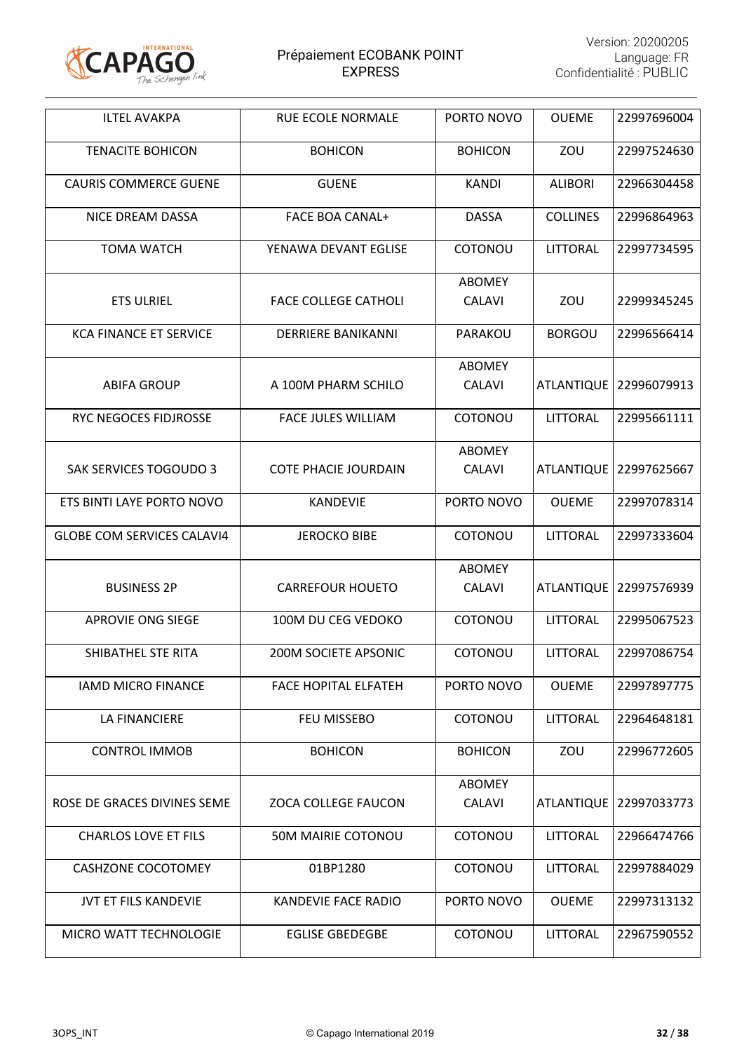

| <b>ILTEL AVAKPA</b>               | <b>RUE ECOLE NORMALE</b>    | PORTO NOVO                     | <b>OUEME</b>      | 22997696004 |
|-----------------------------------|-----------------------------|--------------------------------|-------------------|-------------|
| <b>TENACITE BOHICON</b>           | <b>BOHICON</b>              | <b>BOHICON</b>                 | ZOU               | 22997524630 |
| <b>CAURIS COMMERCE GUENE</b>      | <b>GUENE</b>                | <b>KANDI</b>                   | <b>ALIBORI</b>    | 22966304458 |
| NICE DREAM DASSA                  | <b>FACE BOA CANAL+</b>      | <b>DASSA</b>                   | <b>COLLINES</b>   | 22996864963 |
| <b>TOMA WATCH</b>                 | YENAWA DEVANT EGLISE        | COTONOU                        | <b>LITTORAL</b>   | 22997734595 |
| <b>ETS ULRIEL</b>                 | <b>FACE COLLEGE CATHOLI</b> | <b>ABOMEY</b><br><b>CALAVI</b> | ZOU               | 22999345245 |
| <b>KCA FINANCE ET SERVICE</b>     | <b>DERRIERE BANIKANNI</b>   | PARAKOU                        | <b>BORGOU</b>     | 22996566414 |
| <b>ABIFA GROUP</b>                | A 100M PHARM SCHILO         | <b>ABOMEY</b><br><b>CALAVI</b> | <b>ATLANTIQUE</b> | 22996079913 |
| RYC NEGOCES FIDJROSSE             | <b>FACE JULES WILLIAM</b>   | COTONOU                        | LITTORAL          | 22995661111 |
| <b>SAK SERVICES TOGOUDO 3</b>     | <b>COTE PHACIE JOURDAIN</b> | <b>ABOMEY</b><br><b>CALAVI</b> | ATLANTIQUE        | 22997625667 |
| ETS BINTI LAYE PORTO NOVO         | <b>KANDEVIE</b>             | PORTO NOVO                     | <b>OUEME</b>      | 22997078314 |
| <b>GLOBE COM SERVICES CALAVI4</b> | <b>JEROCKO BIBE</b>         | <b>COTONOU</b>                 | LITTORAL          | 22997333604 |
| <b>BUSINESS 2P</b>                | <b>CARREFOUR HOUETO</b>     | <b>ABOMEY</b><br><b>CALAVI</b> | <b>ATLANTIQUE</b> | 22997576939 |
| <b>APROVIE ONG SIEGE</b>          | 100M DU CEG VEDOKO          | COTONOU                        | LITTORAL          | 22995067523 |
| SHIBATHEL STE RITA                | <b>200M SOCIETE APSONIC</b> | COTONOU                        | LITTORAL          | 22997086754 |
| <b>IAMD MICRO FINANCE</b>         | <b>FACE HOPITAL ELFATEH</b> | PORTO NOVO                     | <b>OUEME</b>      | 22997897775 |
| <b>LA FINANCIERE</b>              | FEU MISSEBO                 | COTONOU                        | LITTORAL          | 22964648181 |
| <b>CONTROL IMMOB</b>              | <b>BOHICON</b>              | <b>BOHICON</b>                 | ZOU               | 22996772605 |
| ROSE DE GRACES DIVINES SEME       | <b>ZOCA COLLEGE FAUCON</b>  | <b>ABOMEY</b><br><b>CALAVI</b> | <b>ATLANTIQUE</b> | 22997033773 |
| <b>CHARLOS LOVE ET FILS</b>       | 50M MAIRIE COTONOU          | COTONOU                        | <b>LITTORAL</b>   | 22966474766 |
| <b>CASHZONE COCOTOMEY</b>         | 01BP1280                    | COTONOU                        | LITTORAL          | 22997884029 |
| JVT ET FILS KANDEVIE              | KANDEVIE FACE RADIO         | PORTO NOVO                     | <b>OUEME</b>      | 22997313132 |
| MICRO WATT TECHNOLOGIE            | <b>EGLISE GBEDEGBE</b>      | COTONOU                        | LITTORAL          | 22967590552 |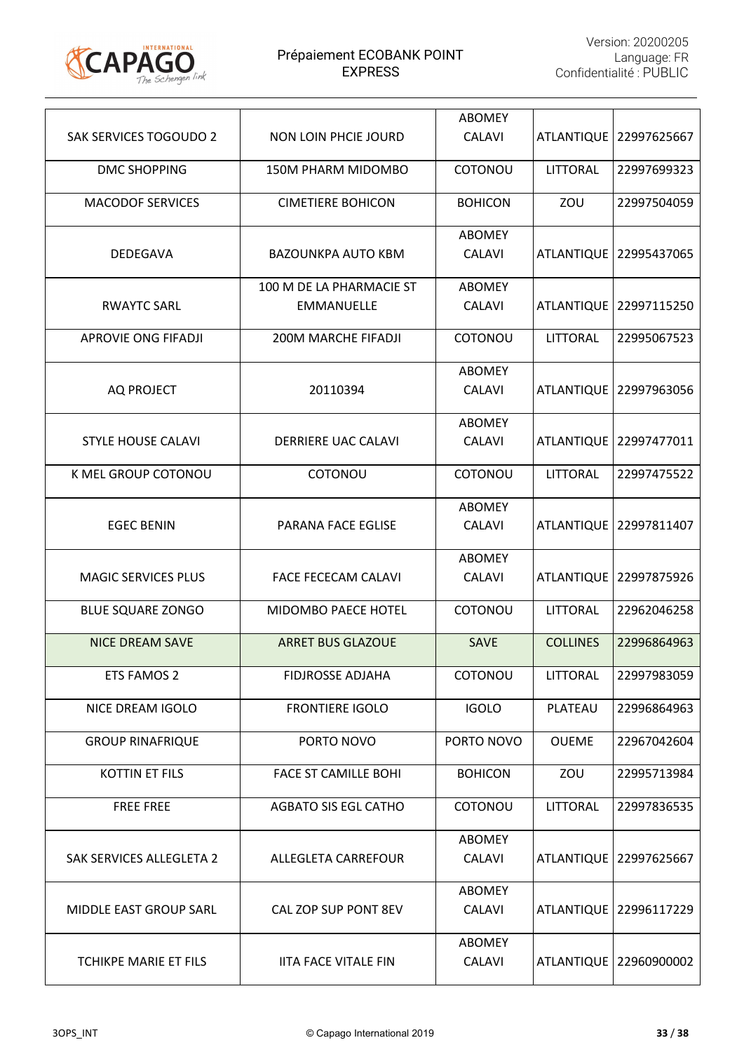

| <b>SAK SERVICES TOGOUDO 2</b> | <b>NON LOIN PHCIE JOURD</b> | <b>ABOMEY</b><br><b>CALAVI</b> | <b>ATLANTIQUE</b> | 22997625667              |
|-------------------------------|-----------------------------|--------------------------------|-------------------|--------------------------|
| <b>DMC SHOPPING</b>           | 150M PHARM MIDOMBO          | COTONOU                        | <b>LITTORAL</b>   | 22997699323              |
| <b>MACODOF SERVICES</b>       | <b>CIMETIERE BOHICON</b>    | <b>BOHICON</b>                 | ZOU               | 22997504059              |
|                               |                             | <b>ABOMEY</b>                  |                   |                          |
| <b>DEDEGAVA</b>               | <b>BAZOUNKPA AUTO KBM</b>   | <b>CALAVI</b>                  |                   | ATLANTIQUE 22995437065   |
|                               | 100 M DE LA PHARMACIE ST    | <b>ABOMEY</b>                  |                   |                          |
| <b>RWAYTC SARL</b>            | EMMANUELLE                  | <b>CALAVI</b>                  |                   | ATLANTIQUE   22997115250 |
| <b>APROVIE ONG FIFADJI</b>    | 200M MARCHE FIFADJI         | COTONOU                        | <b>LITTORAL</b>   | 22995067523              |
|                               |                             | <b>ABOMEY</b>                  |                   |                          |
| <b>AQ PROJECT</b>             | 20110394                    | <b>CALAVI</b>                  | <b>ATLANTIQUE</b> | 22997963056              |
|                               |                             | <b>ABOMEY</b>                  |                   |                          |
| <b>STYLE HOUSE CALAVI</b>     | <b>DERRIERE UAC CALAVI</b>  | <b>CALAVI</b>                  | <b>ATLANTIQUE</b> | 22997477011              |
| K MEL GROUP COTONOU           | COTONOU                     | COTONOU                        | <b>LITTORAL</b>   | 22997475522              |
|                               |                             | <b>ABOMEY</b>                  |                   |                          |
| <b>EGEC BENIN</b>             | PARANA FACE EGLISE          | <b>CALAVI</b>                  |                   | ATLANTIQUE 22997811407   |
|                               |                             | <b>ABOMEY</b>                  |                   |                          |
| <b>MAGIC SERVICES PLUS</b>    | <b>FACE FECECAM CALAVI</b>  | <b>CALAVI</b>                  | <b>ATLANTIQUE</b> | 22997875926              |
| <b>BLUE SQUARE ZONGO</b>      | MIDOMBO PAECE HOTEL         | COTONOU                        | <b>LITTORAL</b>   | 22962046258              |
| <b>NICE DREAM SAVE</b>        | <b>ARRET BUS GLAZOUE</b>    | SAVE                           | <b>COLLINES</b>   | 22996864963              |
| <b>ETS FAMOS 2</b>            | FIDJROSSE ADJAHA            | COTONOU                        | <b>LITTORAL</b>   | 22997983059              |
| NICE DREAM IGOLO              | <b>FRONTIERE IGOLO</b>      | <b>IGOLO</b>                   | PLATEAU           | 22996864963              |
| <b>GROUP RINAFRIQUE</b>       | PORTO NOVO                  | PORTO NOVO                     | <b>OUEME</b>      | 22967042604              |
| <b>KOTTIN ET FILS</b>         | <b>FACE ST CAMILLE BOHI</b> | <b>BOHICON</b>                 | ZOU               | 22995713984              |
| <b>FREE FREE</b>              | <b>AGBATO SIS EGL CATHO</b> | COTONOU                        | <b>LITTORAL</b>   | 22997836535              |
|                               |                             | <b>ABOMEY</b>                  |                   |                          |
| SAK SERVICES ALLEGLETA 2      | ALLEGLETA CARREFOUR         | <b>CALAVI</b>                  |                   | ATLANTIQUE   22997625667 |
|                               |                             | <b>ABOMEY</b>                  |                   |                          |
| <b>MIDDLE EAST GROUP SARL</b> | CAL ZOP SUP PONT 8EV        | <b>CALAVI</b>                  |                   | ATLANTIQUE   22996117229 |
|                               |                             | <b>ABOMEY</b>                  |                   |                          |
| <b>TCHIKPE MARIE ET FILS</b>  | <b>IITA FACE VITALE FIN</b> | <b>CALAVI</b>                  |                   | ATLANTIQUE   22960900002 |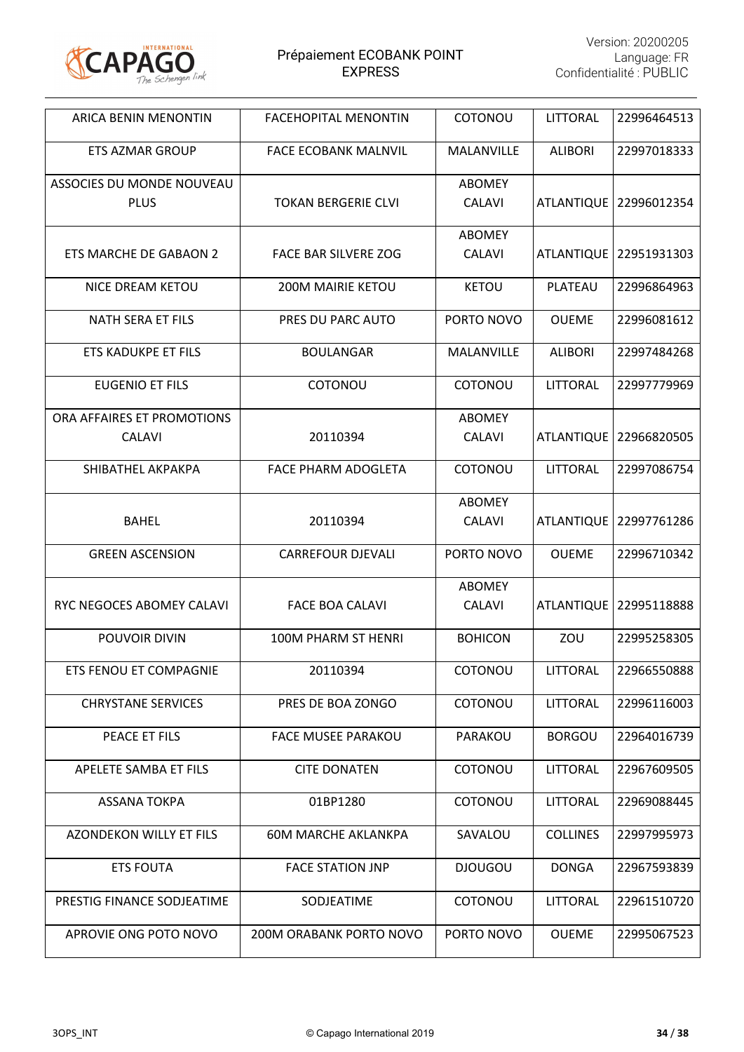

| ARICA BENIN MENONTIN                        | <b>FACEHOPITAL MENONTIN</b> | <b>COTONOU</b>                 | <b>LITTORAL</b>   | 22996464513              |
|---------------------------------------------|-----------------------------|--------------------------------|-------------------|--------------------------|
| <b>ETS AZMAR GROUP</b>                      | <b>FACE ECOBANK MALNVIL</b> | MALANVILLE                     | <b>ALIBORI</b>    | 22997018333              |
| ASSOCIES DU MONDE NOUVEAU<br><b>PLUS</b>    | <b>TOKAN BERGERIE CLVI</b>  | <b>ABOMEY</b><br><b>CALAVI</b> |                   | ATLANTIQUE   22996012354 |
| ETS MARCHE DE GABAON 2                      | <b>FACE BAR SILVERE ZOG</b> | <b>ABOMEY</b><br><b>CALAVI</b> | <b>ATLANTIQUE</b> | 22951931303              |
| <b>NICE DREAM KETOU</b>                     | <b>200M MAIRIE KETOU</b>    | <b>KETOU</b>                   | PLATEAU           | 22996864963              |
| <b>NATH SERA ET FILS</b>                    | PRES DU PARC AUTO           | PORTO NOVO                     | <b>OUEME</b>      | 22996081612              |
| <b>ETS KADUKPE ET FILS</b>                  | <b>BOULANGAR</b>            | MALANVILLE                     | <b>ALIBORI</b>    | 22997484268              |
| <b>EUGENIO ET FILS</b>                      | COTONOU                     | COTONOU                        | <b>LITTORAL</b>   | 22997779969              |
| ORA AFFAIRES ET PROMOTIONS<br><b>CALAVI</b> | 20110394                    | <b>ABOMEY</b><br><b>CALAVI</b> | <b>ATLANTIQUE</b> | 22966820505              |
| SHIBATHEL AKPAKPA                           | FACE PHARM ADOGLETA         | COTONOU                        | <b>LITTORAL</b>   | 22997086754              |
| <b>BAHEL</b>                                | 20110394                    | <b>ABOMEY</b><br><b>CALAVI</b> | <b>ATLANTIQUE</b> | 22997761286              |
| <b>GREEN ASCENSION</b>                      | <b>CARREFOUR DJEVALI</b>    | PORTO NOVO                     | <b>OUEME</b>      | 22996710342              |
| RYC NEGOCES ABOMEY CALAVI                   | <b>FACE BOA CALAVI</b>      | <b>ABOMEY</b><br><b>CALAVI</b> | <b>ATLANTIQUE</b> | 22995118888              |
| POUVOIR DIVIN                               | <b>100M PHARM ST HENRI</b>  | <b>BOHICON</b>                 | ZOU               | 22995258305              |
| ETS FENOU ET COMPAGNIE                      | 20110394                    | COTONOU                        | LITTORAL          | 22966550888              |
| <b>CHRYSTANE SERVICES</b>                   | PRES DE BOA ZONGO           | COTONOU                        | <b>LITTORAL</b>   | 22996116003              |
| PEACE ET FILS                               | <b>FACE MUSEE PARAKOU</b>   | PARAKOU                        | <b>BORGOU</b>     | 22964016739              |
| APELETE SAMBA ET FILS                       | <b>CITE DONATEN</b>         | COTONOU                        | LITTORAL          | 22967609505              |
| <b>ASSANA TOKPA</b>                         | 01BP1280                    | COTONOU                        | <b>LITTORAL</b>   | 22969088445              |
| <b>AZONDEKON WILLY ET FILS</b>              | <b>60M MARCHE AKLANKPA</b>  | SAVALOU                        | <b>COLLINES</b>   | 22997995973              |
| <b>ETS FOUTA</b>                            | <b>FACE STATION JNP</b>     | <b>DJOUGOU</b>                 | <b>DONGA</b>      | 22967593839              |
| PRESTIG FINANCE SODJEATIME                  | SODJEATIME                  | COTONOU                        | <b>LITTORAL</b>   | 22961510720              |
| APROVIE ONG POTO NOVO                       | 200M ORABANK PORTO NOVO     | PORTO NOVO                     | <b>OUEME</b>      | 22995067523              |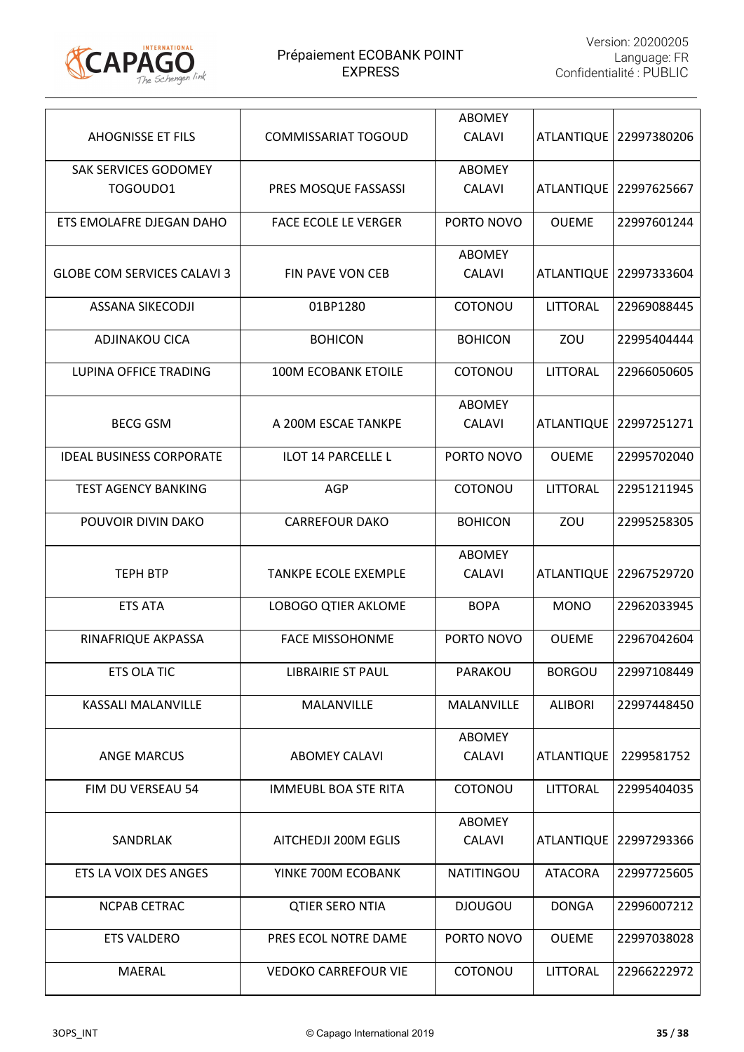

| <b>AHOGNISSE ET FILS</b>           | <b>COMMISSARIAT TOGOUD</b>  | <b>ABOMEY</b><br><b>CALAVI</b> |                   | ATLANTIQUE   22997380206 |
|------------------------------------|-----------------------------|--------------------------------|-------------------|--------------------------|
| SAK SERVICES GODOMEY<br>TOGOUD01   | PRES MOSQUE FASSASSI        | <b>ABOMEY</b><br><b>CALAVI</b> |                   | ATLANTIQUE   22997625667 |
| ETS EMOLAFRE DJEGAN DAHO           | <b>FACE ECOLE LE VERGER</b> | PORTO NOVO                     | <b>OUEME</b>      | 22997601244              |
| <b>GLOBE COM SERVICES CALAVI 3</b> | <b>FIN PAVE VON CEB</b>     | <b>ABOMEY</b><br><b>CALAVI</b> | <b>ATLANTIQUE</b> | 22997333604              |
| <b>ASSANA SIKECODJI</b>            | 01BP1280                    | COTONOU                        | <b>LITTORAL</b>   | 22969088445              |
| <b>ADJINAKOU CICA</b>              | <b>BOHICON</b>              | <b>BOHICON</b>                 | ZOU               | 22995404444              |
| <b>LUPINA OFFICE TRADING</b>       | <b>100M ECOBANK ETOILE</b>  | COTONOU                        | LITTORAL          | 22966050605              |
| <b>BECG GSM</b>                    | A 200M ESCAE TANKPE         | <b>ABOMEY</b><br><b>CALAVI</b> | <b>ATLANTIQUE</b> | 22997251271              |
| <b>IDEAL BUSINESS CORPORATE</b>    | <b>ILOT 14 PARCELLE L</b>   | PORTO NOVO                     | <b>OUEME</b>      | 22995702040              |
| <b>TEST AGENCY BANKING</b>         | <b>AGP</b>                  | COTONOU                        | LITTORAL          | 22951211945              |
| POUVOIR DIVIN DAKO                 | <b>CARREFOUR DAKO</b>       | <b>BOHICON</b>                 | ZOU               | 22995258305              |
| <b>TEPH BTP</b>                    | <b>TANKPE ECOLE EXEMPLE</b> | <b>ABOMEY</b><br><b>CALAVI</b> | <b>ATLANTIQUE</b> | 22967529720              |
| <b>ETS ATA</b>                     | <b>LOBOGO QTIER AKLOME</b>  | <b>BOPA</b>                    | <b>MONO</b>       | 22962033945              |
| RINAFRIQUE AKPASSA                 | <b>FACE MISSOHONME</b>      | PORTO NOVO                     | <b>OUEME</b>      | 22967042604              |
| ETS OLA TIC                        | <b>LIBRAIRIE ST PAUL</b>    | PARAKOU                        | <b>BORGOU</b>     | 22997108449              |
| KASSALI MALANVILLE                 | MALANVILLE                  | MALANVILLE                     | <b>ALIBORI</b>    | 22997448450              |
| <b>ANGE MARCUS</b>                 | <b>ABOMEY CALAVI</b>        | <b>ABOMEY</b><br><b>CALAVI</b> | <b>ATLANTIQUE</b> | 2299581752               |
| FIM DU VERSEAU 54                  | <b>IMMEUBL BOA STE RITA</b> | COTONOU                        | <b>LITTORAL</b>   | 22995404035              |
| SANDRLAK                           | AITCHEDJI 200M EGLIS        | <b>ABOMEY</b><br><b>CALAVI</b> |                   | ATLANTIQUE   22997293366 |
| ETS LA VOIX DES ANGES              | YINKE 700M ECOBANK          | <b>NATITINGOU</b>              | <b>ATACORA</b>    | 22997725605              |
| NCPAB CETRAC                       | <b>QTIER SERO NTIA</b>      | <b>DJOUGOU</b>                 | <b>DONGA</b>      | 22996007212              |
| <b>ETS VALDERO</b>                 | PRES ECOL NOTRE DAME        | PORTO NOVO                     | <b>OUEME</b>      | 22997038028              |
| <b>MAERAL</b>                      | <b>VEDOKO CARREFOUR VIE</b> | COTONOU                        | <b>LITTORAL</b>   | 22966222972              |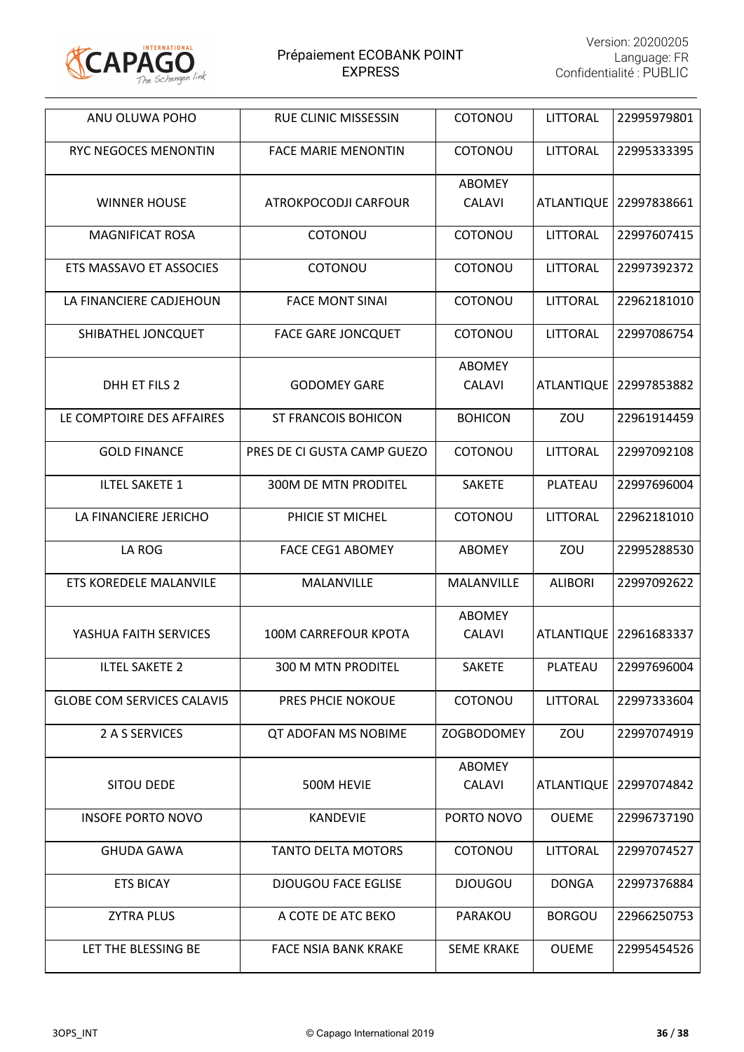

| ANU OLUWA POHO                    | <b>RUE CLINIC MISSESSIN</b> | COTONOU                        | <b>LITTORAL</b>   | 22995979801              |
|-----------------------------------|-----------------------------|--------------------------------|-------------------|--------------------------|
| RYC NEGOCES MENONTIN              | <b>FACE MARIE MENONTIN</b>  | <b>COTONOU</b>                 | LITTORAL          | 22995333395              |
| <b>WINNER HOUSE</b>               | ATROKPOCODJI CARFOUR        | <b>ABOMEY</b><br><b>CALAVI</b> |                   | ATLANTIQUE   22997838661 |
| <b>MAGNIFICAT ROSA</b>            | COTONOU                     | COTONOU                        | LITTORAL          | 22997607415              |
| ETS MASSAVO ET ASSOCIES           | COTONOU                     | COTONOU                        | <b>LITTORAL</b>   | 22997392372              |
| LA FINANCIERE CADJEHOUN           | <b>FACE MONT SINAI</b>      | COTONOU                        | LITTORAL          | 22962181010              |
| SHIBATHEL JONCQUET                | <b>FACE GARE JONCQUET</b>   | COTONOU                        | LITTORAL          | 22997086754              |
| DHH ET FILS 2                     | <b>GODOMEY GARE</b>         | <b>ABOMEY</b><br>CALAVI        | <b>ATLANTIQUE</b> | 22997853882              |
| LE COMPTOIRE DES AFFAIRES         | <b>ST FRANCOIS BOHICON</b>  | <b>BOHICON</b>                 | ZOU               | 22961914459              |
| <b>GOLD FINANCE</b>               | PRES DE CI GUSTA CAMP GUEZO | COTONOU                        | <b>LITTORAL</b>   | 22997092108              |
| <b>ILTEL SAKETE 1</b>             | <b>300M DE MTN PRODITEL</b> | <b>SAKETE</b>                  | PLATEAU           | 22997696004              |
| LA FINANCIERE JERICHO             | PHICIE ST MICHEL            | COTONOU                        | LITTORAL          | 22962181010              |
| LA ROG                            | <b>FACE CEG1 ABOMEY</b>     | <b>ABOMEY</b>                  | ZOU               | 22995288530              |
| ETS KOREDELE MALANVILE            | MALANVILLE                  | MALANVILLE                     | <b>ALIBORI</b>    | 22997092622              |
| YASHUA FAITH SERVICES             | <b>100M CARREFOUR KPOTA</b> | <b>ABOMEY</b><br>CALAVI        |                   | ATLANTIQUE   22961683337 |
| <b>ILTEL SAKETE 2</b>             | <b>300 M MTN PRODITEL</b>   | <b>SAKETE</b>                  | PLATEAU           | 22997696004              |
| <b>GLOBE COM SERVICES CALAVI5</b> | PRES PHCIE NOKOUE           | COTONOU                        | LITTORAL          | 22997333604              |
| 2 A S SERVICES                    | QT ADOFAN MS NOBIME         | <b>ZOGBODOMEY</b>              | ZOU               | 22997074919              |
| <b>SITOU DEDE</b>                 | 500M HEVIE                  | <b>ABOMEY</b><br><b>CALAVI</b> | <b>ATLANTIQUE</b> | 22997074842              |
| <b>INSOFE PORTO NOVO</b>          | <b>KANDEVIE</b>             | PORTO NOVO                     | <b>OUEME</b>      | 22996737190              |
| <b>GHUDA GAWA</b>                 | <b>TANTO DELTA MOTORS</b>   | COTONOU                        | <b>LITTORAL</b>   | 22997074527              |
| <b>ETS BICAY</b>                  | <b>DJOUGOU FACE EGLISE</b>  | <b>DJOUGOU</b>                 | <b>DONGA</b>      | 22997376884              |
| <b>ZYTRA PLUS</b>                 | A COTE DE ATC BEKO          | PARAKOU                        | <b>BORGOU</b>     | 22966250753              |
| LET THE BLESSING BE               | <b>FACE NSIA BANK KRAKE</b> | <b>SEME KRAKE</b>              | <b>OUEME</b>      | 22995454526              |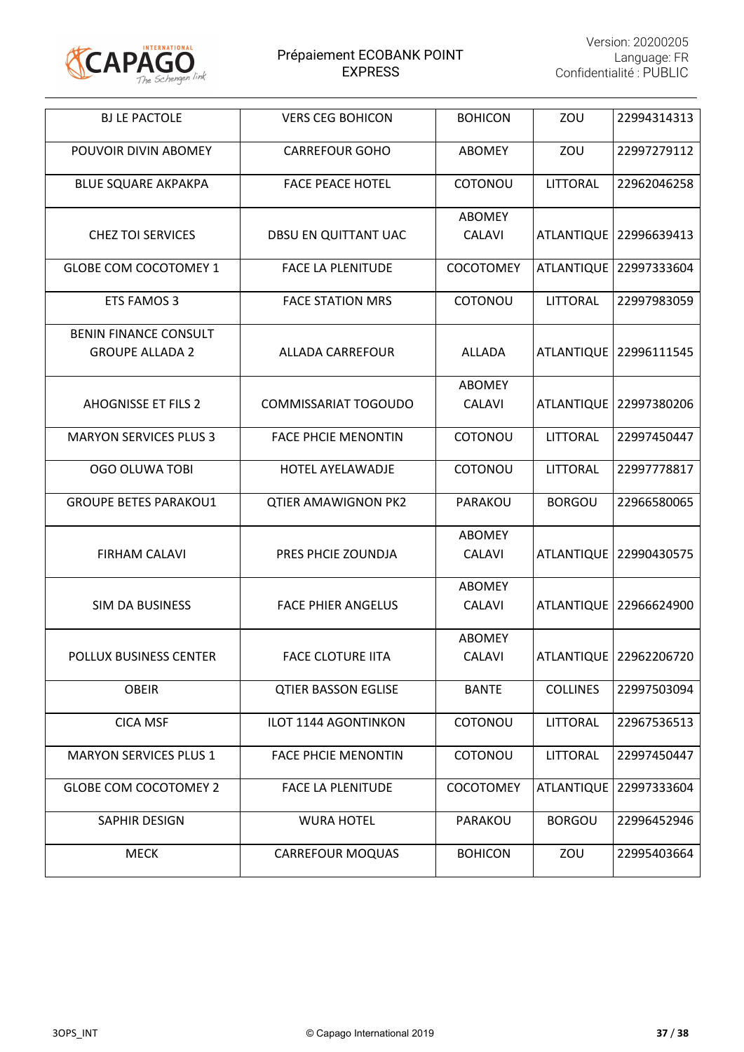

| <b>BJ LE PACTOLE</b>                                   | <b>VERS CEG BOHICON</b>     | <b>BOHICON</b>                 | ZOU               | 22994314313            |
|--------------------------------------------------------|-----------------------------|--------------------------------|-------------------|------------------------|
| POUVOIR DIVIN ABOMEY                                   | <b>CARREFOUR GOHO</b>       | <b>ABOMEY</b>                  | ZOU               | 22997279112            |
| <b>BLUE SQUARE AKPAKPA</b>                             | <b>FACE PEACE HOTEL</b>     | COTONOU                        | <b>LITTORAL</b>   | 22962046258            |
| <b>CHEZ TOI SERVICES</b>                               | DBSU EN QUITTANT UAC        | <b>ABOMEY</b><br><b>CALAVI</b> | <b>ATLANTIQUE</b> | 22996639413            |
| <b>GLOBE COM COCOTOMEY 1</b>                           | <b>FACE LA PLENITUDE</b>    | COCOTOMEY                      | <b>ATLANTIQUE</b> | 22997333604            |
| ETS FAMOS 3                                            | <b>FACE STATION MRS</b>     | COTONOU                        | LITTORAL          | 22997983059            |
| <b>BENIN FINANCE CONSULT</b><br><b>GROUPE ALLADA 2</b> | <b>ALLADA CARREFOUR</b>     | <b>ALLADA</b>                  | <b>ATLANTIQUE</b> | 22996111545            |
| <b>AHOGNISSE ET FILS 2</b>                             | <b>COMMISSARIAT TOGOUDO</b> | <b>ABOMEY</b><br><b>CALAVI</b> | <b>ATLANTIQUE</b> | 22997380206            |
| <b>MARYON SERVICES PLUS 3</b>                          | <b>FACE PHCIE MENONTIN</b>  | COTONOU                        | LITTORAL          | 22997450447            |
| <b>OGO OLUWA TOBI</b>                                  | HOTEL AYELAWADJE            | COTONOU                        | LITTORAL          | 22997778817            |
| <b>GROUPE BETES PARAKOU1</b>                           | <b>QTIER AMAWIGNON PK2</b>  | PARAKOU                        | <b>BORGOU</b>     | 22966580065            |
| <b>FIRHAM CALAVI</b>                                   | PRES PHCIE ZOUNDJA          | <b>ABOMEY</b><br><b>CALAVI</b> | <b>ATLANTIQUE</b> | 22990430575            |
| <b>SIM DA BUSINESS</b>                                 | <b>FACE PHIER ANGELUS</b>   | <b>ABOMEY</b><br><b>CALAVI</b> | <b>ATLANTIQUE</b> | 22966624900            |
| POLLUX BUSINESS CENTER                                 | <b>FACE CLOTURE IITA</b>    | <b>ABOMEY</b><br><b>CALAVI</b> |                   | ATLANTIQUE 22962206720 |
| <b>OBEIR</b>                                           | <b>QTIER BASSON EGLISE</b>  | <b>BANTE</b>                   | <b>COLLINES</b>   | 22997503094            |
| <b>CICA MSF</b>                                        | <b>ILOT 1144 AGONTINKON</b> | COTONOU                        | LITTORAL          | 22967536513            |
| <b>MARYON SERVICES PLUS 1</b>                          | <b>FACE PHCIE MENONTIN</b>  | COTONOU                        | LITTORAL          | 22997450447            |
| <b>GLOBE COM COCOTOMEY 2</b>                           | <b>FACE LA PLENITUDE</b>    | <b>COCOTOMEY</b>               | <b>ATLANTIQUE</b> | 22997333604            |
| SAPHIR DESIGN                                          | <b>WURA HOTEL</b>           | PARAKOU                        | <b>BORGOU</b>     | 22996452946            |
| <b>MECK</b>                                            | <b>CARREFOUR MOQUAS</b>     | <b>BOHICON</b>                 | ZOU               | 22995403664            |